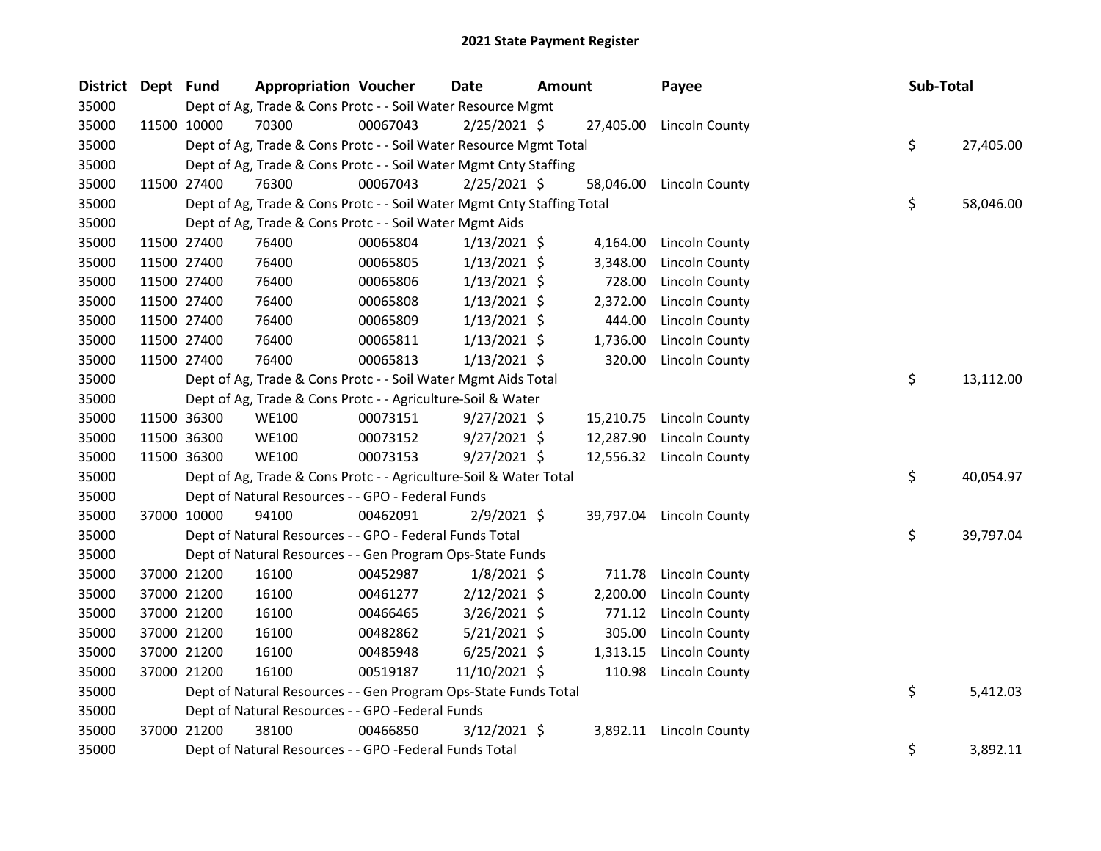| District Dept Fund |             | <b>Appropriation Voucher</b>                                           |          | <b>Date</b>    | <b>Amount</b> |           | Payee                    | Sub-Total |           |
|--------------------|-------------|------------------------------------------------------------------------|----------|----------------|---------------|-----------|--------------------------|-----------|-----------|
| 35000              |             | Dept of Ag, Trade & Cons Protc - - Soil Water Resource Mgmt            |          |                |               |           |                          |           |           |
| 35000              | 11500 10000 | 70300                                                                  | 00067043 | $2/25/2021$ \$ |               |           | 27,405.00 Lincoln County |           |           |
| 35000              |             | Dept of Ag, Trade & Cons Protc - - Soil Water Resource Mgmt Total      |          |                |               |           |                          | \$        | 27,405.00 |
| 35000              |             | Dept of Ag, Trade & Cons Protc - - Soil Water Mgmt Cnty Staffing       |          |                |               |           |                          |           |           |
| 35000              | 11500 27400 | 76300                                                                  | 00067043 | $2/25/2021$ \$ |               | 58,046.00 | Lincoln County           |           |           |
| 35000              |             | Dept of Ag, Trade & Cons Protc - - Soil Water Mgmt Cnty Staffing Total |          |                |               |           |                          | \$        | 58,046.00 |
| 35000              |             | Dept of Ag, Trade & Cons Protc - - Soil Water Mgmt Aids                |          |                |               |           |                          |           |           |
| 35000              | 11500 27400 | 76400                                                                  | 00065804 | $1/13/2021$ \$ |               | 4,164.00  | Lincoln County           |           |           |
| 35000              | 11500 27400 | 76400                                                                  | 00065805 | $1/13/2021$ \$ |               | 3,348.00  | Lincoln County           |           |           |
| 35000              | 11500 27400 | 76400                                                                  | 00065806 | $1/13/2021$ \$ |               | 728.00    | Lincoln County           |           |           |
| 35000              | 11500 27400 | 76400                                                                  | 00065808 | $1/13/2021$ \$ |               | 2,372.00  | <b>Lincoln County</b>    |           |           |
| 35000              | 11500 27400 | 76400                                                                  | 00065809 | $1/13/2021$ \$ |               | 444.00    | Lincoln County           |           |           |
| 35000              | 11500 27400 | 76400                                                                  | 00065811 | $1/13/2021$ \$ |               | 1,736.00  | Lincoln County           |           |           |
| 35000              | 11500 27400 | 76400                                                                  | 00065813 | $1/13/2021$ \$ |               | 320.00    | Lincoln County           |           |           |
| 35000              |             | Dept of Ag, Trade & Cons Protc - - Soil Water Mgmt Aids Total          |          |                |               |           |                          | \$        | 13,112.00 |
| 35000              |             | Dept of Ag, Trade & Cons Protc - - Agriculture-Soil & Water            |          |                |               |           |                          |           |           |
| 35000              | 11500 36300 | <b>WE100</b>                                                           | 00073151 | $9/27/2021$ \$ |               |           | 15,210.75 Lincoln County |           |           |
| 35000              | 11500 36300 | <b>WE100</b>                                                           | 00073152 | $9/27/2021$ \$ |               | 12,287.90 | Lincoln County           |           |           |
| 35000              | 11500 36300 | <b>WE100</b>                                                           | 00073153 | $9/27/2021$ \$ |               |           | 12,556.32 Lincoln County |           |           |
| 35000              |             | Dept of Ag, Trade & Cons Protc - - Agriculture-Soil & Water Total      |          |                |               |           |                          | \$        | 40,054.97 |
| 35000              |             | Dept of Natural Resources - - GPO - Federal Funds                      |          |                |               |           |                          |           |           |
| 35000              | 37000 10000 | 94100                                                                  | 00462091 | $2/9/2021$ \$  |               | 39,797.04 | Lincoln County           |           |           |
| 35000              |             | Dept of Natural Resources - - GPO - Federal Funds Total                |          |                |               |           |                          | \$        | 39,797.04 |
| 35000              |             | Dept of Natural Resources - - Gen Program Ops-State Funds              |          |                |               |           |                          |           |           |
| 35000              | 37000 21200 | 16100                                                                  | 00452987 | $1/8/2021$ \$  |               | 711.78    | <b>Lincoln County</b>    |           |           |
| 35000              | 37000 21200 | 16100                                                                  | 00461277 | $2/12/2021$ \$ |               | 2,200.00  | <b>Lincoln County</b>    |           |           |
| 35000              | 37000 21200 | 16100                                                                  | 00466465 | 3/26/2021 \$   |               | 771.12    | Lincoln County           |           |           |
| 35000              | 37000 21200 | 16100                                                                  | 00482862 | $5/21/2021$ \$ |               | 305.00    | Lincoln County           |           |           |
| 35000              | 37000 21200 | 16100                                                                  | 00485948 | $6/25/2021$ \$ |               | 1,313.15  | Lincoln County           |           |           |
| 35000              | 37000 21200 | 16100                                                                  | 00519187 | 11/10/2021 \$  |               | 110.98    | <b>Lincoln County</b>    |           |           |
| 35000              |             | Dept of Natural Resources - - Gen Program Ops-State Funds Total        |          |                |               |           |                          | \$        | 5,412.03  |
| 35000              |             | Dept of Natural Resources - - GPO -Federal Funds                       |          |                |               |           |                          |           |           |
| 35000              | 37000 21200 | 38100                                                                  | 00466850 | $3/12/2021$ \$ |               |           | 3,892.11 Lincoln County  |           |           |
| 35000              |             | Dept of Natural Resources - - GPO -Federal Funds Total                 |          |                |               |           |                          | \$        | 3,892.11  |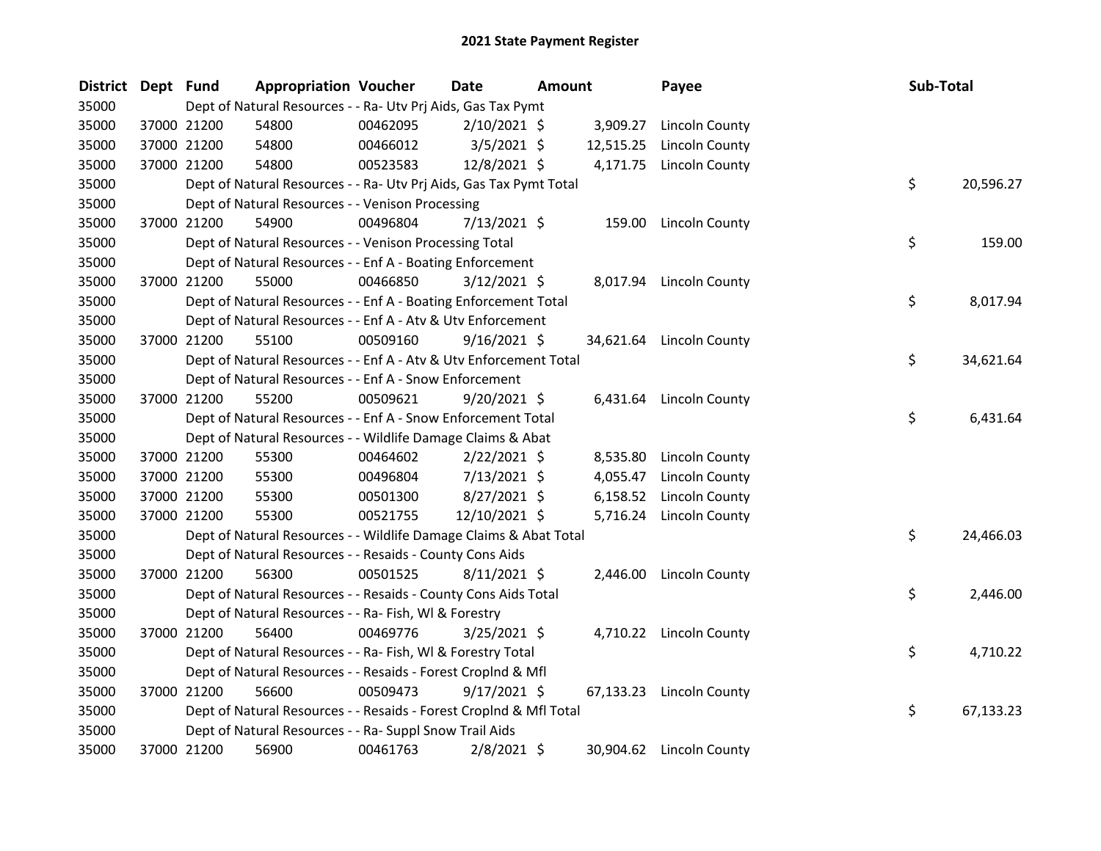| District Dept Fund |             | <b>Appropriation Voucher</b>                                       |          | Date           | <b>Amount</b> |           | Payee                    | Sub-Total |           |
|--------------------|-------------|--------------------------------------------------------------------|----------|----------------|---------------|-----------|--------------------------|-----------|-----------|
| 35000              |             | Dept of Natural Resources - - Ra- Utv Prj Aids, Gas Tax Pymt       |          |                |               |           |                          |           |           |
| 35000              | 37000 21200 | 54800                                                              | 00462095 | $2/10/2021$ \$ |               | 3,909.27  | Lincoln County           |           |           |
| 35000              | 37000 21200 | 54800                                                              | 00466012 | $3/5/2021$ \$  |               | 12,515.25 | Lincoln County           |           |           |
| 35000              | 37000 21200 | 54800                                                              | 00523583 | 12/8/2021 \$   |               | 4,171.75  | <b>Lincoln County</b>    |           |           |
| 35000              |             | Dept of Natural Resources - - Ra- Utv Prj Aids, Gas Tax Pymt Total |          |                |               |           |                          | \$        | 20,596.27 |
| 35000              |             | Dept of Natural Resources - - Venison Processing                   |          |                |               |           |                          |           |           |
| 35000              | 37000 21200 | 54900                                                              | 00496804 | 7/13/2021 \$   |               | 159.00    | Lincoln County           |           |           |
| 35000              |             | Dept of Natural Resources - - Venison Processing Total             |          |                |               |           |                          | \$        | 159.00    |
| 35000              |             | Dept of Natural Resources - - Enf A - Boating Enforcement          |          |                |               |           |                          |           |           |
| 35000              | 37000 21200 | 55000                                                              | 00466850 | $3/12/2021$ \$ |               |           | 8,017.94 Lincoln County  |           |           |
| 35000              |             | Dept of Natural Resources - - Enf A - Boating Enforcement Total    |          |                |               |           |                          | \$        | 8,017.94  |
| 35000              |             | Dept of Natural Resources - - Enf A - Atv & Utv Enforcement        |          |                |               |           |                          |           |           |
| 35000              | 37000 21200 | 55100                                                              | 00509160 | $9/16/2021$ \$ |               |           | 34,621.64 Lincoln County |           |           |
| 35000              |             | Dept of Natural Resources - - Enf A - Atv & Utv Enforcement Total  |          |                |               |           |                          | \$        | 34,621.64 |
| 35000              |             | Dept of Natural Resources - - Enf A - Snow Enforcement             |          |                |               |           |                          |           |           |
| 35000              | 37000 21200 | 55200                                                              | 00509621 | $9/20/2021$ \$ |               |           | 6,431.64 Lincoln County  |           |           |
| 35000              |             | Dept of Natural Resources - - Enf A - Snow Enforcement Total       |          |                |               |           |                          | \$        | 6,431.64  |
| 35000              |             | Dept of Natural Resources - - Wildlife Damage Claims & Abat        |          |                |               |           |                          |           |           |
| 35000              | 37000 21200 | 55300                                                              | 00464602 | $2/22/2021$ \$ |               | 8,535.80  | Lincoln County           |           |           |
| 35000              | 37000 21200 | 55300                                                              | 00496804 | $7/13/2021$ \$ |               | 4,055.47  | Lincoln County           |           |           |
| 35000              | 37000 21200 | 55300                                                              | 00501300 | 8/27/2021 \$   |               | 6,158.52  | Lincoln County           |           |           |
| 35000              | 37000 21200 | 55300                                                              | 00521755 | 12/10/2021 \$  |               | 5,716.24  | <b>Lincoln County</b>    |           |           |
| 35000              |             | Dept of Natural Resources - - Wildlife Damage Claims & Abat Total  |          |                |               |           |                          | \$        | 24,466.03 |
| 35000              |             | Dept of Natural Resources - - Resaids - County Cons Aids           |          |                |               |           |                          |           |           |
| 35000              | 37000 21200 | 56300                                                              | 00501525 | $8/11/2021$ \$ |               | 2,446.00  | Lincoln County           |           |           |
| 35000              |             | Dept of Natural Resources - - Resaids - County Cons Aids Total     |          |                |               |           |                          | \$        | 2,446.00  |
| 35000              |             | Dept of Natural Resources - - Ra- Fish, WI & Forestry              |          |                |               |           |                          |           |           |
| 35000              | 37000 21200 | 56400                                                              | 00469776 | $3/25/2021$ \$ |               |           | 4,710.22 Lincoln County  |           |           |
| 35000              |             | Dept of Natural Resources - - Ra- Fish, WI & Forestry Total        |          |                |               |           |                          | \$        | 4,710.22  |
| 35000              |             | Dept of Natural Resources - - Resaids - Forest CropInd & Mfl       |          |                |               |           |                          |           |           |
| 35000              | 37000 21200 | 56600                                                              | 00509473 | $9/17/2021$ \$ |               |           | 67,133.23 Lincoln County |           |           |
| 35000              |             | Dept of Natural Resources - - Resaids - Forest CropInd & Mfl Total |          |                |               |           |                          | \$        | 67,133.23 |
| 35000              |             | Dept of Natural Resources - - Ra- Suppl Snow Trail Aids            |          |                |               |           |                          |           |           |
| 35000              | 37000 21200 | 56900                                                              | 00461763 | $2/8/2021$ \$  |               |           | 30,904.62 Lincoln County |           |           |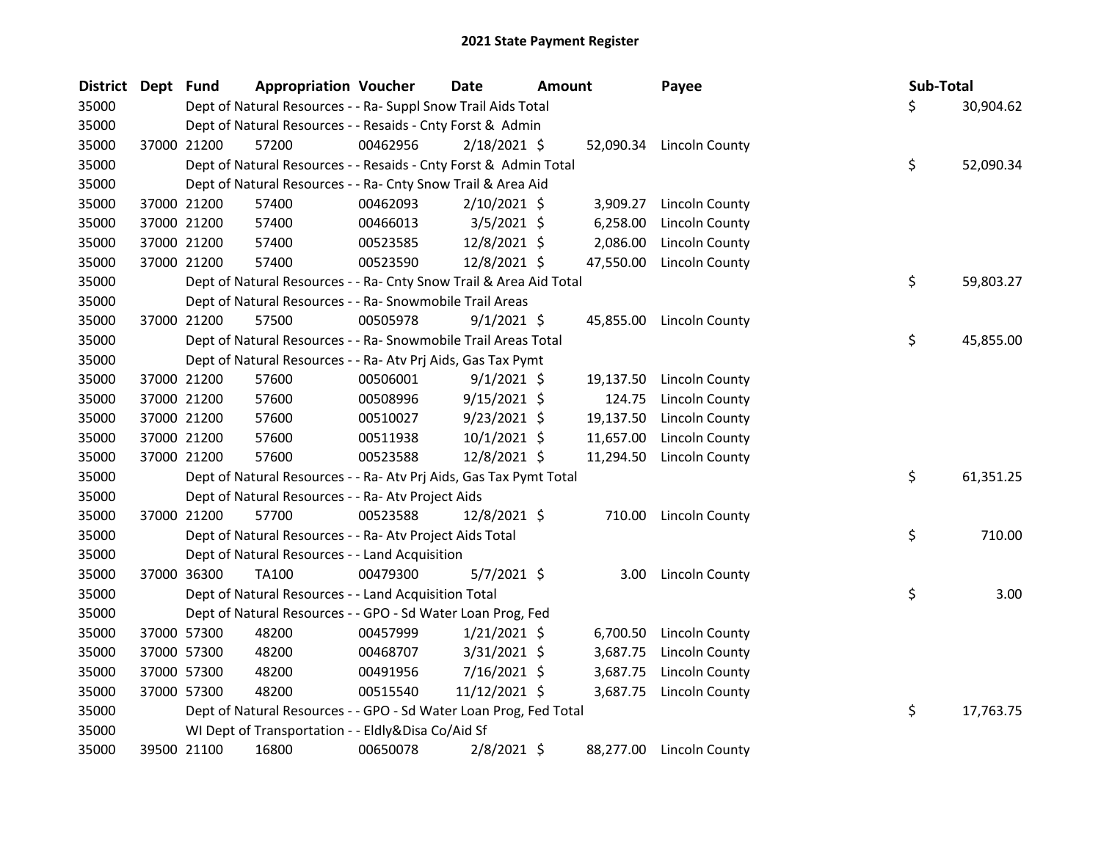| District Dept Fund |             | <b>Appropriation Voucher</b>                                       |          | <b>Date</b><br><b>Amount</b> |  | Payee     | Sub-Total                |    |           |
|--------------------|-------------|--------------------------------------------------------------------|----------|------------------------------|--|-----------|--------------------------|----|-----------|
| 35000              |             | Dept of Natural Resources - - Ra- Suppl Snow Trail Aids Total      |          |                              |  |           |                          | \$ | 30,904.62 |
| 35000              |             | Dept of Natural Resources - - Resaids - Cnty Forst & Admin         |          |                              |  |           |                          |    |           |
| 35000              | 37000 21200 | 57200                                                              | 00462956 | $2/18/2021$ \$               |  |           | 52,090.34 Lincoln County |    |           |
| 35000              |             | Dept of Natural Resources - - Resaids - Cnty Forst & Admin Total   |          |                              |  |           |                          | \$ | 52,090.34 |
| 35000              |             | Dept of Natural Resources - - Ra- Cnty Snow Trail & Area Aid       |          |                              |  |           |                          |    |           |
| 35000              | 37000 21200 | 57400                                                              | 00462093 | $2/10/2021$ \$               |  | 3,909.27  | <b>Lincoln County</b>    |    |           |
| 35000              | 37000 21200 | 57400                                                              | 00466013 | $3/5/2021$ \$                |  | 6,258.00  | <b>Lincoln County</b>    |    |           |
| 35000              | 37000 21200 | 57400                                                              | 00523585 | 12/8/2021 \$                 |  | 2,086.00  | Lincoln County           |    |           |
| 35000              | 37000 21200 | 57400                                                              | 00523590 | 12/8/2021 \$                 |  | 47,550.00 | Lincoln County           |    |           |
| 35000              |             | Dept of Natural Resources - - Ra- Cnty Snow Trail & Area Aid Total |          |                              |  |           |                          | \$ | 59,803.27 |
| 35000              |             | Dept of Natural Resources - - Ra- Snowmobile Trail Areas           |          |                              |  |           |                          |    |           |
| 35000              | 37000 21200 | 57500                                                              | 00505978 | $9/1/2021$ \$                |  | 45,855.00 | <b>Lincoln County</b>    |    |           |
| 35000              |             | Dept of Natural Resources - - Ra- Snowmobile Trail Areas Total     |          |                              |  |           |                          | \$ | 45,855.00 |
| 35000              |             | Dept of Natural Resources - - Ra- Atv Prj Aids, Gas Tax Pymt       |          |                              |  |           |                          |    |           |
| 35000              | 37000 21200 | 57600                                                              | 00506001 | $9/1/2021$ \$                |  | 19,137.50 | Lincoln County           |    |           |
| 35000              | 37000 21200 | 57600                                                              | 00508996 | $9/15/2021$ \$               |  | 124.75    | Lincoln County           |    |           |
| 35000              | 37000 21200 | 57600                                                              | 00510027 | $9/23/2021$ \$               |  | 19,137.50 | Lincoln County           |    |           |
| 35000              | 37000 21200 | 57600                                                              | 00511938 | $10/1/2021$ \$               |  | 11,657.00 | <b>Lincoln County</b>    |    |           |
| 35000              | 37000 21200 | 57600                                                              | 00523588 | 12/8/2021 \$                 |  | 11,294.50 | Lincoln County           |    |           |
| 35000              |             | Dept of Natural Resources - - Ra- Atv Prj Aids, Gas Tax Pymt Total |          |                              |  |           |                          | \$ | 61,351.25 |
| 35000              |             | Dept of Natural Resources - - Ra- Atv Project Aids                 |          |                              |  |           |                          |    |           |
| 35000              | 37000 21200 | 57700                                                              | 00523588 | 12/8/2021 \$                 |  | 710.00    | Lincoln County           |    |           |
| 35000              |             | Dept of Natural Resources - - Ra- Atv Project Aids Total           |          |                              |  |           |                          | \$ | 710.00    |
| 35000              |             | Dept of Natural Resources - - Land Acquisition                     |          |                              |  |           |                          |    |           |
| 35000              | 37000 36300 | TA100                                                              | 00479300 | $5/7/2021$ \$                |  | 3.00      | Lincoln County           |    |           |
| 35000              |             | Dept of Natural Resources - - Land Acquisition Total               |          |                              |  |           |                          | \$ | 3.00      |
| 35000              |             | Dept of Natural Resources - - GPO - Sd Water Loan Prog, Fed        |          |                              |  |           |                          |    |           |
| 35000              | 37000 57300 | 48200                                                              | 00457999 | $1/21/2021$ \$               |  | 6,700.50  | Lincoln County           |    |           |
| 35000              | 37000 57300 | 48200                                                              | 00468707 | $3/31/2021$ \$               |  | 3,687.75  | Lincoln County           |    |           |
| 35000              | 37000 57300 | 48200                                                              | 00491956 | 7/16/2021 \$                 |  | 3,687.75  | Lincoln County           |    |           |
| 35000              | 37000 57300 | 48200                                                              | 00515540 | 11/12/2021 \$                |  | 3,687.75  | <b>Lincoln County</b>    |    |           |
| 35000              |             | Dept of Natural Resources - - GPO - Sd Water Loan Prog, Fed Total  |          |                              |  |           |                          | \$ | 17,763.75 |
| 35000              |             | WI Dept of Transportation - - Eldly&Disa Co/Aid Sf                 |          |                              |  |           |                          |    |           |
| 35000              | 39500 21100 | 16800                                                              | 00650078 | $2/8/2021$ \$                |  | 88,277.00 | Lincoln County           |    |           |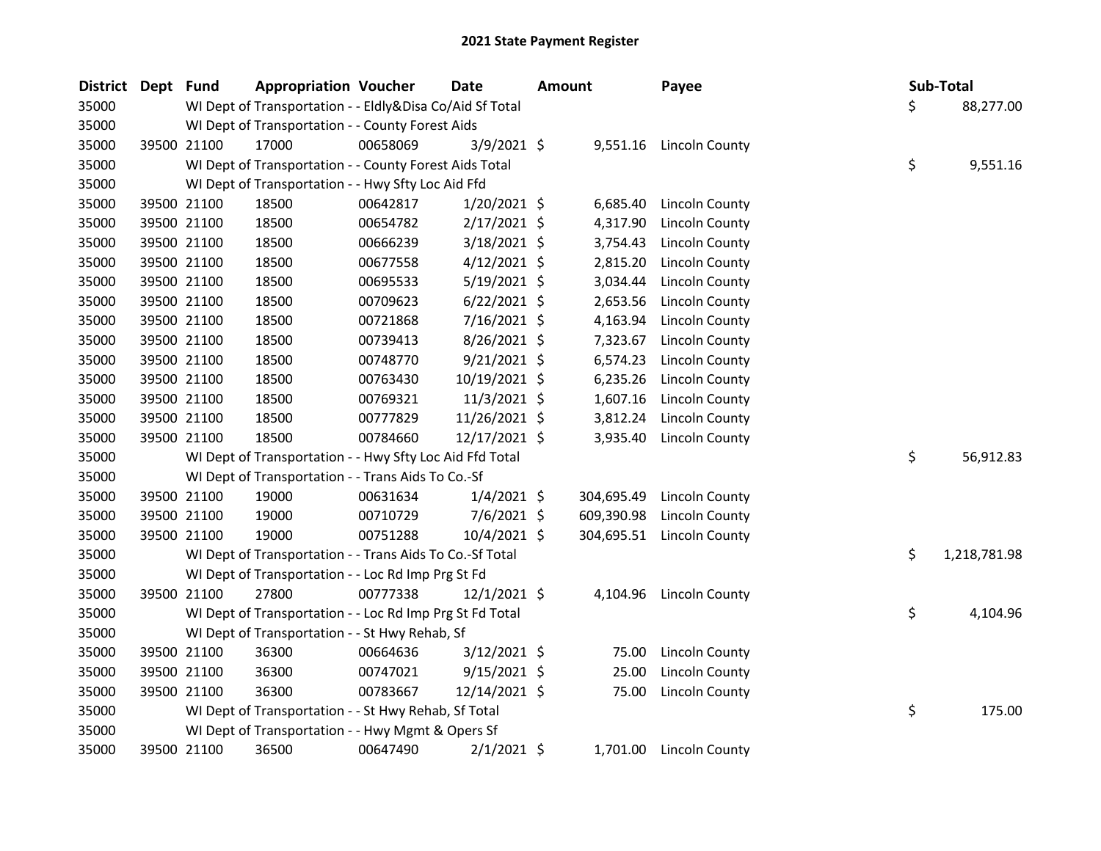| District Dept Fund |             | <b>Appropriation Voucher</b>                             |          | <b>Date</b>    | <b>Amount</b> |            | Payee                 | Sub-Total |              |
|--------------------|-------------|----------------------------------------------------------|----------|----------------|---------------|------------|-----------------------|-----------|--------------|
| 35000              |             | WI Dept of Transportation - - Eldly&Disa Co/Aid Sf Total |          |                |               |            |                       | \$        | 88,277.00    |
| 35000              |             | WI Dept of Transportation - - County Forest Aids         |          |                |               |            |                       |           |              |
| 35000              | 39500 21100 | 17000                                                    | 00658069 | 3/9/2021 \$    |               | 9,551.16   | <b>Lincoln County</b> |           |              |
| 35000              |             | WI Dept of Transportation - - County Forest Aids Total   |          |                |               |            |                       | \$        | 9,551.16     |
| 35000              |             | WI Dept of Transportation - - Hwy Sfty Loc Aid Ffd       |          |                |               |            |                       |           |              |
| 35000              | 39500 21100 | 18500                                                    | 00642817 | $1/20/2021$ \$ |               | 6,685.40   | Lincoln County        |           |              |
| 35000              | 39500 21100 | 18500                                                    | 00654782 | $2/17/2021$ \$ |               | 4,317.90   | Lincoln County        |           |              |
| 35000              | 39500 21100 | 18500                                                    | 00666239 | 3/18/2021 \$   |               | 3,754.43   | Lincoln County        |           |              |
| 35000              | 39500 21100 | 18500                                                    | 00677558 | $4/12/2021$ \$ |               | 2,815.20   | <b>Lincoln County</b> |           |              |
| 35000              | 39500 21100 | 18500                                                    | 00695533 | $5/19/2021$ \$ |               | 3,034.44   | Lincoln County        |           |              |
| 35000              | 39500 21100 | 18500                                                    | 00709623 | $6/22/2021$ \$ |               | 2,653.56   | Lincoln County        |           |              |
| 35000              | 39500 21100 | 18500                                                    | 00721868 | 7/16/2021 \$   |               | 4,163.94   | Lincoln County        |           |              |
| 35000              | 39500 21100 | 18500                                                    | 00739413 | 8/26/2021 \$   |               | 7,323.67   | Lincoln County        |           |              |
| 35000              | 39500 21100 | 18500                                                    | 00748770 | $9/21/2021$ \$ |               | 6,574.23   | Lincoln County        |           |              |
| 35000              | 39500 21100 | 18500                                                    | 00763430 | 10/19/2021 \$  |               | 6,235.26   | Lincoln County        |           |              |
| 35000              | 39500 21100 | 18500                                                    | 00769321 | 11/3/2021 \$   |               | 1,607.16   | Lincoln County        |           |              |
| 35000              | 39500 21100 | 18500                                                    | 00777829 | 11/26/2021 \$  |               | 3,812.24   | Lincoln County        |           |              |
| 35000              | 39500 21100 | 18500                                                    | 00784660 | 12/17/2021 \$  |               | 3,935.40   | Lincoln County        |           |              |
| 35000              |             | WI Dept of Transportation - - Hwy Sfty Loc Aid Ffd Total |          |                |               |            |                       | \$        | 56,912.83    |
| 35000              |             | WI Dept of Transportation - - Trans Aids To Co.-Sf       |          |                |               |            |                       |           |              |
| 35000              | 39500 21100 | 19000                                                    | 00631634 | $1/4/2021$ \$  |               | 304,695.49 | Lincoln County        |           |              |
| 35000              | 39500 21100 | 19000                                                    | 00710729 | 7/6/2021 \$    |               | 609,390.98 | Lincoln County        |           |              |
| 35000              | 39500 21100 | 19000                                                    | 00751288 | 10/4/2021 \$   |               | 304,695.51 | Lincoln County        |           |              |
| 35000              |             | WI Dept of Transportation - - Trans Aids To Co.-Sf Total |          |                |               |            |                       | \$        | 1,218,781.98 |
| 35000              |             | WI Dept of Transportation - - Loc Rd Imp Prg St Fd       |          |                |               |            |                       |           |              |
| 35000              | 39500 21100 | 27800                                                    | 00777338 | $12/1/2021$ \$ |               | 4,104.96   | <b>Lincoln County</b> |           |              |
| 35000              |             | WI Dept of Transportation - - Loc Rd Imp Prg St Fd Total |          |                |               |            |                       | \$        | 4,104.96     |
| 35000              |             | WI Dept of Transportation - - St Hwy Rehab, Sf           |          |                |               |            |                       |           |              |
| 35000              | 39500 21100 | 36300                                                    | 00664636 | 3/12/2021 \$   |               | 75.00      | Lincoln County        |           |              |
| 35000              | 39500 21100 | 36300                                                    | 00747021 | 9/15/2021 \$   |               | 25.00      | <b>Lincoln County</b> |           |              |
| 35000              | 39500 21100 | 36300                                                    | 00783667 | 12/14/2021 \$  |               | 75.00      | Lincoln County        |           |              |
| 35000              |             | WI Dept of Transportation - - St Hwy Rehab, Sf Total     |          |                |               |            |                       | \$        | 175.00       |
| 35000              |             | WI Dept of Transportation - - Hwy Mgmt & Opers Sf        |          |                |               |            |                       |           |              |
| 35000              | 39500 21100 | 36500                                                    | 00647490 | $2/1/2021$ \$  |               | 1,701.00   | Lincoln County        |           |              |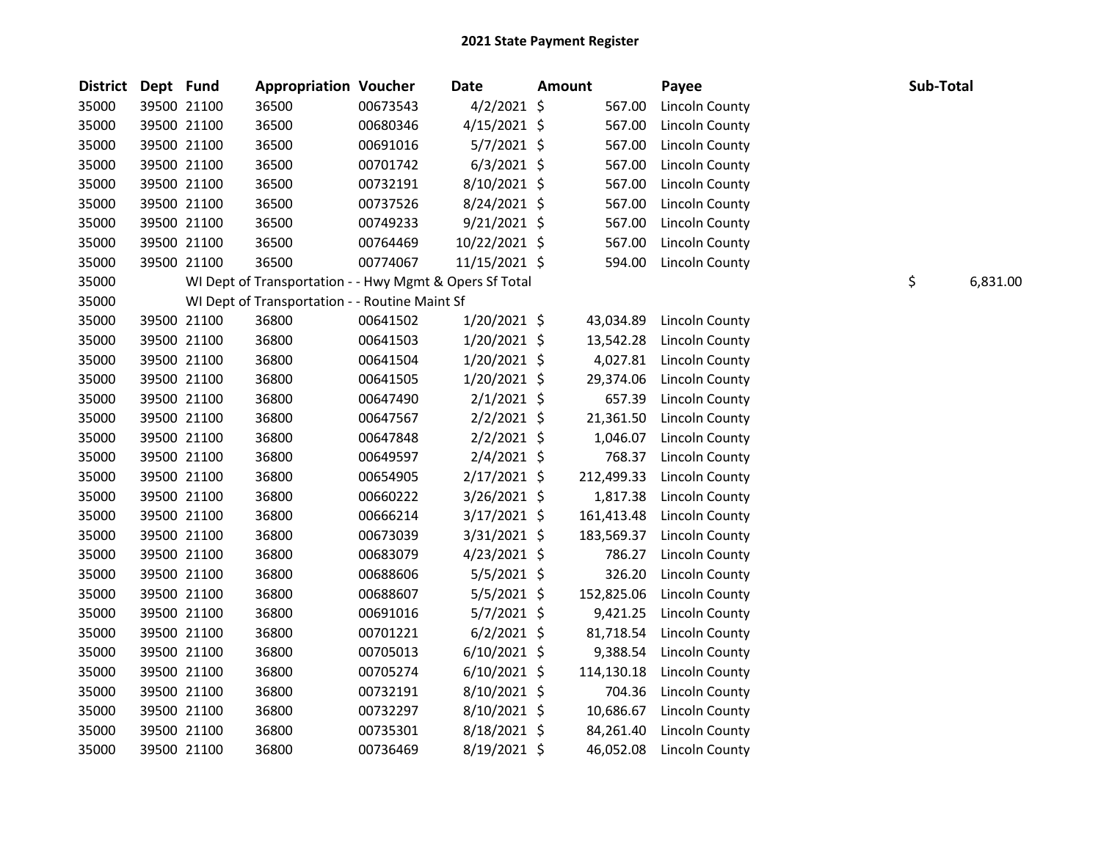| <b>District</b> | Dept Fund |             | <b>Appropriation Voucher</b>                            |          | Date           | <b>Amount</b> |            | Payee                 | Sub-Total |          |
|-----------------|-----------|-------------|---------------------------------------------------------|----------|----------------|---------------|------------|-----------------------|-----------|----------|
| 35000           |           | 39500 21100 | 36500                                                   | 00673543 | $4/2/2021$ \$  |               | 567.00     | Lincoln County        |           |          |
| 35000           |           | 39500 21100 | 36500                                                   | 00680346 | $4/15/2021$ \$ |               | 567.00     | <b>Lincoln County</b> |           |          |
| 35000           |           | 39500 21100 | 36500                                                   | 00691016 | $5/7/2021$ \$  |               | 567.00     | Lincoln County        |           |          |
| 35000           |           | 39500 21100 | 36500                                                   | 00701742 | $6/3/2021$ \$  |               | 567.00     | Lincoln County        |           |          |
| 35000           |           | 39500 21100 | 36500                                                   | 00732191 | $8/10/2021$ \$ |               | 567.00     | Lincoln County        |           |          |
| 35000           |           | 39500 21100 | 36500                                                   | 00737526 | $8/24/2021$ \$ |               | 567.00     | Lincoln County        |           |          |
| 35000           |           | 39500 21100 | 36500                                                   | 00749233 | $9/21/2021$ \$ |               | 567.00     | <b>Lincoln County</b> |           |          |
| 35000           |           | 39500 21100 | 36500                                                   | 00764469 | 10/22/2021 \$  |               | 567.00     | Lincoln County        |           |          |
| 35000           |           | 39500 21100 | 36500                                                   | 00774067 | 11/15/2021 \$  |               | 594.00     | <b>Lincoln County</b> |           |          |
| 35000           |           |             | WI Dept of Transportation - - Hwy Mgmt & Opers Sf Total |          |                |               |            |                       | \$        | 6,831.00 |
| 35000           |           |             | WI Dept of Transportation - - Routine Maint Sf          |          |                |               |            |                       |           |          |
| 35000           |           | 39500 21100 | 36800                                                   | 00641502 | $1/20/2021$ \$ |               | 43,034.89  | <b>Lincoln County</b> |           |          |
| 35000           |           | 39500 21100 | 36800                                                   | 00641503 | $1/20/2021$ \$ |               | 13,542.28  | Lincoln County        |           |          |
| 35000           |           | 39500 21100 | 36800                                                   | 00641504 | $1/20/2021$ \$ |               | 4,027.81   | Lincoln County        |           |          |
| 35000           |           | 39500 21100 | 36800                                                   | 00641505 | 1/20/2021 \$   |               | 29,374.06  | Lincoln County        |           |          |
| 35000           |           | 39500 21100 | 36800                                                   | 00647490 | $2/1/2021$ \$  |               | 657.39     | Lincoln County        |           |          |
| 35000           |           | 39500 21100 | 36800                                                   | 00647567 | $2/2/2021$ \$  |               | 21,361.50  | Lincoln County        |           |          |
| 35000           |           | 39500 21100 | 36800                                                   | 00647848 | $2/2/2021$ \$  |               | 1,046.07   | Lincoln County        |           |          |
| 35000           |           | 39500 21100 | 36800                                                   | 00649597 | $2/4/2021$ \$  |               | 768.37     | Lincoln County        |           |          |
| 35000           |           | 39500 21100 | 36800                                                   | 00654905 | 2/17/2021 \$   |               | 212,499.33 | Lincoln County        |           |          |
| 35000           |           | 39500 21100 | 36800                                                   | 00660222 | $3/26/2021$ \$ |               | 1,817.38   | Lincoln County        |           |          |
| 35000           |           | 39500 21100 | 36800                                                   | 00666214 | $3/17/2021$ \$ |               | 161,413.48 | Lincoln County        |           |          |
| 35000           |           | 39500 21100 | 36800                                                   | 00673039 | 3/31/2021 \$   |               | 183,569.37 | <b>Lincoln County</b> |           |          |
| 35000           |           | 39500 21100 | 36800                                                   | 00683079 | $4/23/2021$ \$ |               | 786.27     | Lincoln County        |           |          |
| 35000           |           | 39500 21100 | 36800                                                   | 00688606 | 5/5/2021 \$    |               | 326.20     | Lincoln County        |           |          |
| 35000           |           | 39500 21100 | 36800                                                   | 00688607 | $5/5/2021$ \$  |               | 152,825.06 | Lincoln County        |           |          |
| 35000           |           | 39500 21100 | 36800                                                   | 00691016 | $5/7/2021$ \$  |               | 9,421.25   | Lincoln County        |           |          |
| 35000           |           | 39500 21100 | 36800                                                   | 00701221 | $6/2/2021$ \$  |               | 81,718.54  | <b>Lincoln County</b> |           |          |
| 35000           |           | 39500 21100 | 36800                                                   | 00705013 | $6/10/2021$ \$ |               | 9,388.54   | <b>Lincoln County</b> |           |          |
| 35000           |           | 39500 21100 | 36800                                                   | 00705274 | $6/10/2021$ \$ |               | 114,130.18 | <b>Lincoln County</b> |           |          |
| 35000           |           | 39500 21100 | 36800                                                   | 00732191 | $8/10/2021$ \$ |               | 704.36     | Lincoln County        |           |          |
| 35000           |           | 39500 21100 | 36800                                                   | 00732297 | 8/10/2021 \$   |               | 10,686.67  | Lincoln County        |           |          |
| 35000           |           | 39500 21100 | 36800                                                   | 00735301 | 8/18/2021 \$   |               | 84,261.40  | Lincoln County        |           |          |
| 35000           |           | 39500 21100 | 36800                                                   | 00736469 | 8/19/2021 \$   |               | 46,052.08  | Lincoln County        |           |          |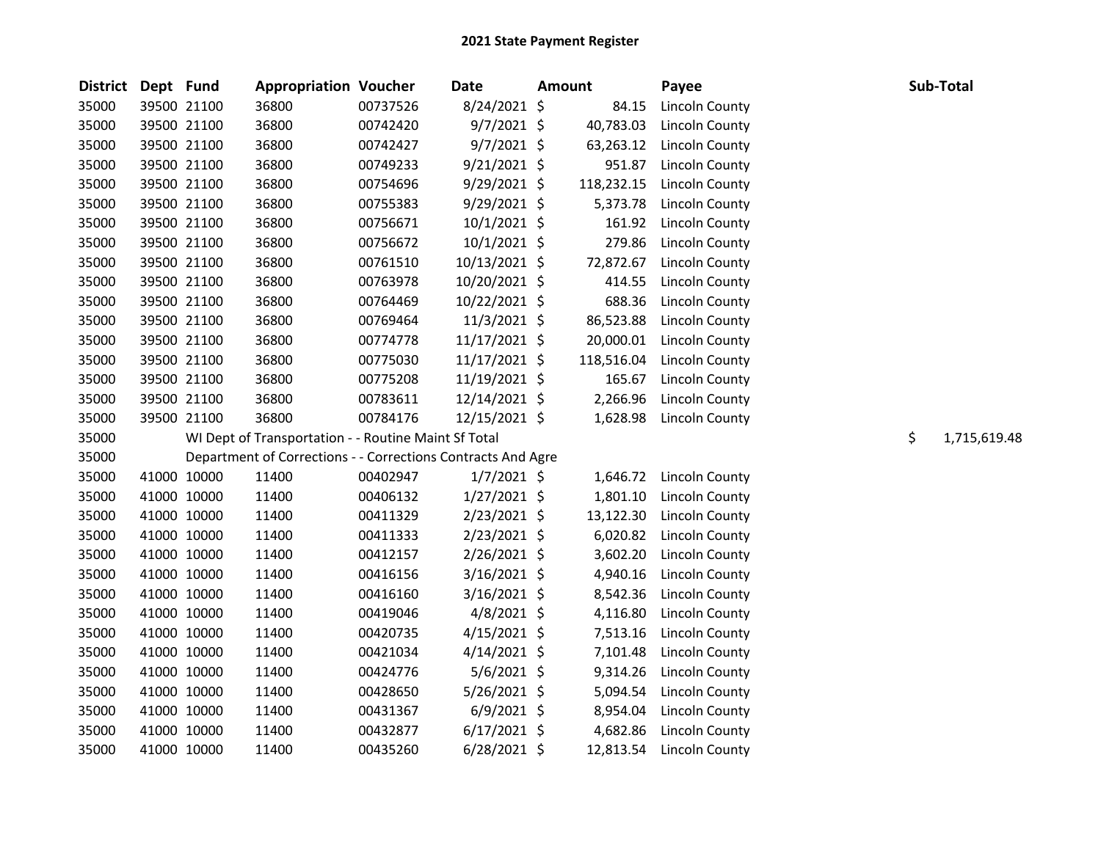| District Dept Fund |             | <b>Appropriation Voucher</b>                                 |          | <b>Date</b>     | <b>Amount</b> | Payee                 |    | Sub-Total    |
|--------------------|-------------|--------------------------------------------------------------|----------|-----------------|---------------|-----------------------|----|--------------|
| 35000              | 39500 21100 | 36800                                                        | 00737526 | 8/24/2021 \$    | 84.15         | Lincoln County        |    |              |
| 35000              | 39500 21100 | 36800                                                        | 00742420 | $9/7/2021$ \$   | 40,783.03     | <b>Lincoln County</b> |    |              |
| 35000              | 39500 21100 | 36800                                                        | 00742427 | $9/7/2021$ \$   | 63,263.12     | <b>Lincoln County</b> |    |              |
| 35000              | 39500 21100 | 36800                                                        | 00749233 | $9/21/2021$ \$  | 951.87        | <b>Lincoln County</b> |    |              |
| 35000              | 39500 21100 | 36800                                                        | 00754696 | $9/29/2021$ \$  | 118,232.15    | Lincoln County        |    |              |
| 35000              | 39500 21100 | 36800                                                        | 00755383 | $9/29/2021$ \$  | 5,373.78      | Lincoln County        |    |              |
| 35000              | 39500 21100 | 36800                                                        | 00756671 | $10/1/2021$ \$  | 161.92        | Lincoln County        |    |              |
| 35000              | 39500 21100 | 36800                                                        | 00756672 | $10/1/2021$ \$  | 279.86        | <b>Lincoln County</b> |    |              |
| 35000              | 39500 21100 | 36800                                                        | 00761510 | 10/13/2021 \$   | 72,872.67     | <b>Lincoln County</b> |    |              |
| 35000              | 39500 21100 | 36800                                                        | 00763978 | 10/20/2021 \$   | 414.55        | <b>Lincoln County</b> |    |              |
| 35000              | 39500 21100 | 36800                                                        | 00764469 | 10/22/2021 \$   | 688.36        | <b>Lincoln County</b> |    |              |
| 35000              | 39500 21100 | 36800                                                        | 00769464 | 11/3/2021 \$    | 86,523.88     | Lincoln County        |    |              |
| 35000              | 39500 21100 | 36800                                                        | 00774778 | $11/17/2021$ \$ | 20,000.01     | Lincoln County        |    |              |
| 35000              | 39500 21100 | 36800                                                        | 00775030 | $11/17/2021$ \$ | 118,516.04    | Lincoln County        |    |              |
| 35000              | 39500 21100 | 36800                                                        | 00775208 | 11/19/2021 \$   | 165.67        | <b>Lincoln County</b> |    |              |
| 35000              | 39500 21100 | 36800                                                        | 00783611 | 12/14/2021 \$   | 2,266.96      | <b>Lincoln County</b> |    |              |
| 35000              | 39500 21100 | 36800                                                        | 00784176 | 12/15/2021 \$   | 1,628.98      | <b>Lincoln County</b> |    |              |
| 35000              |             | WI Dept of Transportation - - Routine Maint Sf Total         |          |                 |               |                       | \$ | 1,715,619.48 |
| 35000              |             | Department of Corrections - - Corrections Contracts And Agre |          |                 |               |                       |    |              |
| 35000              | 41000 10000 | 11400                                                        | 00402947 | $1/7/2021$ \$   | 1,646.72      | <b>Lincoln County</b> |    |              |
| 35000              | 41000 10000 | 11400                                                        | 00406132 | $1/27/2021$ \$  | 1,801.10      | Lincoln County        |    |              |
| 35000              | 41000 10000 | 11400                                                        | 00411329 | $2/23/2021$ \$  | 13,122.30     | Lincoln County        |    |              |
| 35000              | 41000 10000 | 11400                                                        | 00411333 | $2/23/2021$ \$  | 6,020.82      | Lincoln County        |    |              |
| 35000              | 41000 10000 | 11400                                                        | 00412157 | 2/26/2021 \$    | 3,602.20      | <b>Lincoln County</b> |    |              |
| 35000              | 41000 10000 | 11400                                                        | 00416156 | $3/16/2021$ \$  | 4,940.16      | <b>Lincoln County</b> |    |              |
| 35000              | 41000 10000 | 11400                                                        | 00416160 | $3/16/2021$ \$  | 8,542.36      | <b>Lincoln County</b> |    |              |
| 35000              | 41000 10000 | 11400                                                        | 00419046 | 4/8/2021 \$     | 4,116.80      | <b>Lincoln County</b> |    |              |
| 35000              | 41000 10000 | 11400                                                        | 00420735 | $4/15/2021$ \$  | 7,513.16      | Lincoln County        |    |              |
| 35000              | 41000 10000 | 11400                                                        | 00421034 | $4/14/2021$ \$  | 7,101.48      | <b>Lincoln County</b> |    |              |
| 35000              | 41000 10000 | 11400                                                        | 00424776 | $5/6/2021$ \$   | 9,314.26      | <b>Lincoln County</b> |    |              |
| 35000              | 41000 10000 | 11400                                                        | 00428650 | $5/26/2021$ \$  | 5,094.54      | Lincoln County        |    |              |
| 35000              | 41000 10000 | 11400                                                        | 00431367 | $6/9/2021$ \$   | 8,954.04      | Lincoln County        |    |              |
| 35000              | 41000 10000 | 11400                                                        | 00432877 | $6/17/2021$ \$  | 4,682.86      | Lincoln County        |    |              |
| 35000              | 41000 10000 | 11400                                                        | 00435260 | $6/28/2021$ \$  | 12,813.54     | Lincoln County        |    |              |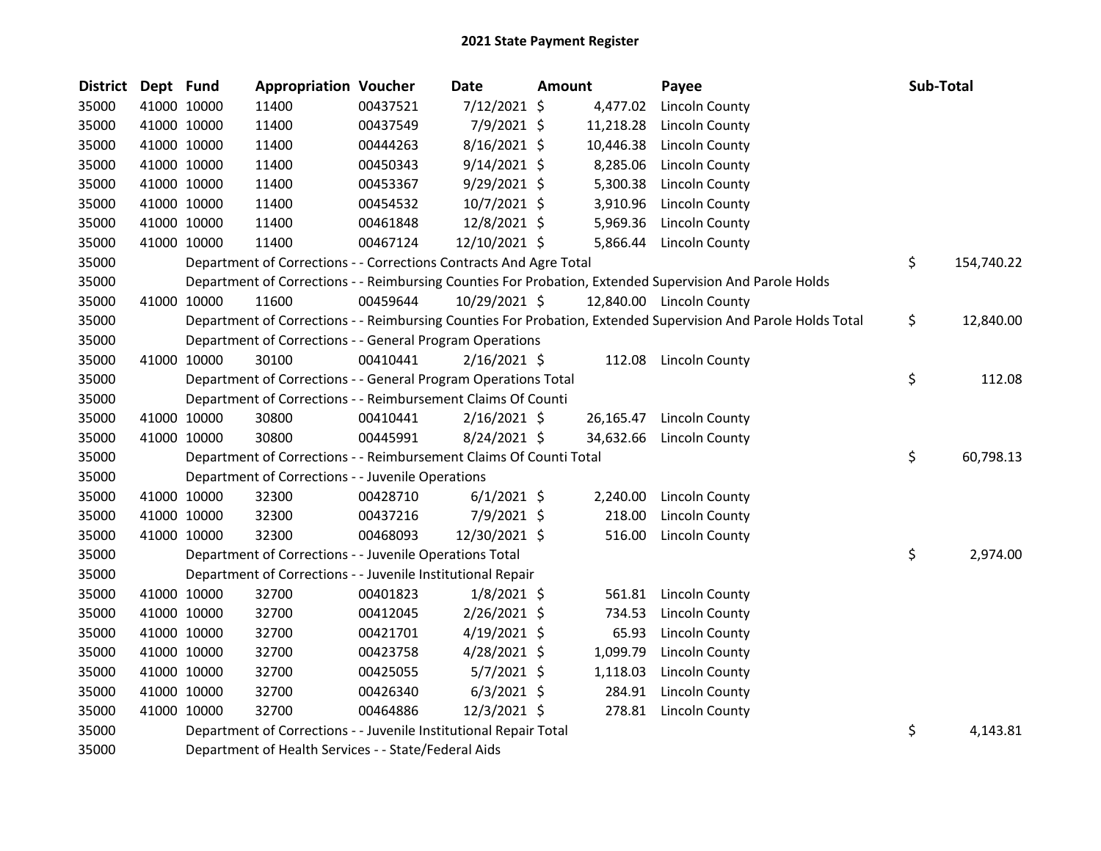| <b>District</b> | Dept Fund |             | <b>Appropriation Voucher</b>                                       |          | <b>Date</b>    | <b>Amount</b> |           | Payee                                                                                                         | Sub-Total        |
|-----------------|-----------|-------------|--------------------------------------------------------------------|----------|----------------|---------------|-----------|---------------------------------------------------------------------------------------------------------------|------------------|
| 35000           |           | 41000 10000 | 11400                                                              | 00437521 | 7/12/2021 \$   |               | 4,477.02  | Lincoln County                                                                                                |                  |
| 35000           |           | 41000 10000 | 11400                                                              | 00437549 | 7/9/2021 \$    |               | 11,218.28 | Lincoln County                                                                                                |                  |
| 35000           |           | 41000 10000 | 11400                                                              | 00444263 | 8/16/2021 \$   |               | 10,446.38 | <b>Lincoln County</b>                                                                                         |                  |
| 35000           |           | 41000 10000 | 11400                                                              | 00450343 | 9/14/2021 \$   |               | 8,285.06  | Lincoln County                                                                                                |                  |
| 35000           |           | 41000 10000 | 11400                                                              | 00453367 | $9/29/2021$ \$ |               | 5,300.38  | <b>Lincoln County</b>                                                                                         |                  |
| 35000           |           | 41000 10000 | 11400                                                              | 00454532 | 10/7/2021 \$   |               | 3,910.96  | Lincoln County                                                                                                |                  |
| 35000           |           | 41000 10000 | 11400                                                              | 00461848 | 12/8/2021 \$   |               | 5,969.36  | Lincoln County                                                                                                |                  |
| 35000           |           | 41000 10000 | 11400                                                              | 00467124 | 12/10/2021 \$  |               | 5,866.44  | Lincoln County                                                                                                |                  |
| 35000           |           |             | Department of Corrections - - Corrections Contracts And Agre Total |          |                |               |           |                                                                                                               | \$<br>154,740.22 |
| 35000           |           |             |                                                                    |          |                |               |           | Department of Corrections - - Reimbursing Counties For Probation, Extended Supervision And Parole Holds       |                  |
| 35000           |           | 41000 10000 | 11600                                                              | 00459644 | 10/29/2021 \$  |               |           | 12,840.00 Lincoln County                                                                                      |                  |
| 35000           |           |             |                                                                    |          |                |               |           | Department of Corrections - - Reimbursing Counties For Probation, Extended Supervision And Parole Holds Total | \$<br>12,840.00  |
| 35000           |           |             | Department of Corrections - - General Program Operations           |          |                |               |           |                                                                                                               |                  |
| 35000           |           | 41000 10000 | 30100                                                              | 00410441 | $2/16/2021$ \$ |               | 112.08    | <b>Lincoln County</b>                                                                                         |                  |
| 35000           |           |             | Department of Corrections - - General Program Operations Total     |          |                |               |           |                                                                                                               | \$<br>112.08     |
| 35000           |           |             | Department of Corrections - - Reimbursement Claims Of Counti       |          |                |               |           |                                                                                                               |                  |
| 35000           |           | 41000 10000 | 30800                                                              | 00410441 | $2/16/2021$ \$ |               | 26,165.47 | Lincoln County                                                                                                |                  |
| 35000           |           | 41000 10000 | 30800                                                              | 00445991 | 8/24/2021 \$   |               | 34,632.66 | Lincoln County                                                                                                |                  |
| 35000           |           |             | Department of Corrections - - Reimbursement Claims Of Counti Total |          |                |               |           |                                                                                                               | \$<br>60,798.13  |
| 35000           |           |             | Department of Corrections - - Juvenile Operations                  |          |                |               |           |                                                                                                               |                  |
| 35000           |           | 41000 10000 | 32300                                                              | 00428710 | $6/1/2021$ \$  |               | 2,240.00  | Lincoln County                                                                                                |                  |
| 35000           |           | 41000 10000 | 32300                                                              | 00437216 | 7/9/2021 \$    |               | 218.00    | <b>Lincoln County</b>                                                                                         |                  |
| 35000           |           | 41000 10000 | 32300                                                              | 00468093 | 12/30/2021 \$  |               | 516.00    | <b>Lincoln County</b>                                                                                         |                  |
| 35000           |           |             | Department of Corrections - - Juvenile Operations Total            |          |                |               |           |                                                                                                               | \$<br>2,974.00   |
| 35000           |           |             | Department of Corrections - - Juvenile Institutional Repair        |          |                |               |           |                                                                                                               |                  |
| 35000           |           | 41000 10000 | 32700                                                              | 00401823 | $1/8/2021$ \$  |               | 561.81    | Lincoln County                                                                                                |                  |
| 35000           |           | 41000 10000 | 32700                                                              | 00412045 | 2/26/2021 \$   |               | 734.53    | <b>Lincoln County</b>                                                                                         |                  |
| 35000           |           | 41000 10000 | 32700                                                              | 00421701 | 4/19/2021 \$   |               | 65.93     | <b>Lincoln County</b>                                                                                         |                  |
| 35000           |           | 41000 10000 | 32700                                                              | 00423758 | 4/28/2021 \$   |               | 1,099.79  | Lincoln County                                                                                                |                  |
| 35000           |           | 41000 10000 | 32700                                                              | 00425055 | 5/7/2021 \$    |               | 1,118.03  | <b>Lincoln County</b>                                                                                         |                  |
| 35000           |           | 41000 10000 | 32700                                                              | 00426340 | $6/3/2021$ \$  |               | 284.91    | <b>Lincoln County</b>                                                                                         |                  |
| 35000           |           | 41000 10000 | 32700                                                              | 00464886 | 12/3/2021 \$   |               | 278.81    | <b>Lincoln County</b>                                                                                         |                  |
| 35000           |           |             | Department of Corrections - - Juvenile Institutional Repair Total  |          |                |               |           |                                                                                                               | \$<br>4,143.81   |
| 35000           |           |             | Department of Health Services - - State/Federal Aids               |          |                |               |           |                                                                                                               |                  |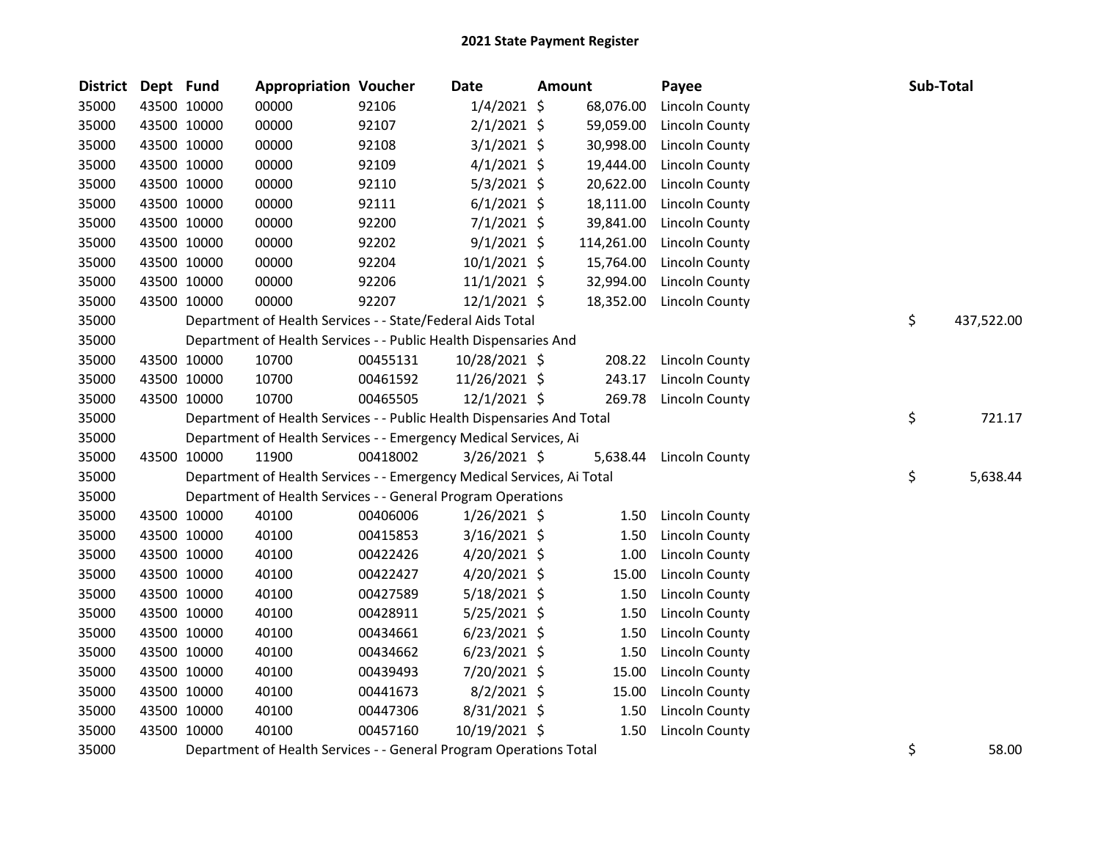| <b>District</b> | Dept Fund |             | <b>Appropriation Voucher</b>                                           |          | <b>Date</b>    | <b>Amount</b> | Payee                 | Sub-Total        |
|-----------------|-----------|-------------|------------------------------------------------------------------------|----------|----------------|---------------|-----------------------|------------------|
| 35000           |           | 43500 10000 | 00000                                                                  | 92106    | $1/4/2021$ \$  | 68,076.00     | Lincoln County        |                  |
| 35000           |           | 43500 10000 | 00000                                                                  | 92107    | $2/1/2021$ \$  | 59,059.00     | Lincoln County        |                  |
| 35000           |           | 43500 10000 | 00000                                                                  | 92108    | $3/1/2021$ \$  | 30,998.00     | Lincoln County        |                  |
| 35000           |           | 43500 10000 | 00000                                                                  | 92109    | $4/1/2021$ \$  | 19,444.00     | <b>Lincoln County</b> |                  |
| 35000           |           | 43500 10000 | 00000                                                                  | 92110    | 5/3/2021 \$    | 20,622.00     | <b>Lincoln County</b> |                  |
| 35000           |           | 43500 10000 | 00000                                                                  | 92111    | $6/1/2021$ \$  | 18,111.00     | Lincoln County        |                  |
| 35000           |           | 43500 10000 | 00000                                                                  | 92200    | $7/1/2021$ \$  | 39,841.00     | Lincoln County        |                  |
| 35000           |           | 43500 10000 | 00000                                                                  | 92202    | 9/1/2021 \$    | 114,261.00    | Lincoln County        |                  |
| 35000           |           | 43500 10000 | 00000                                                                  | 92204    | $10/1/2021$ \$ | 15,764.00     | Lincoln County        |                  |
| 35000           |           | 43500 10000 | 00000                                                                  | 92206    | $11/1/2021$ \$ | 32,994.00     | <b>Lincoln County</b> |                  |
| 35000           |           | 43500 10000 | 00000                                                                  | 92207    | $12/1/2021$ \$ | 18,352.00     | Lincoln County        |                  |
| 35000           |           |             | Department of Health Services - - State/Federal Aids Total             |          |                |               |                       | \$<br>437,522.00 |
| 35000           |           |             | Department of Health Services - - Public Health Dispensaries And       |          |                |               |                       |                  |
| 35000           |           | 43500 10000 | 10700                                                                  | 00455131 | 10/28/2021 \$  | 208.22        | Lincoln County        |                  |
| 35000           |           | 43500 10000 | 10700                                                                  | 00461592 | 11/26/2021 \$  | 243.17        | Lincoln County        |                  |
| 35000           |           | 43500 10000 | 10700                                                                  | 00465505 | $12/1/2021$ \$ | 269.78        | <b>Lincoln County</b> |                  |
| 35000           |           |             | Department of Health Services - - Public Health Dispensaries And Total |          |                |               |                       | \$<br>721.17     |
| 35000           |           |             | Department of Health Services - - Emergency Medical Services, Ai       |          |                |               |                       |                  |
| 35000           |           | 43500 10000 | 11900                                                                  | 00418002 | $3/26/2021$ \$ | 5,638.44      | Lincoln County        |                  |
| 35000           |           |             | Department of Health Services - - Emergency Medical Services, Ai Total |          |                |               |                       | \$<br>5,638.44   |
| 35000           |           |             | Department of Health Services - - General Program Operations           |          |                |               |                       |                  |
| 35000           |           | 43500 10000 | 40100                                                                  | 00406006 | $1/26/2021$ \$ | 1.50          | Lincoln County        |                  |
| 35000           |           | 43500 10000 | 40100                                                                  | 00415853 | $3/16/2021$ \$ | 1.50          | <b>Lincoln County</b> |                  |
| 35000           |           | 43500 10000 | 40100                                                                  | 00422426 | $4/20/2021$ \$ | 1.00          | Lincoln County        |                  |
| 35000           |           | 43500 10000 | 40100                                                                  | 00422427 | 4/20/2021 \$   | 15.00         | <b>Lincoln County</b> |                  |
| 35000           |           | 43500 10000 | 40100                                                                  | 00427589 | $5/18/2021$ \$ | 1.50          | <b>Lincoln County</b> |                  |
| 35000           |           | 43500 10000 | 40100                                                                  | 00428911 | 5/25/2021 \$   | 1.50          | <b>Lincoln County</b> |                  |
| 35000           |           | 43500 10000 | 40100                                                                  | 00434661 | $6/23/2021$ \$ | 1.50          | <b>Lincoln County</b> |                  |
| 35000           |           | 43500 10000 | 40100                                                                  | 00434662 | $6/23/2021$ \$ | 1.50          | Lincoln County        |                  |
| 35000           |           | 43500 10000 | 40100                                                                  | 00439493 | 7/20/2021 \$   | 15.00         | Lincoln County        |                  |
| 35000           |           | 43500 10000 | 40100                                                                  | 00441673 | $8/2/2021$ \$  | 15.00         | Lincoln County        |                  |
| 35000           |           | 43500 10000 | 40100                                                                  | 00447306 | 8/31/2021 \$   | 1.50          | <b>Lincoln County</b> |                  |
| 35000           |           | 43500 10000 | 40100                                                                  | 00457160 | 10/19/2021 \$  | 1.50          | <b>Lincoln County</b> |                  |
| 35000           |           |             | Department of Health Services - - General Program Operations Total     |          |                |               |                       | \$<br>58.00      |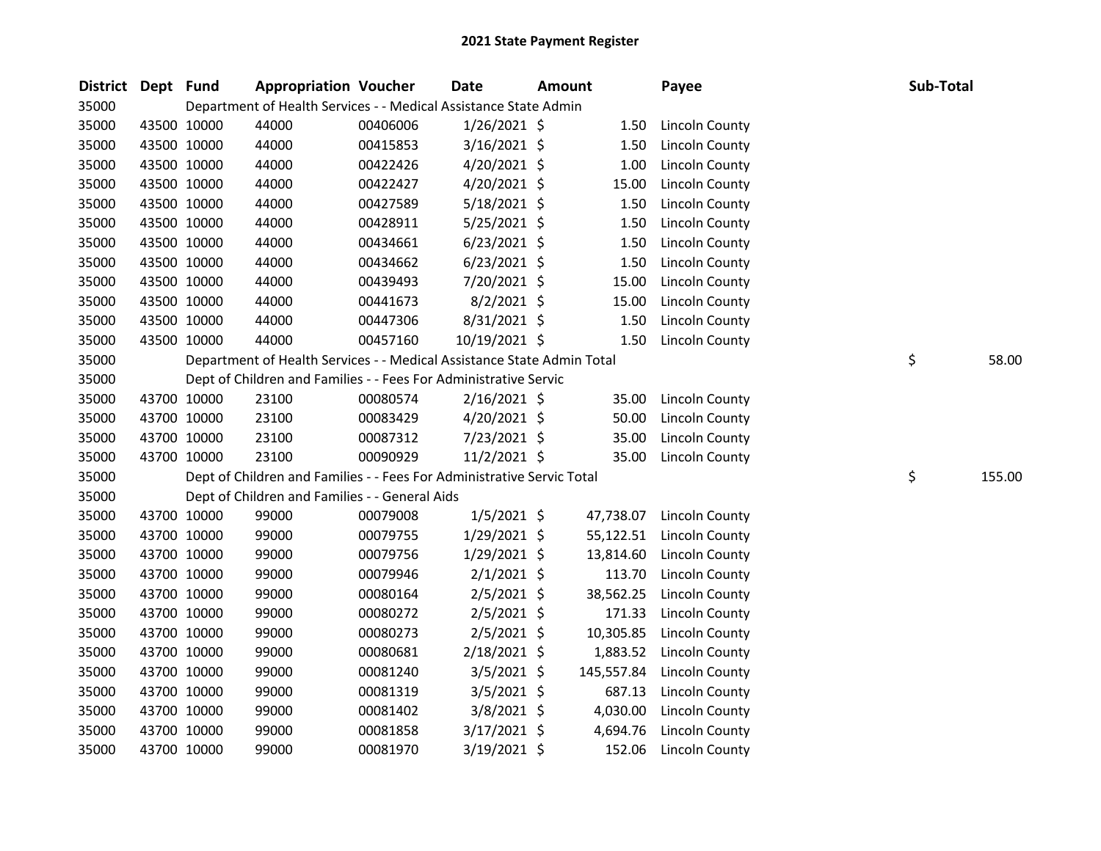| District Dept Fund |             | <b>Appropriation Voucher</b>                                           |          | Date           | <b>Amount</b> |            | Payee                 | Sub-Total |        |
|--------------------|-------------|------------------------------------------------------------------------|----------|----------------|---------------|------------|-----------------------|-----------|--------|
| 35000              |             | Department of Health Services - - Medical Assistance State Admin       |          |                |               |            |                       |           |        |
| 35000              | 43500 10000 | 44000                                                                  | 00406006 | $1/26/2021$ \$ |               | 1.50       | Lincoln County        |           |        |
| 35000              | 43500 10000 | 44000                                                                  | 00415853 | $3/16/2021$ \$ |               | 1.50       | <b>Lincoln County</b> |           |        |
| 35000              | 43500 10000 | 44000                                                                  | 00422426 | $4/20/2021$ \$ |               | 1.00       | <b>Lincoln County</b> |           |        |
| 35000              | 43500 10000 | 44000                                                                  | 00422427 | $4/20/2021$ \$ |               | 15.00      | Lincoln County        |           |        |
| 35000              | 43500 10000 | 44000                                                                  | 00427589 | $5/18/2021$ \$ |               | 1.50       | <b>Lincoln County</b> |           |        |
| 35000              | 43500 10000 | 44000                                                                  | 00428911 | $5/25/2021$ \$ |               | 1.50       | Lincoln County        |           |        |
| 35000              | 43500 10000 | 44000                                                                  | 00434661 | $6/23/2021$ \$ |               | 1.50       | Lincoln County        |           |        |
| 35000              | 43500 10000 | 44000                                                                  | 00434662 | $6/23/2021$ \$ |               | 1.50       | Lincoln County        |           |        |
| 35000              | 43500 10000 | 44000                                                                  | 00439493 | 7/20/2021 \$   |               | 15.00      | <b>Lincoln County</b> |           |        |
| 35000              | 43500 10000 | 44000                                                                  | 00441673 | $8/2/2021$ \$  |               | 15.00      | Lincoln County        |           |        |
| 35000              | 43500 10000 | 44000                                                                  | 00447306 | 8/31/2021 \$   |               | 1.50       | Lincoln County        |           |        |
| 35000              | 43500 10000 | 44000                                                                  | 00457160 | 10/19/2021 \$  |               | 1.50       | Lincoln County        |           |        |
| 35000              |             | Department of Health Services - - Medical Assistance State Admin Total |          |                |               |            |                       | \$        | 58.00  |
| 35000              |             | Dept of Children and Families - - Fees For Administrative Servic       |          |                |               |            |                       |           |        |
| 35000              | 43700 10000 | 23100                                                                  | 00080574 | 2/16/2021 \$   |               | 35.00      | Lincoln County        |           |        |
| 35000              | 43700 10000 | 23100                                                                  | 00083429 | $4/20/2021$ \$ |               | 50.00      | <b>Lincoln County</b> |           |        |
| 35000              | 43700 10000 | 23100                                                                  | 00087312 | 7/23/2021 \$   |               | 35.00      | <b>Lincoln County</b> |           |        |
| 35000              | 43700 10000 | 23100                                                                  | 00090929 | $11/2/2021$ \$ |               | 35.00      | Lincoln County        |           |        |
| 35000              |             | Dept of Children and Families - - Fees For Administrative Servic Total |          |                |               |            |                       | \$        | 155.00 |
| 35000              |             | Dept of Children and Families - - General Aids                         |          |                |               |            |                       |           |        |
| 35000              | 43700 10000 | 99000                                                                  | 00079008 | $1/5/2021$ \$  |               | 47,738.07  | <b>Lincoln County</b> |           |        |
| 35000              | 43700 10000 | 99000                                                                  | 00079755 | $1/29/2021$ \$ |               | 55,122.51  | Lincoln County        |           |        |
| 35000              | 43700 10000 | 99000                                                                  | 00079756 | $1/29/2021$ \$ |               | 13,814.60  | Lincoln County        |           |        |
| 35000              | 43700 10000 | 99000                                                                  | 00079946 | $2/1/2021$ \$  |               | 113.70     | Lincoln County        |           |        |
| 35000              | 43700 10000 | 99000                                                                  | 00080164 | $2/5/2021$ \$  |               | 38,562.25  | Lincoln County        |           |        |
| 35000              | 43700 10000 | 99000                                                                  | 00080272 | $2/5/2021$ \$  |               | 171.33     | Lincoln County        |           |        |
| 35000              | 43700 10000 | 99000                                                                  | 00080273 | 2/5/2021 \$    |               | 10,305.85  | Lincoln County        |           |        |
| 35000              | 43700 10000 | 99000                                                                  | 00080681 | 2/18/2021 \$   |               | 1,883.52   | Lincoln County        |           |        |
| 35000              | 43700 10000 | 99000                                                                  | 00081240 | $3/5/2021$ \$  |               | 145,557.84 | Lincoln County        |           |        |
| 35000              | 43700 10000 | 99000                                                                  | 00081319 | $3/5/2021$ \$  |               | 687.13     | <b>Lincoln County</b> |           |        |
| 35000              | 43700 10000 | 99000                                                                  | 00081402 | 3/8/2021 \$    |               | 4,030.00   | Lincoln County        |           |        |
| 35000              | 43700 10000 | 99000                                                                  | 00081858 | 3/17/2021 \$   |               | 4,694.76   | <b>Lincoln County</b> |           |        |
| 35000              | 43700 10000 | 99000                                                                  | 00081970 | 3/19/2021 \$   |               | 152.06     | Lincoln County        |           |        |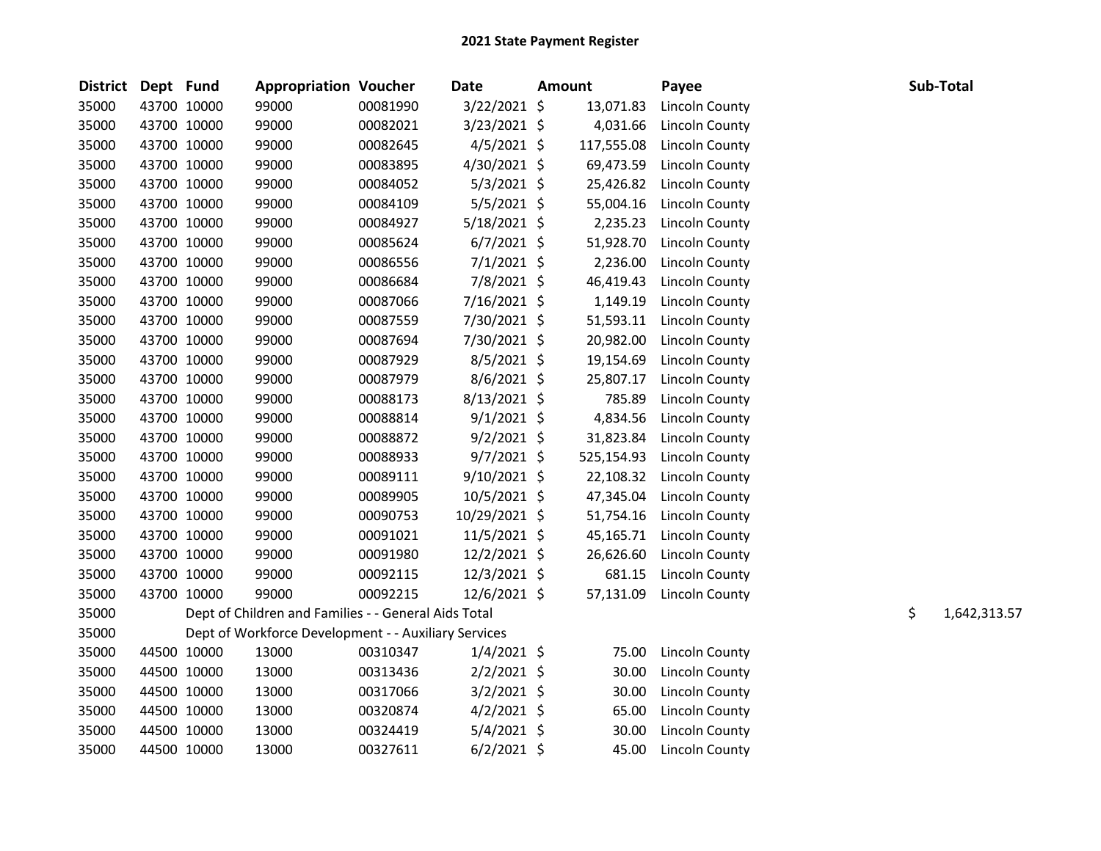| District Dept Fund |             |             | <b>Appropriation Voucher</b>                         |          | <b>Date</b>    | <b>Amount</b> |            | Payee                 |    | Sub-Total    |
|--------------------|-------------|-------------|------------------------------------------------------|----------|----------------|---------------|------------|-----------------------|----|--------------|
| 35000              |             | 43700 10000 | 99000                                                | 00081990 | 3/22/2021 \$   |               | 13,071.83  | Lincoln County        |    |              |
| 35000              |             | 43700 10000 | 99000                                                | 00082021 | 3/23/2021 \$   |               | 4,031.66   | <b>Lincoln County</b> |    |              |
| 35000              | 43700 10000 |             | 99000                                                | 00082645 | $4/5/2021$ \$  |               | 117,555.08 | Lincoln County        |    |              |
| 35000              |             | 43700 10000 | 99000                                                | 00083895 | 4/30/2021 \$   |               | 69,473.59  | Lincoln County        |    |              |
| 35000              |             | 43700 10000 | 99000                                                | 00084052 | $5/3/2021$ \$  |               | 25,426.82  | <b>Lincoln County</b> |    |              |
| 35000              |             | 43700 10000 | 99000                                                | 00084109 | $5/5/2021$ \$  |               | 55,004.16  | Lincoln County        |    |              |
| 35000              | 43700 10000 |             | 99000                                                | 00084927 | 5/18/2021 \$   |               | 2,235.23   | <b>Lincoln County</b> |    |              |
| 35000              | 43700 10000 |             | 99000                                                | 00085624 | $6/7/2021$ \$  |               | 51,928.70  | Lincoln County        |    |              |
| 35000              | 43700 10000 |             | 99000                                                | 00086556 | $7/1/2021$ \$  |               | 2,236.00   | Lincoln County        |    |              |
| 35000              | 43700 10000 |             | 99000                                                | 00086684 | 7/8/2021 \$    |               | 46,419.43  | <b>Lincoln County</b> |    |              |
| 35000              | 43700 10000 |             | 99000                                                | 00087066 | 7/16/2021 \$   |               | 1,149.19   | Lincoln County        |    |              |
| 35000              |             | 43700 10000 | 99000                                                | 00087559 | 7/30/2021 \$   |               | 51,593.11  | Lincoln County        |    |              |
| 35000              |             | 43700 10000 | 99000                                                | 00087694 | 7/30/2021 \$   |               | 20,982.00  | Lincoln County        |    |              |
| 35000              |             | 43700 10000 | 99000                                                | 00087929 | 8/5/2021 \$    |               | 19,154.69  | Lincoln County        |    |              |
| 35000              |             | 43700 10000 | 99000                                                | 00087979 | 8/6/2021 \$    |               | 25,807.17  | Lincoln County        |    |              |
| 35000              |             | 43700 10000 | 99000                                                | 00088173 | 8/13/2021 \$   |               | 785.89     | Lincoln County        |    |              |
| 35000              |             | 43700 10000 | 99000                                                | 00088814 | $9/1/2021$ \$  |               | 4,834.56   | <b>Lincoln County</b> |    |              |
| 35000              | 43700 10000 |             | 99000                                                | 00088872 | $9/2/2021$ \$  |               | 31,823.84  | Lincoln County        |    |              |
| 35000              |             | 43700 10000 | 99000                                                | 00088933 | $9/7/2021$ \$  |               | 525,154.93 | <b>Lincoln County</b> |    |              |
| 35000              |             | 43700 10000 | 99000                                                | 00089111 | $9/10/2021$ \$ |               | 22,108.32  | Lincoln County        |    |              |
| 35000              |             | 43700 10000 | 99000                                                | 00089905 | 10/5/2021 \$   |               | 47,345.04  | Lincoln County        |    |              |
| 35000              | 43700 10000 |             | 99000                                                | 00090753 | 10/29/2021 \$  |               | 51,754.16  | Lincoln County        |    |              |
| 35000              |             | 43700 10000 | 99000                                                | 00091021 | 11/5/2021 \$   |               | 45,165.71  | Lincoln County        |    |              |
| 35000              | 43700 10000 |             | 99000                                                | 00091980 | 12/2/2021 \$   |               | 26,626.60  | Lincoln County        |    |              |
| 35000              | 43700 10000 |             | 99000                                                | 00092115 | 12/3/2021 \$   |               | 681.15     | <b>Lincoln County</b> |    |              |
| 35000              | 43700 10000 |             | 99000                                                | 00092215 | 12/6/2021 \$   |               | 57,131.09  | Lincoln County        |    |              |
| 35000              |             |             | Dept of Children and Families - - General Aids Total |          |                |               |            |                       | \$ | 1,642,313.57 |
| 35000              |             |             | Dept of Workforce Development - - Auxiliary Services |          |                |               |            |                       |    |              |
| 35000              |             | 44500 10000 | 13000                                                | 00310347 | $1/4/2021$ \$  |               | 75.00      | <b>Lincoln County</b> |    |              |
| 35000              |             | 44500 10000 | 13000                                                | 00313436 | $2/2/2021$ \$  |               | 30.00      | <b>Lincoln County</b> |    |              |
| 35000              |             | 44500 10000 | 13000                                                | 00317066 | $3/2/2021$ \$  |               | 30.00      | <b>Lincoln County</b> |    |              |
| 35000              |             | 44500 10000 | 13000                                                | 00320874 | $4/2/2021$ \$  |               | 65.00      | <b>Lincoln County</b> |    |              |
| 35000              |             | 44500 10000 | 13000                                                | 00324419 | 5/4/2021 \$    |               | 30.00      | Lincoln County        |    |              |
| 35000              | 44500 10000 |             | 13000                                                | 00327611 | $6/2/2021$ \$  |               | 45.00      | Lincoln County        |    |              |
|                    |             |             |                                                      |          |                |               |            |                       |    |              |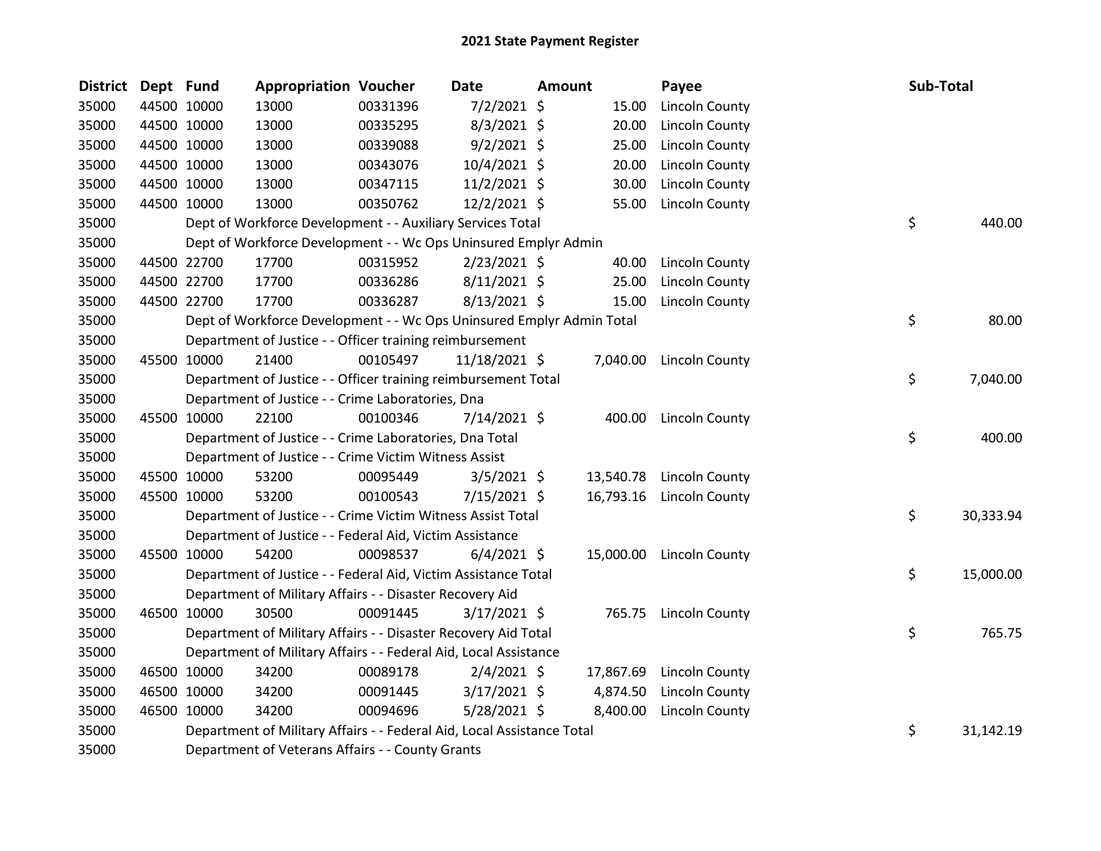| <b>District</b> | Dept Fund |             | <b>Appropriation Voucher</b>                                           |          | Date           | Amount |           | Payee                    | Sub-Total |           |
|-----------------|-----------|-------------|------------------------------------------------------------------------|----------|----------------|--------|-----------|--------------------------|-----------|-----------|
| 35000           |           | 44500 10000 | 13000                                                                  | 00331396 | $7/2/2021$ \$  |        | 15.00     | Lincoln County           |           |           |
| 35000           |           | 44500 10000 | 13000                                                                  | 00335295 | $8/3/2021$ \$  |        | 20.00     | Lincoln County           |           |           |
| 35000           |           | 44500 10000 | 13000                                                                  | 00339088 | $9/2/2021$ \$  |        | 25.00     | Lincoln County           |           |           |
| 35000           |           | 44500 10000 | 13000                                                                  | 00343076 | 10/4/2021 \$   |        | 20.00     | Lincoln County           |           |           |
| 35000           |           | 44500 10000 | 13000                                                                  | 00347115 | $11/2/2021$ \$ |        | 30.00     | Lincoln County           |           |           |
| 35000           |           | 44500 10000 | 13000                                                                  | 00350762 | 12/2/2021 \$   |        | 55.00     | Lincoln County           |           |           |
| 35000           |           |             | Dept of Workforce Development - - Auxiliary Services Total             |          |                |        |           |                          | \$        | 440.00    |
| 35000           |           |             | Dept of Workforce Development - - Wc Ops Uninsured Emplyr Admin        |          |                |        |           |                          |           |           |
| 35000           |           | 44500 22700 | 17700                                                                  | 00315952 | 2/23/2021 \$   |        | 40.00     | Lincoln County           |           |           |
| 35000           |           | 44500 22700 | 17700                                                                  | 00336286 | $8/11/2021$ \$ |        | 25.00     | Lincoln County           |           |           |
| 35000           |           | 44500 22700 | 17700                                                                  | 00336287 | $8/13/2021$ \$ |        | 15.00     | Lincoln County           |           |           |
| 35000           |           |             | Dept of Workforce Development - - Wc Ops Uninsured Emplyr Admin Total  |          |                |        |           |                          | \$        | 80.00     |
| 35000           |           |             | Department of Justice - - Officer training reimbursement               |          |                |        |           |                          |           |           |
| 35000           |           | 45500 10000 | 21400                                                                  | 00105497 | 11/18/2021 \$  |        | 7,040.00  | Lincoln County           |           |           |
| 35000           |           |             | Department of Justice - - Officer training reimbursement Total         |          |                |        |           |                          | \$        | 7,040.00  |
| 35000           |           |             | Department of Justice - - Crime Laboratories, Dna                      |          |                |        |           |                          |           |           |
| 35000           |           | 45500 10000 | 22100                                                                  | 00100346 | 7/14/2021 \$   |        |           | 400.00 Lincoln County    |           |           |
| 35000           |           |             | Department of Justice - - Crime Laboratories, Dna Total                |          |                |        |           |                          | \$        | 400.00    |
| 35000           |           |             | Department of Justice - - Crime Victim Witness Assist                  |          |                |        |           |                          |           |           |
| 35000           |           | 45500 10000 | 53200                                                                  | 00095449 | $3/5/2021$ \$  |        |           | 13,540.78 Lincoln County |           |           |
| 35000           |           | 45500 10000 | 53200                                                                  | 00100543 | 7/15/2021 \$   |        | 16,793.16 | Lincoln County           |           |           |
| 35000           |           |             | Department of Justice - - Crime Victim Witness Assist Total            |          |                |        |           |                          | \$        | 30,333.94 |
| 35000           |           |             | Department of Justice - - Federal Aid, Victim Assistance               |          |                |        |           |                          |           |           |
| 35000           |           | 45500 10000 | 54200                                                                  | 00098537 | $6/4/2021$ \$  |        |           | 15,000.00 Lincoln County |           |           |
| 35000           |           |             | Department of Justice - - Federal Aid, Victim Assistance Total         |          |                |        |           |                          | \$        | 15,000.00 |
| 35000           |           |             | Department of Military Affairs - - Disaster Recovery Aid               |          |                |        |           |                          |           |           |
| 35000           |           | 46500 10000 | 30500                                                                  | 00091445 | 3/17/2021 \$   |        |           | 765.75 Lincoln County    |           |           |
| 35000           |           |             | Department of Military Affairs - - Disaster Recovery Aid Total         |          |                |        |           |                          | \$        | 765.75    |
| 35000           |           |             | Department of Military Affairs - - Federal Aid, Local Assistance       |          |                |        |           |                          |           |           |
| 35000           |           | 46500 10000 | 34200                                                                  | 00089178 | $2/4/2021$ \$  |        | 17,867.69 | Lincoln County           |           |           |
| 35000           |           | 46500 10000 | 34200                                                                  | 00091445 | 3/17/2021 \$   |        | 4,874.50  | Lincoln County           |           |           |
| 35000           |           | 46500 10000 | 34200                                                                  | 00094696 | $5/28/2021$ \$ |        | 8,400.00  | <b>Lincoln County</b>    |           |           |
| 35000           |           |             | Department of Military Affairs - - Federal Aid, Local Assistance Total |          |                |        |           |                          | \$        | 31,142.19 |
| 35000           |           |             | Department of Veterans Affairs - - County Grants                       |          |                |        |           |                          |           |           |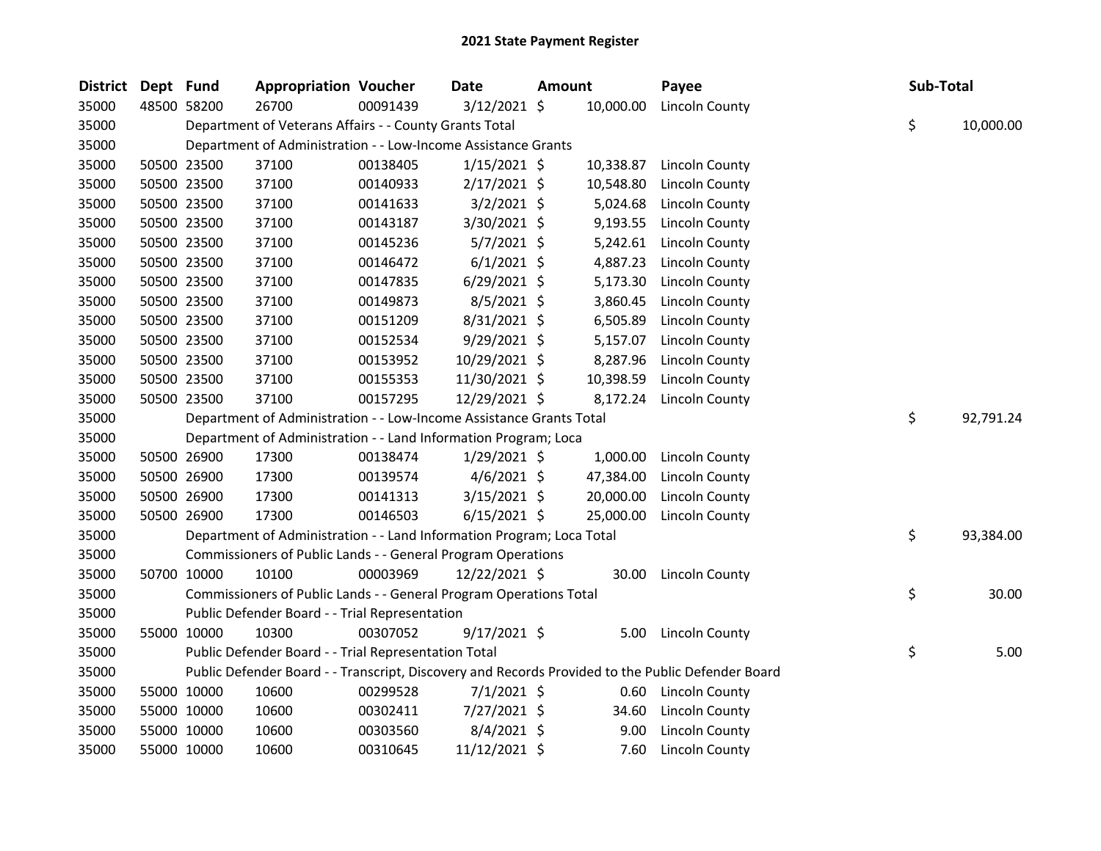| District | Dept Fund |             | <b>Appropriation Voucher</b>                                          |          | Date           | <b>Amount</b> |           | Payee                                                                                             | Sub-Total |           |
|----------|-----------|-------------|-----------------------------------------------------------------------|----------|----------------|---------------|-----------|---------------------------------------------------------------------------------------------------|-----------|-----------|
| 35000    |           | 48500 58200 | 26700                                                                 | 00091439 | $3/12/2021$ \$ |               | 10,000.00 | Lincoln County                                                                                    |           |           |
| 35000    |           |             | Department of Veterans Affairs - - County Grants Total                |          |                |               |           |                                                                                                   | \$        | 10,000.00 |
| 35000    |           |             | Department of Administration - - Low-Income Assistance Grants         |          |                |               |           |                                                                                                   |           |           |
| 35000    |           | 50500 23500 | 37100                                                                 | 00138405 | $1/15/2021$ \$ |               | 10,338.87 | Lincoln County                                                                                    |           |           |
| 35000    |           | 50500 23500 | 37100                                                                 | 00140933 | $2/17/2021$ \$ |               | 10,548.80 | <b>Lincoln County</b>                                                                             |           |           |
| 35000    |           | 50500 23500 | 37100                                                                 | 00141633 | $3/2/2021$ \$  |               | 5,024.68  | <b>Lincoln County</b>                                                                             |           |           |
| 35000    |           | 50500 23500 | 37100                                                                 | 00143187 | 3/30/2021 \$   |               | 9,193.55  | <b>Lincoln County</b>                                                                             |           |           |
| 35000    |           | 50500 23500 | 37100                                                                 | 00145236 | $5/7/2021$ \$  |               | 5,242.61  | Lincoln County                                                                                    |           |           |
| 35000    |           | 50500 23500 | 37100                                                                 | 00146472 | $6/1/2021$ \$  |               | 4,887.23  | <b>Lincoln County</b>                                                                             |           |           |
| 35000    |           | 50500 23500 | 37100                                                                 | 00147835 | $6/29/2021$ \$ |               | 5,173.30  | Lincoln County                                                                                    |           |           |
| 35000    |           | 50500 23500 | 37100                                                                 | 00149873 | $8/5/2021$ \$  |               | 3,860.45  | <b>Lincoln County</b>                                                                             |           |           |
| 35000    |           | 50500 23500 | 37100                                                                 | 00151209 | 8/31/2021 \$   |               | 6,505.89  | <b>Lincoln County</b>                                                                             |           |           |
| 35000    |           | 50500 23500 | 37100                                                                 | 00152534 | $9/29/2021$ \$ |               | 5,157.07  | <b>Lincoln County</b>                                                                             |           |           |
| 35000    |           | 50500 23500 | 37100                                                                 | 00153952 | 10/29/2021 \$  |               | 8,287.96  | <b>Lincoln County</b>                                                                             |           |           |
| 35000    |           | 50500 23500 | 37100                                                                 | 00155353 | 11/30/2021 \$  |               | 10,398.59 | <b>Lincoln County</b>                                                                             |           |           |
| 35000    |           | 50500 23500 | 37100                                                                 | 00157295 | 12/29/2021 \$  |               |           | 8,172.24 Lincoln County                                                                           |           |           |
| 35000    |           |             | Department of Administration - - Low-Income Assistance Grants Total   |          |                |               |           |                                                                                                   | \$        | 92,791.24 |
| 35000    |           |             | Department of Administration - - Land Information Program; Loca       |          |                |               |           |                                                                                                   |           |           |
| 35000    |           | 50500 26900 | 17300                                                                 | 00138474 | $1/29/2021$ \$ |               | 1,000.00  | Lincoln County                                                                                    |           |           |
| 35000    |           | 50500 26900 | 17300                                                                 | 00139574 | $4/6/2021$ \$  |               | 47,384.00 | Lincoln County                                                                                    |           |           |
| 35000    |           | 50500 26900 | 17300                                                                 | 00141313 | $3/15/2021$ \$ |               | 20,000.00 | <b>Lincoln County</b>                                                                             |           |           |
| 35000    |           | 50500 26900 | 17300                                                                 | 00146503 | $6/15/2021$ \$ |               | 25,000.00 | <b>Lincoln County</b>                                                                             |           |           |
| 35000    |           |             | Department of Administration - - Land Information Program; Loca Total |          |                |               |           |                                                                                                   | \$        | 93,384.00 |
| 35000    |           |             | Commissioners of Public Lands - - General Program Operations          |          |                |               |           |                                                                                                   |           |           |
| 35000    |           | 50700 10000 | 10100                                                                 | 00003969 | 12/22/2021 \$  |               |           | 30.00 Lincoln County                                                                              |           |           |
| 35000    |           |             | Commissioners of Public Lands - - General Program Operations Total    |          |                |               |           |                                                                                                   | \$        | 30.00     |
| 35000    |           |             | Public Defender Board - - Trial Representation                        |          |                |               |           |                                                                                                   |           |           |
| 35000    |           | 55000 10000 | 10300                                                                 | 00307052 | $9/17/2021$ \$ |               |           | 5.00 Lincoln County                                                                               |           |           |
| 35000    |           |             | Public Defender Board - - Trial Representation Total                  |          |                |               |           |                                                                                                   | \$        | 5.00      |
| 35000    |           |             |                                                                       |          |                |               |           | Public Defender Board - - Transcript, Discovery and Records Provided to the Public Defender Board |           |           |
| 35000    |           | 55000 10000 | 10600                                                                 | 00299528 | $7/1/2021$ \$  |               |           | 0.60 Lincoln County                                                                               |           |           |
| 35000    |           | 55000 10000 | 10600                                                                 | 00302411 | 7/27/2021 \$   |               | 34.60     | <b>Lincoln County</b>                                                                             |           |           |
| 35000    |           | 55000 10000 | 10600                                                                 | 00303560 | $8/4/2021$ \$  |               | 9.00      | <b>Lincoln County</b>                                                                             |           |           |
| 35000    |           | 55000 10000 | 10600                                                                 | 00310645 | 11/12/2021 \$  |               | 7.60      | <b>Lincoln County</b>                                                                             |           |           |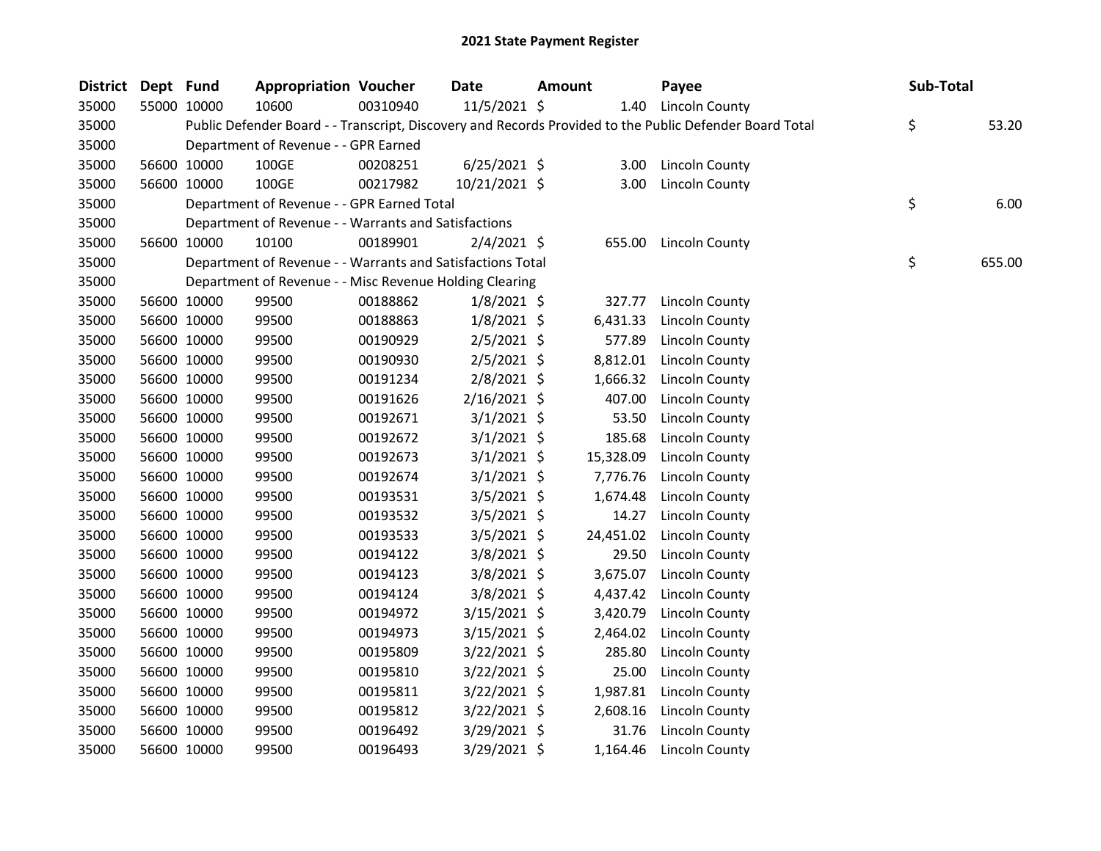| <b>District</b> | Dept Fund |             | <b>Appropriation Voucher</b>                               |          | <b>Date</b>    | Amount |           | Payee                                                                                                   | Sub-Total |        |
|-----------------|-----------|-------------|------------------------------------------------------------|----------|----------------|--------|-----------|---------------------------------------------------------------------------------------------------------|-----------|--------|
| 35000           |           | 55000 10000 | 10600                                                      | 00310940 | 11/5/2021 \$   |        |           | 1.40 Lincoln County                                                                                     |           |        |
| 35000           |           |             |                                                            |          |                |        |           | Public Defender Board - - Transcript, Discovery and Records Provided to the Public Defender Board Total | \$        | 53.20  |
| 35000           |           |             | Department of Revenue - - GPR Earned                       |          |                |        |           |                                                                                                         |           |        |
| 35000           |           | 56600 10000 | 100GE                                                      | 00208251 | $6/25/2021$ \$ |        | 3.00      | Lincoln County                                                                                          |           |        |
| 35000           |           | 56600 10000 | 100GE                                                      | 00217982 | 10/21/2021 \$  |        | 3.00      | Lincoln County                                                                                          |           |        |
| 35000           |           |             | Department of Revenue - - GPR Earned Total                 |          |                |        |           |                                                                                                         | \$        | 6.00   |
| 35000           |           |             | Department of Revenue - - Warrants and Satisfactions       |          |                |        |           |                                                                                                         |           |        |
| 35000           |           | 56600 10000 | 10100                                                      | 00189901 | $2/4/2021$ \$  |        | 655.00    | Lincoln County                                                                                          |           |        |
| 35000           |           |             | Department of Revenue - - Warrants and Satisfactions Total |          |                |        |           |                                                                                                         | \$        | 655.00 |
| 35000           |           |             | Department of Revenue - - Misc Revenue Holding Clearing    |          |                |        |           |                                                                                                         |           |        |
| 35000           |           | 56600 10000 | 99500                                                      | 00188862 | $1/8/2021$ \$  |        | 327.77    | <b>Lincoln County</b>                                                                                   |           |        |
| 35000           |           | 56600 10000 | 99500                                                      | 00188863 | $1/8/2021$ \$  |        | 6,431.33  | Lincoln County                                                                                          |           |        |
| 35000           |           | 56600 10000 | 99500                                                      | 00190929 | $2/5/2021$ \$  |        | 577.89    | Lincoln County                                                                                          |           |        |
| 35000           |           | 56600 10000 | 99500                                                      | 00190930 | $2/5/2021$ \$  |        | 8,812.01  | <b>Lincoln County</b>                                                                                   |           |        |
| 35000           |           | 56600 10000 | 99500                                                      | 00191234 | 2/8/2021 \$    |        | 1,666.32  | Lincoln County                                                                                          |           |        |
| 35000           |           | 56600 10000 | 99500                                                      | 00191626 | $2/16/2021$ \$ |        | 407.00    | Lincoln County                                                                                          |           |        |
| 35000           |           | 56600 10000 | 99500                                                      | 00192671 | $3/1/2021$ \$  |        | 53.50     | <b>Lincoln County</b>                                                                                   |           |        |
| 35000           |           | 56600 10000 | 99500                                                      | 00192672 | $3/1/2021$ \$  |        | 185.68    | <b>Lincoln County</b>                                                                                   |           |        |
| 35000           |           | 56600 10000 | 99500                                                      | 00192673 | $3/1/2021$ \$  |        | 15,328.09 | Lincoln County                                                                                          |           |        |
| 35000           |           | 56600 10000 | 99500                                                      | 00192674 | $3/1/2021$ \$  |        | 7,776.76  | Lincoln County                                                                                          |           |        |
| 35000           |           | 56600 10000 | 99500                                                      | 00193531 | 3/5/2021 \$    |        | 1,674.48  | Lincoln County                                                                                          |           |        |
| 35000           |           | 56600 10000 | 99500                                                      | 00193532 | $3/5/2021$ \$  |        | 14.27     | Lincoln County                                                                                          |           |        |
| 35000           |           | 56600 10000 | 99500                                                      | 00193533 | $3/5/2021$ \$  |        | 24,451.02 | Lincoln County                                                                                          |           |        |
| 35000           |           | 56600 10000 | 99500                                                      | 00194122 | $3/8/2021$ \$  |        | 29.50     | Lincoln County                                                                                          |           |        |
| 35000           |           | 56600 10000 | 99500                                                      | 00194123 | $3/8/2021$ \$  |        | 3,675.07  | Lincoln County                                                                                          |           |        |
| 35000           |           | 56600 10000 | 99500                                                      | 00194124 | 3/8/2021 \$    |        | 4,437.42  | Lincoln County                                                                                          |           |        |
| 35000           |           | 56600 10000 | 99500                                                      | 00194972 | $3/15/2021$ \$ |        | 3,420.79  | Lincoln County                                                                                          |           |        |
| 35000           |           | 56600 10000 | 99500                                                      | 00194973 | 3/15/2021 \$   |        | 2,464.02  | Lincoln County                                                                                          |           |        |
| 35000           |           | 56600 10000 | 99500                                                      | 00195809 | $3/22/2021$ \$ |        | 285.80    | <b>Lincoln County</b>                                                                                   |           |        |
| 35000           |           | 56600 10000 | 99500                                                      | 00195810 | $3/22/2021$ \$ |        | 25.00     | Lincoln County                                                                                          |           |        |
| 35000           |           | 56600 10000 | 99500                                                      | 00195811 | 3/22/2021 \$   |        | 1,987.81  | Lincoln County                                                                                          |           |        |
| 35000           |           | 56600 10000 | 99500                                                      | 00195812 | 3/22/2021 \$   |        | 2,608.16  | Lincoln County                                                                                          |           |        |
| 35000           |           | 56600 10000 | 99500                                                      | 00196492 | 3/29/2021 \$   |        | 31.76     | <b>Lincoln County</b>                                                                                   |           |        |
| 35000           |           | 56600 10000 | 99500                                                      | 00196493 | 3/29/2021 \$   |        | 1,164.46  | <b>Lincoln County</b>                                                                                   |           |        |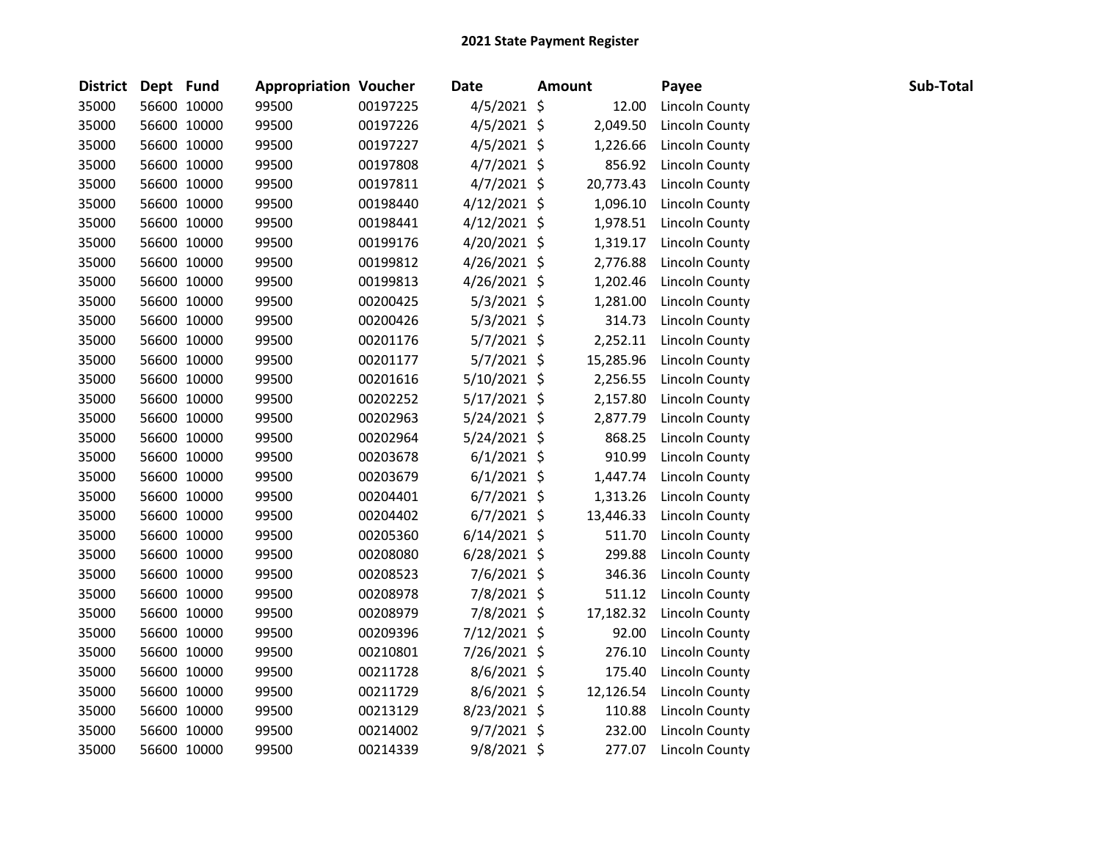| District Dept Fund |             | <b>Appropriation Voucher</b> |          | <b>Date</b>    | <b>Amount</b> | Payee                 | Sub-Total |
|--------------------|-------------|------------------------------|----------|----------------|---------------|-----------------------|-----------|
| 35000              | 56600 10000 | 99500                        | 00197225 | $4/5/2021$ \$  | 12.00         | Lincoln County        |           |
| 35000              | 56600 10000 | 99500                        | 00197226 | $4/5/2021$ \$  | 2,049.50      | <b>Lincoln County</b> |           |
| 35000              | 56600 10000 | 99500                        | 00197227 | $4/5/2021$ \$  | 1,226.66      | Lincoln County        |           |
| 35000              | 56600 10000 | 99500                        | 00197808 | $4/7/2021$ \$  | 856.92        | Lincoln County        |           |
| 35000              | 56600 10000 | 99500                        | 00197811 | $4/7/2021$ \$  | 20,773.43     | Lincoln County        |           |
| 35000              | 56600 10000 | 99500                        | 00198440 | $4/12/2021$ \$ | 1,096.10      | Lincoln County        |           |
| 35000              | 56600 10000 | 99500                        | 00198441 | $4/12/2021$ \$ | 1,978.51      | Lincoln County        |           |
| 35000              | 56600 10000 | 99500                        | 00199176 | $4/20/2021$ \$ | 1,319.17      | Lincoln County        |           |
| 35000              | 56600 10000 | 99500                        | 00199812 | $4/26/2021$ \$ | 2,776.88      | <b>Lincoln County</b> |           |
| 35000              | 56600 10000 | 99500                        | 00199813 | 4/26/2021 \$   | 1,202.46      | <b>Lincoln County</b> |           |
| 35000              | 56600 10000 | 99500                        | 00200425 | $5/3/2021$ \$  | 1,281.00      | <b>Lincoln County</b> |           |
| 35000              | 56600 10000 | 99500                        | 00200426 | $5/3/2021$ \$  | 314.73        | Lincoln County        |           |
| 35000              | 56600 10000 | 99500                        | 00201176 | $5/7/2021$ \$  | 2,252.11      | Lincoln County        |           |
| 35000              | 56600 10000 | 99500                        | 00201177 | 5/7/2021 \$    | 15,285.96     | Lincoln County        |           |
| 35000              | 56600 10000 | 99500                        | 00201616 | 5/10/2021 \$   | 2,256.55      | Lincoln County        |           |
| 35000              | 56600 10000 | 99500                        | 00202252 | $5/17/2021$ \$ | 2,157.80      | Lincoln County        |           |
| 35000              | 56600 10000 | 99500                        | 00202963 | 5/24/2021 \$   | 2,877.79      | Lincoln County        |           |
| 35000              | 56600 10000 | 99500                        | 00202964 | 5/24/2021 \$   | 868.25        | <b>Lincoln County</b> |           |
| 35000              | 56600 10000 | 99500                        | 00203678 | $6/1/2021$ \$  | 910.99        | Lincoln County        |           |
| 35000              | 56600 10000 | 99500                        | 00203679 | $6/1/2021$ \$  | 1,447.74      | Lincoln County        |           |
| 35000              | 56600 10000 | 99500                        | 00204401 | $6/7/2021$ \$  | 1,313.26      | Lincoln County        |           |
| 35000              | 56600 10000 | 99500                        | 00204402 | $6/7/2021$ \$  | 13,446.33     | Lincoln County        |           |
| 35000              | 56600 10000 | 99500                        | 00205360 | $6/14/2021$ \$ | 511.70        | Lincoln County        |           |
| 35000              | 56600 10000 | 99500                        | 00208080 | $6/28/2021$ \$ | 299.88        | Lincoln County        |           |
| 35000              | 56600 10000 | 99500                        | 00208523 | 7/6/2021 \$    | 346.36        | <b>Lincoln County</b> |           |
| 35000              | 56600 10000 | 99500                        | 00208978 | 7/8/2021 \$    | 511.12        | Lincoln County        |           |
| 35000              | 56600 10000 | 99500                        | 00208979 | 7/8/2021 \$    | 17,182.32     | Lincoln County        |           |
| 35000              | 56600 10000 | 99500                        | 00209396 | 7/12/2021 \$   | 92.00         | Lincoln County        |           |
| 35000              | 56600 10000 | 99500                        | 00210801 | 7/26/2021 \$   | 276.10        | <b>Lincoln County</b> |           |
| 35000              | 56600 10000 | 99500                        | 00211728 | $8/6/2021$ \$  | 175.40        | Lincoln County        |           |
| 35000              | 56600 10000 | 99500                        | 00211729 | 8/6/2021 \$    | 12,126.54     | Lincoln County        |           |
| 35000              | 56600 10000 | 99500                        | 00213129 | 8/23/2021 \$   | 110.88        | <b>Lincoln County</b> |           |
| 35000              | 56600 10000 | 99500                        | 00214002 | $9/7/2021$ \$  | 232.00        | <b>Lincoln County</b> |           |
| 35000              | 56600 10000 | 99500                        | 00214339 | $9/8/2021$ \$  | 277.07        | Lincoln County        |           |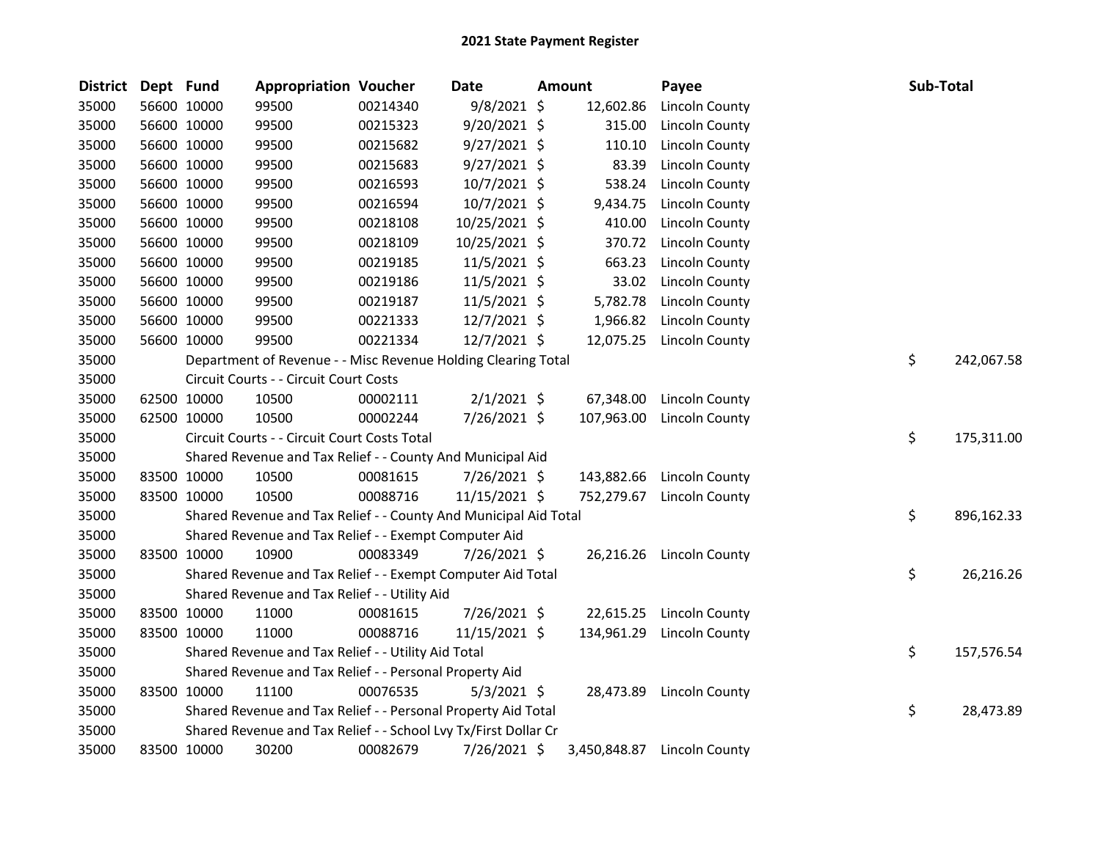| <b>District</b> | Dept Fund |             | <b>Appropriation Voucher</b>                                     |          | Date           | <b>Amount</b> | Payee                 | Sub-Total |            |
|-----------------|-----------|-------------|------------------------------------------------------------------|----------|----------------|---------------|-----------------------|-----------|------------|
| 35000           |           | 56600 10000 | 99500                                                            | 00214340 | $9/8/2021$ \$  | 12,602.86     | Lincoln County        |           |            |
| 35000           |           | 56600 10000 | 99500                                                            | 00215323 | 9/20/2021 \$   | 315.00        | <b>Lincoln County</b> |           |            |
| 35000           |           | 56600 10000 | 99500                                                            | 00215682 | $9/27/2021$ \$ | 110.10        | <b>Lincoln County</b> |           |            |
| 35000           |           | 56600 10000 | 99500                                                            | 00215683 | $9/27/2021$ \$ | 83.39         | <b>Lincoln County</b> |           |            |
| 35000           |           | 56600 10000 | 99500                                                            | 00216593 | $10/7/2021$ \$ | 538.24        | Lincoln County        |           |            |
| 35000           |           | 56600 10000 | 99500                                                            | 00216594 | 10/7/2021 \$   | 9,434.75      | Lincoln County        |           |            |
| 35000           |           | 56600 10000 | 99500                                                            | 00218108 | 10/25/2021 \$  | 410.00        | <b>Lincoln County</b> |           |            |
| 35000           |           | 56600 10000 | 99500                                                            | 00218109 | 10/25/2021 \$  | 370.72        | Lincoln County        |           |            |
| 35000           |           | 56600 10000 | 99500                                                            | 00219185 | 11/5/2021 \$   | 663.23        | <b>Lincoln County</b> |           |            |
| 35000           |           | 56600 10000 | 99500                                                            | 00219186 | 11/5/2021 \$   | 33.02         | Lincoln County        |           |            |
| 35000           |           | 56600 10000 | 99500                                                            | 00219187 | 11/5/2021 \$   | 5,782.78      | <b>Lincoln County</b> |           |            |
| 35000           |           | 56600 10000 | 99500                                                            | 00221333 | $12/7/2021$ \$ | 1,966.82      | Lincoln County        |           |            |
| 35000           |           | 56600 10000 | 99500                                                            | 00221334 | 12/7/2021 \$   | 12,075.25     | <b>Lincoln County</b> |           |            |
| 35000           |           |             | Department of Revenue - - Misc Revenue Holding Clearing Total    |          |                |               |                       | \$        | 242,067.58 |
| 35000           |           |             | Circuit Courts - - Circuit Court Costs                           |          |                |               |                       |           |            |
| 35000           |           | 62500 10000 | 10500                                                            | 00002111 | $2/1/2021$ \$  | 67,348.00     | Lincoln County        |           |            |
| 35000           |           | 62500 10000 | 10500                                                            | 00002244 | 7/26/2021 \$   | 107,963.00    | Lincoln County        |           |            |
| 35000           |           |             | Circuit Courts - - Circuit Court Costs Total                     |          |                |               |                       | \$        | 175,311.00 |
| 35000           |           |             | Shared Revenue and Tax Relief - - County And Municipal Aid       |          |                |               |                       |           |            |
| 35000           |           | 83500 10000 | 10500                                                            | 00081615 | 7/26/2021 \$   | 143,882.66    | Lincoln County        |           |            |
| 35000           |           | 83500 10000 | 10500                                                            | 00088716 | 11/15/2021 \$  | 752,279.67    | <b>Lincoln County</b> |           |            |
| 35000           |           |             | Shared Revenue and Tax Relief - - County And Municipal Aid Total |          |                |               |                       | \$        | 896,162.33 |
| 35000           |           |             | Shared Revenue and Tax Relief - - Exempt Computer Aid            |          |                |               |                       |           |            |
| 35000           |           | 83500 10000 | 10900                                                            | 00083349 | 7/26/2021 \$   | 26,216.26     | Lincoln County        |           |            |
| 35000           |           |             | Shared Revenue and Tax Relief - - Exempt Computer Aid Total      |          |                |               |                       | \$        | 26,216.26  |
| 35000           |           |             | Shared Revenue and Tax Relief - - Utility Aid                    |          |                |               |                       |           |            |
| 35000           |           | 83500 10000 | 11000                                                            | 00081615 | 7/26/2021 \$   | 22,615.25     | <b>Lincoln County</b> |           |            |
| 35000           |           | 83500 10000 | 11000                                                            | 00088716 | 11/15/2021 \$  | 134,961.29    | Lincoln County        |           |            |
| 35000           |           |             | Shared Revenue and Tax Relief - - Utility Aid Total              |          |                |               |                       | \$        | 157,576.54 |
| 35000           |           |             | Shared Revenue and Tax Relief - - Personal Property Aid          |          |                |               |                       |           |            |
| 35000           |           | 83500 10000 | 11100                                                            | 00076535 | $5/3/2021$ \$  | 28,473.89     | <b>Lincoln County</b> |           |            |
| 35000           |           |             | Shared Revenue and Tax Relief - - Personal Property Aid Total    |          |                |               |                       | \$        | 28,473.89  |
| 35000           |           |             | Shared Revenue and Tax Relief - - School Lvy Tx/First Dollar Cr  |          |                |               |                       |           |            |
| 35000           |           | 83500 10000 | 30200                                                            | 00082679 | 7/26/2021 \$   | 3,450,848.87  | Lincoln County        |           |            |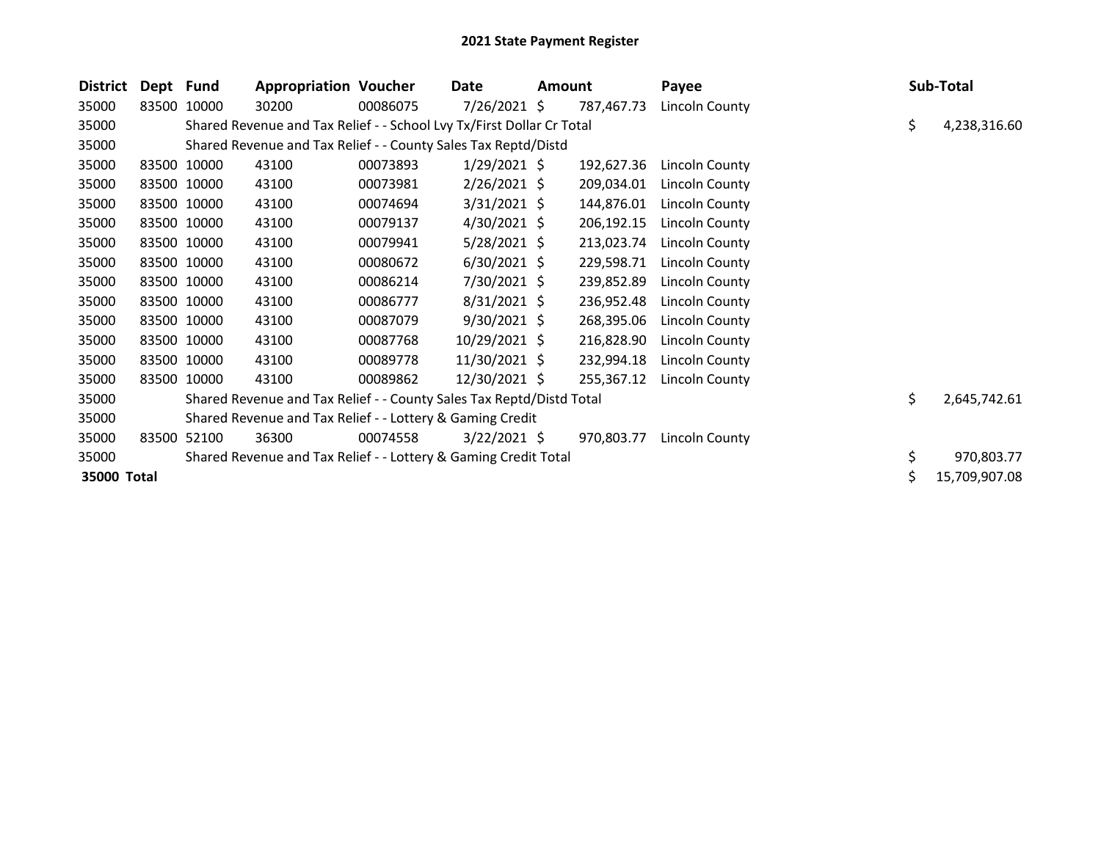| District    | Dept Fund |             | <b>Appropriation Voucher</b>                                          |          | Date           | <b>Amount</b> |            | Payee                 |    | Sub-Total     |
|-------------|-----------|-------------|-----------------------------------------------------------------------|----------|----------------|---------------|------------|-----------------------|----|---------------|
| 35000       |           | 83500 10000 | 30200                                                                 | 00086075 | 7/26/2021 \$   |               | 787,467.73 | Lincoln County        |    |               |
| 35000       |           |             | Shared Revenue and Tax Relief - - School Lvy Tx/First Dollar Cr Total |          |                |               |            |                       | \$ | 4,238,316.60  |
| 35000       |           |             | Shared Revenue and Tax Relief - - County Sales Tax Reptd/Distd        |          |                |               |            |                       |    |               |
| 35000       |           | 83500 10000 | 43100                                                                 | 00073893 | $1/29/2021$ \$ |               | 192,627.36 | Lincoln County        |    |               |
| 35000       |           | 83500 10000 | 43100                                                                 | 00073981 | $2/26/2021$ \$ |               | 209,034.01 | Lincoln County        |    |               |
| 35000       |           | 83500 10000 | 43100                                                                 | 00074694 | $3/31/2021$ \$ |               | 144,876.01 | Lincoln County        |    |               |
| 35000       |           | 83500 10000 | 43100                                                                 | 00079137 | $4/30/2021$ \$ |               | 206,192.15 | Lincoln County        |    |               |
| 35000       |           | 83500 10000 | 43100                                                                 | 00079941 | $5/28/2021$ \$ |               | 213,023.74 | Lincoln County        |    |               |
| 35000       |           | 83500 10000 | 43100                                                                 | 00080672 | $6/30/2021$ \$ |               | 229,598.71 | Lincoln County        |    |               |
| 35000       |           | 83500 10000 | 43100                                                                 | 00086214 | 7/30/2021 \$   |               | 239,852.89 | Lincoln County        |    |               |
| 35000       |           | 83500 10000 | 43100                                                                 | 00086777 | $8/31/2021$ \$ |               | 236,952.48 | <b>Lincoln County</b> |    |               |
| 35000       |           | 83500 10000 | 43100                                                                 | 00087079 | $9/30/2021$ \$ |               | 268,395.06 | Lincoln County        |    |               |
| 35000       |           | 83500 10000 | 43100                                                                 | 00087768 | 10/29/2021 \$  |               | 216,828.90 | Lincoln County        |    |               |
| 35000       |           | 83500 10000 | 43100                                                                 | 00089778 | 11/30/2021 \$  |               | 232,994.18 | Lincoln County        |    |               |
| 35000       |           | 83500 10000 | 43100                                                                 | 00089862 | 12/30/2021 \$  |               | 255,367.12 | Lincoln County        |    |               |
| 35000       |           |             | Shared Revenue and Tax Relief - - County Sales Tax Reptd/Distd Total  |          |                |               |            |                       | \$ | 2,645,742.61  |
| 35000       |           |             | Shared Revenue and Tax Relief - - Lottery & Gaming Credit             |          |                |               |            |                       |    |               |
| 35000       | 83500     | 52100       | 36300                                                                 | 00074558 | $3/22/2021$ \$ |               | 970,803.77 | Lincoln County        |    |               |
| 35000       |           |             | Shared Revenue and Tax Relief - - Lottery & Gaming Credit Total       |          |                |               |            |                       | \$ | 970,803.77    |
| 35000 Total |           |             |                                                                       |          |                |               |            |                       | Ś  | 15,709,907.08 |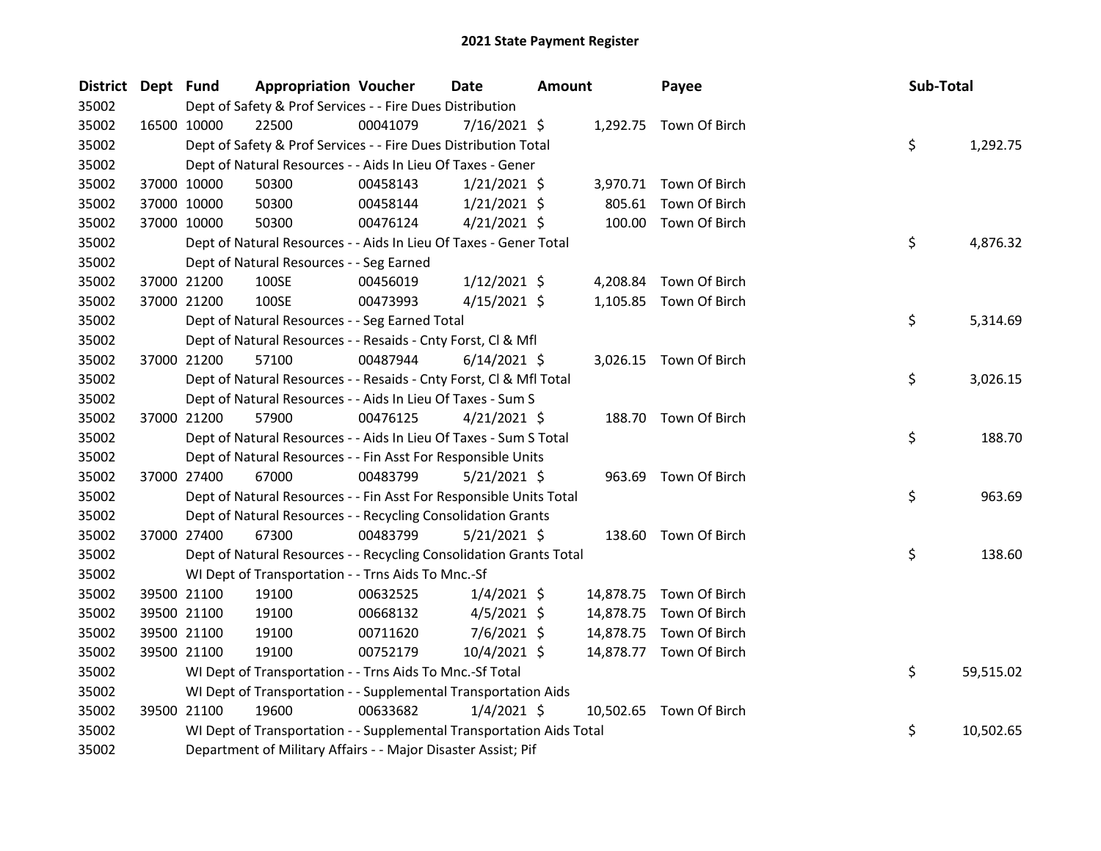| District Dept Fund |             | <b>Appropriation Voucher</b>                                         |          | <b>Date</b>    | <b>Amount</b> |           | Payee                   | Sub-Total |           |
|--------------------|-------------|----------------------------------------------------------------------|----------|----------------|---------------|-----------|-------------------------|-----------|-----------|
| 35002              |             | Dept of Safety & Prof Services - - Fire Dues Distribution            |          |                |               |           |                         |           |           |
| 35002              | 16500 10000 | 22500                                                                | 00041079 | $7/16/2021$ \$ |               |           | 1,292.75 Town Of Birch  |           |           |
| 35002              |             | Dept of Safety & Prof Services - - Fire Dues Distribution Total      |          |                |               |           |                         | \$        | 1,292.75  |
| 35002              |             | Dept of Natural Resources - - Aids In Lieu Of Taxes - Gener          |          |                |               |           |                         |           |           |
| 35002              | 37000 10000 | 50300                                                                | 00458143 | $1/21/2021$ \$ |               |           | 3,970.71 Town Of Birch  |           |           |
| 35002              | 37000 10000 | 50300                                                                | 00458144 | $1/21/2021$ \$ |               | 805.61    | Town Of Birch           |           |           |
| 35002              | 37000 10000 | 50300                                                                | 00476124 | $4/21/2021$ \$ |               |           | 100.00 Town Of Birch    |           |           |
| 35002              |             | Dept of Natural Resources - - Aids In Lieu Of Taxes - Gener Total    |          |                |               |           |                         | \$        | 4,876.32  |
| 35002              |             | Dept of Natural Resources - - Seg Earned                             |          |                |               |           |                         |           |           |
| 35002              | 37000 21200 | 100SE                                                                | 00456019 | $1/12/2021$ \$ |               | 4,208.84  | Town Of Birch           |           |           |
| 35002              | 37000 21200 | 100SE                                                                | 00473993 | $4/15/2021$ \$ |               |           | 1,105.85 Town Of Birch  |           |           |
| 35002              |             | Dept of Natural Resources - - Seg Earned Total                       |          |                |               |           |                         | \$        | 5,314.69  |
| 35002              |             | Dept of Natural Resources - - Resaids - Cnty Forst, Cl & Mfl         |          |                |               |           |                         |           |           |
| 35002              | 37000 21200 | 57100                                                                | 00487944 | $6/14/2021$ \$ |               |           | 3,026.15 Town Of Birch  |           |           |
| 35002              |             | Dept of Natural Resources - - Resaids - Cnty Forst, Cl & Mfl Total   |          |                |               |           |                         | \$        | 3,026.15  |
| 35002              |             | Dept of Natural Resources - - Aids In Lieu Of Taxes - Sum S          |          |                |               |           |                         |           |           |
| 35002              | 37000 21200 | 57900                                                                | 00476125 | $4/21/2021$ \$ |               |           | 188.70 Town Of Birch    |           |           |
| 35002              |             | Dept of Natural Resources - - Aids In Lieu Of Taxes - Sum S Total    |          |                |               |           |                         | \$        | 188.70    |
| 35002              |             | Dept of Natural Resources - - Fin Asst For Responsible Units         |          |                |               |           |                         |           |           |
| 35002              | 37000 27400 | 67000                                                                | 00483799 | $5/21/2021$ \$ |               |           | 963.69 Town Of Birch    |           |           |
| 35002              |             | Dept of Natural Resources - - Fin Asst For Responsible Units Total   |          |                |               |           |                         | \$        | 963.69    |
| 35002              |             | Dept of Natural Resources - - Recycling Consolidation Grants         |          |                |               |           |                         |           |           |
| 35002              | 37000 27400 | 67300                                                                | 00483799 | $5/21/2021$ \$ |               |           | 138.60 Town Of Birch    |           |           |
| 35002              |             | Dept of Natural Resources - - Recycling Consolidation Grants Total   |          |                |               |           |                         | \$        | 138.60    |
| 35002              |             | WI Dept of Transportation - - Trns Aids To Mnc.-Sf                   |          |                |               |           |                         |           |           |
| 35002              | 39500 21100 | 19100                                                                | 00632525 | $1/4/2021$ \$  |               |           | 14,878.75 Town Of Birch |           |           |
| 35002              | 39500 21100 | 19100                                                                | 00668132 | $4/5/2021$ \$  |               | 14,878.75 | Town Of Birch           |           |           |
| 35002              | 39500 21100 | 19100                                                                | 00711620 | $7/6/2021$ \$  |               | 14,878.75 | Town Of Birch           |           |           |
| 35002              | 39500 21100 | 19100                                                                | 00752179 | 10/4/2021 \$   |               |           | 14,878.77 Town Of Birch |           |           |
| 35002              |             | WI Dept of Transportation - - Trns Aids To Mnc.-Sf Total             |          |                |               |           |                         | \$        | 59,515.02 |
| 35002              |             | WI Dept of Transportation - - Supplemental Transportation Aids       |          |                |               |           |                         |           |           |
| 35002              | 39500 21100 | 19600                                                                | 00633682 | $1/4/2021$ \$  |               |           | 10,502.65 Town Of Birch |           |           |
| 35002              |             | WI Dept of Transportation - - Supplemental Transportation Aids Total |          |                |               |           |                         | \$        | 10,502.65 |
| 35002              |             | Department of Military Affairs - - Major Disaster Assist; Pif        |          |                |               |           |                         |           |           |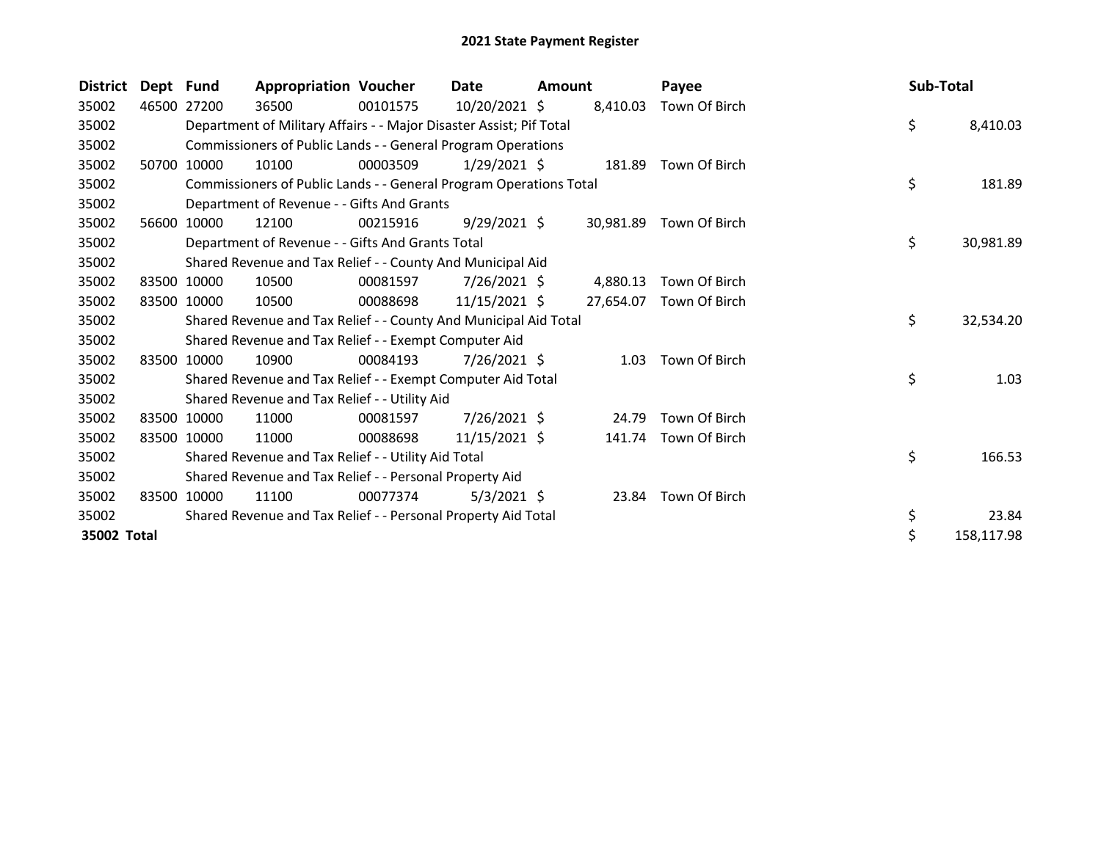| <b>District</b> | Dept Fund |             | <b>Appropriation Voucher</b>                                        |          | Date           | <b>Amount</b> |           | Payee               | Sub-Total |            |
|-----------------|-----------|-------------|---------------------------------------------------------------------|----------|----------------|---------------|-----------|---------------------|-----------|------------|
| 35002           | 46500     | 27200       | 36500                                                               | 00101575 | 10/20/2021 \$  |               | 8,410.03  | Town Of Birch       |           |            |
| 35002           |           |             | Department of Military Affairs - - Major Disaster Assist; Pif Total |          |                |               |           |                     | \$        | 8,410.03   |
| 35002           |           |             | Commissioners of Public Lands - - General Program Operations        |          |                |               |           |                     |           |            |
| 35002           |           | 50700 10000 | 10100                                                               | 00003509 | $1/29/2021$ \$ |               | 181.89    | Town Of Birch       |           |            |
| 35002           |           |             | Commissioners of Public Lands - - General Program Operations Total  |          |                |               |           |                     | \$        | 181.89     |
| 35002           |           |             | Department of Revenue - - Gifts And Grants                          |          |                |               |           |                     |           |            |
| 35002           | 56600     | 10000       | 12100                                                               | 00215916 | $9/29/2021$ \$ |               | 30,981.89 | Town Of Birch       |           |            |
| 35002           |           |             | Department of Revenue - - Gifts And Grants Total                    |          |                |               |           |                     | \$        | 30,981.89  |
| 35002           |           |             | Shared Revenue and Tax Relief - - County And Municipal Aid          |          |                |               |           |                     |           |            |
| 35002           | 83500     | 10000       | 10500                                                               | 00081597 | $7/26/2021$ \$ |               | 4,880.13  | Town Of Birch       |           |            |
| 35002           | 83500     | 10000       | 10500                                                               | 00088698 | 11/15/2021 \$  |               | 27,654.07 | Town Of Birch       |           |            |
| 35002           |           |             | Shared Revenue and Tax Relief - - County And Municipal Aid Total    |          |                |               |           |                     | \$        | 32,534.20  |
| 35002           |           |             | Shared Revenue and Tax Relief - - Exempt Computer Aid               |          |                |               |           |                     |           |            |
| 35002           | 83500     | 10000       | 10900                                                               | 00084193 | $7/26/2021$ \$ |               | 1.03      | Town Of Birch       |           |            |
| 35002           |           |             | Shared Revenue and Tax Relief - - Exempt Computer Aid Total         |          |                |               |           |                     | \$        | 1.03       |
| 35002           |           |             | Shared Revenue and Tax Relief - - Utility Aid                       |          |                |               |           |                     |           |            |
| 35002           | 83500     | 10000       | 11000                                                               | 00081597 | 7/26/2021 \$   |               | 24.79     | Town Of Birch       |           |            |
| 35002           | 83500     | 10000       | 11000                                                               | 00088698 | 11/15/2021 \$  |               | 141.74    | Town Of Birch       |           |            |
| 35002           |           |             | Shared Revenue and Tax Relief - - Utility Aid Total                 |          |                |               |           |                     | \$        | 166.53     |
| 35002           |           |             | Shared Revenue and Tax Relief - - Personal Property Aid             |          |                |               |           |                     |           |            |
| 35002           | 83500     | 10000       | 11100                                                               | 00077374 | $5/3/2021$ \$  |               |           | 23.84 Town Of Birch |           |            |
| 35002           |           |             | Shared Revenue and Tax Relief - - Personal Property Aid Total       |          |                |               |           |                     | \$        | 23.84      |
| 35002 Total     |           |             |                                                                     |          |                |               |           |                     | \$        | 158,117.98 |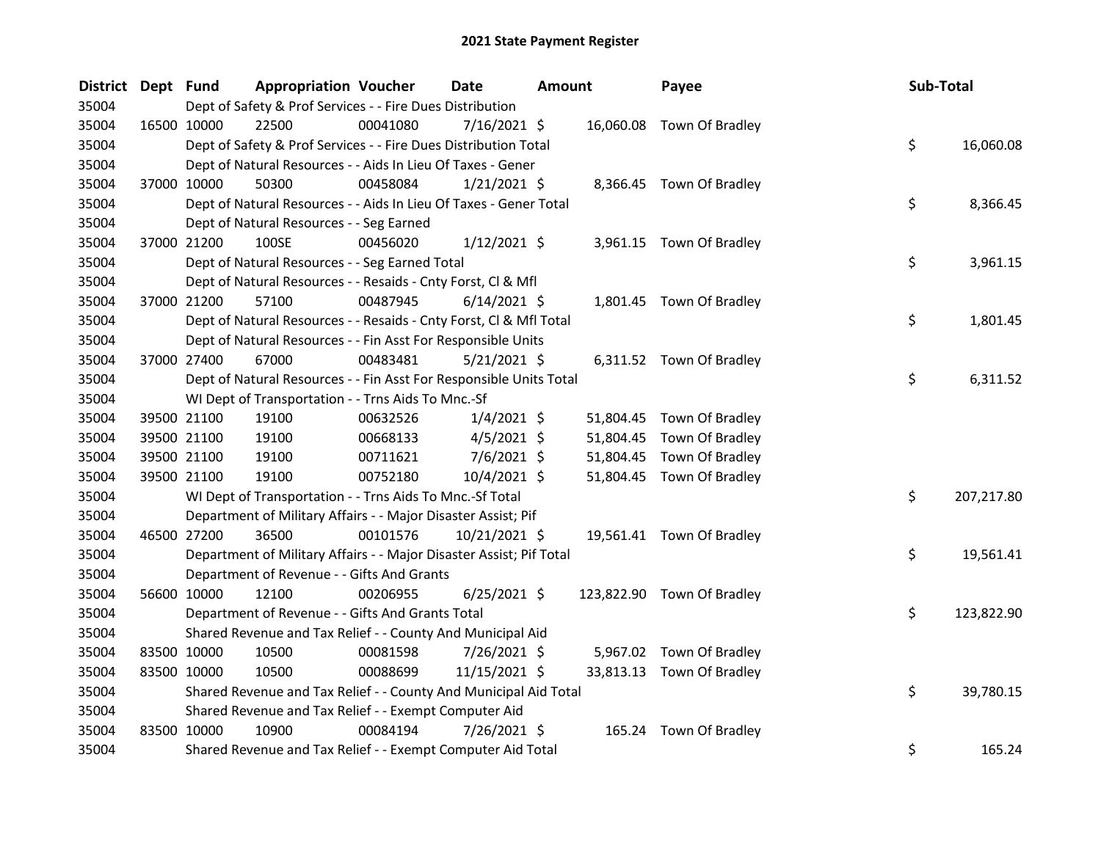| District Dept Fund |             |                                                                     | <b>Appropriation Voucher</b> | Date           | <b>Amount</b> | Payee                      | Sub-Total        |
|--------------------|-------------|---------------------------------------------------------------------|------------------------------|----------------|---------------|----------------------------|------------------|
| 35004              |             | Dept of Safety & Prof Services - - Fire Dues Distribution           |                              |                |               |                            |                  |
| 35004              |             | 22500<br>16500 10000                                                | 00041080                     | $7/16/2021$ \$ |               | 16,060.08 Town Of Bradley  |                  |
| 35004              |             | Dept of Safety & Prof Services - - Fire Dues Distribution Total     |                              |                |               |                            | \$<br>16,060.08  |
| 35004              |             | Dept of Natural Resources - - Aids In Lieu Of Taxes - Gener         |                              |                |               |                            |                  |
| 35004              |             | 37000 10000<br>50300                                                | 00458084                     | $1/21/2021$ \$ |               | 8,366.45 Town Of Bradley   |                  |
| 35004              |             | Dept of Natural Resources - - Aids In Lieu Of Taxes - Gener Total   |                              |                |               |                            | \$<br>8,366.45   |
| 35004              |             | Dept of Natural Resources - - Seg Earned                            |                              |                |               |                            |                  |
| 35004              |             | 37000 21200<br>100SE                                                | 00456020                     | $1/12/2021$ \$ |               | 3,961.15 Town Of Bradley   |                  |
| 35004              |             | Dept of Natural Resources - - Seg Earned Total                      |                              |                |               |                            | \$<br>3,961.15   |
| 35004              |             | Dept of Natural Resources - - Resaids - Cnty Forst, Cl & Mfl        |                              |                |               |                            |                  |
| 35004              |             | 37000 21200<br>57100                                                | 00487945                     | $6/14/2021$ \$ |               | 1,801.45 Town Of Bradley   |                  |
| 35004              |             | Dept of Natural Resources - - Resaids - Cnty Forst, Cl & Mfl Total  |                              |                |               |                            | \$<br>1,801.45   |
| 35004              |             | Dept of Natural Resources - - Fin Asst For Responsible Units        |                              |                |               |                            |                  |
| 35004              | 37000 27400 | 67000                                                               | 00483481                     | $5/21/2021$ \$ |               | 6,311.52 Town Of Bradley   |                  |
| 35004              |             | Dept of Natural Resources - - Fin Asst For Responsible Units Total  |                              |                |               |                            | \$<br>6,311.52   |
| 35004              |             | WI Dept of Transportation - - Trns Aids To Mnc.-Sf                  |                              |                |               |                            |                  |
| 35004              |             | 19100<br>39500 21100                                                | 00632526                     | $1/4/2021$ \$  |               | 51,804.45 Town Of Bradley  |                  |
| 35004              |             | 39500 21100<br>19100                                                | 00668133                     | $4/5/2021$ \$  | 51,804.45     | Town Of Bradley            |                  |
| 35004              |             | 39500 21100<br>19100                                                | 00711621                     | $7/6/2021$ \$  | 51,804.45     | Town Of Bradley            |                  |
| 35004              |             | 19100<br>39500 21100                                                | 00752180                     | 10/4/2021 \$   |               | 51,804.45 Town Of Bradley  |                  |
| 35004              |             | WI Dept of Transportation - - Trns Aids To Mnc.-Sf Total            |                              |                |               |                            | \$<br>207,217.80 |
| 35004              |             | Department of Military Affairs - - Major Disaster Assist; Pif       |                              |                |               |                            |                  |
| 35004              |             | 46500 27200<br>36500                                                | 00101576                     | 10/21/2021 \$  |               | 19,561.41 Town Of Bradley  |                  |
| 35004              |             | Department of Military Affairs - - Major Disaster Assist; Pif Total |                              |                |               |                            | \$<br>19,561.41  |
| 35004              |             | Department of Revenue - - Gifts And Grants                          |                              |                |               |                            |                  |
| 35004              |             | 56600 10000<br>12100                                                | 00206955                     | $6/25/2021$ \$ |               | 123,822.90 Town Of Bradley |                  |
| 35004              |             | Department of Revenue - - Gifts And Grants Total                    |                              |                |               |                            | \$<br>123,822.90 |
| 35004              |             | Shared Revenue and Tax Relief - - County And Municipal Aid          |                              |                |               |                            |                  |
| 35004              |             | 83500 10000<br>10500                                                | 00081598                     | 7/26/2021 \$   | 5,967.02      | Town Of Bradley            |                  |
| 35004              |             | 83500 10000<br>10500                                                | 00088699                     | 11/15/2021 \$  |               | 33,813.13 Town Of Bradley  |                  |
| 35004              |             | Shared Revenue and Tax Relief - - County And Municipal Aid Total    |                              |                |               |                            | \$<br>39,780.15  |
| 35004              |             | Shared Revenue and Tax Relief - - Exempt Computer Aid               |                              |                |               |                            |                  |
| 35004              |             | 83500 10000<br>10900                                                | 00084194                     | 7/26/2021 \$   | 165.24        | Town Of Bradley            |                  |
| 35004              |             | Shared Revenue and Tax Relief - - Exempt Computer Aid Total         |                              |                |               |                            | \$<br>165.24     |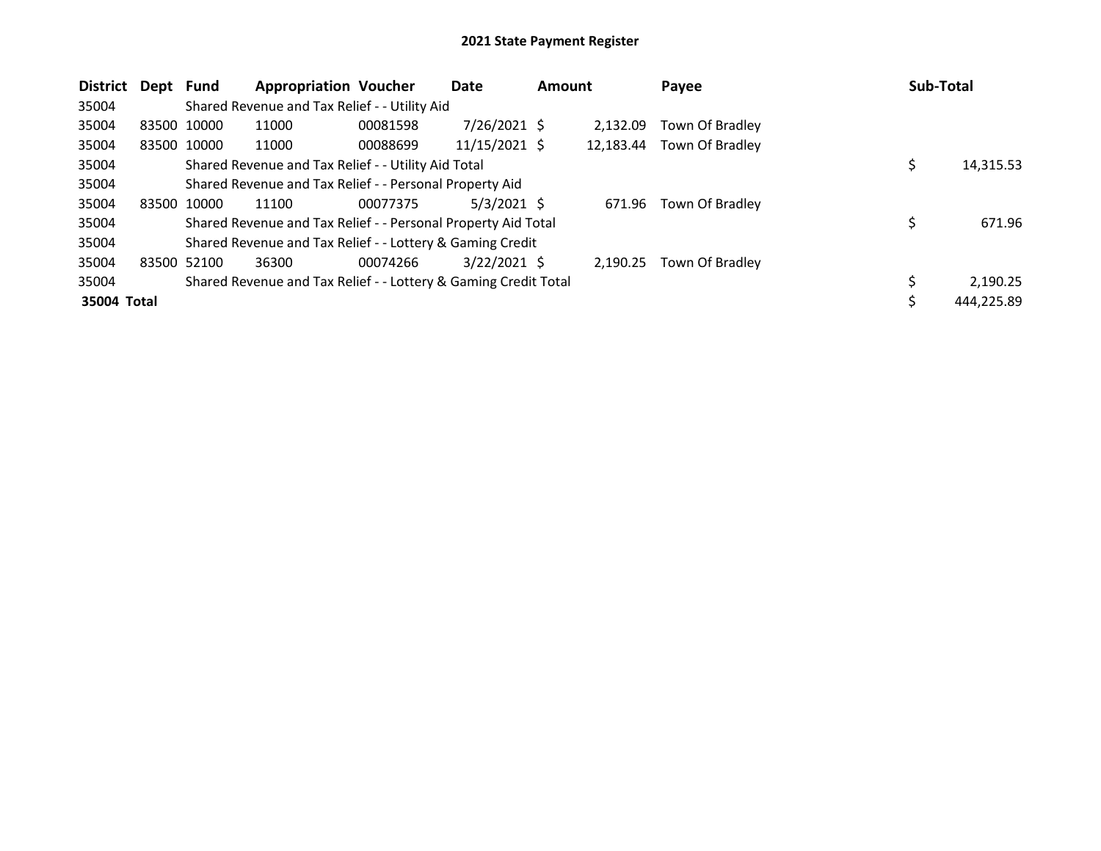| <b>District</b> | Dept        | Fund                                                    | <b>Appropriation Voucher</b>                                    |          | Date           | <b>Amount</b> |           | Payee           |  | Sub-Total  |
|-----------------|-------------|---------------------------------------------------------|-----------------------------------------------------------------|----------|----------------|---------------|-----------|-----------------|--|------------|
| 35004           |             |                                                         | Shared Revenue and Tax Relief - - Utility Aid                   |          |                |               |           |                 |  |            |
| 35004           |             | 83500 10000                                             | 11000                                                           | 00081598 | $7/26/2021$ \$ |               | 2.132.09  | Town Of Bradley |  |            |
| 35004           |             | 83500 10000                                             | 11000                                                           | 00088699 | 11/15/2021 \$  |               | 12,183.44 | Town Of Bradley |  |            |
| 35004           |             |                                                         | Shared Revenue and Tax Relief - - Utility Aid Total             |          |                |               |           |                 |  | 14,315.53  |
| 35004           |             | Shared Revenue and Tax Relief - - Personal Property Aid |                                                                 |          |                |               |           |                 |  |            |
| 35004           | 83500       | 10000                                                   | 11100                                                           | 00077375 | 5/3/2021 \$    |               | 671.96    | Town Of Bradley |  |            |
| 35004           |             |                                                         | Shared Revenue and Tax Relief - - Personal Property Aid Total   |          |                |               |           |                 |  | 671.96     |
| 35004           |             |                                                         | Shared Revenue and Tax Relief - - Lottery & Gaming Credit       |          |                |               |           |                 |  |            |
| 35004           | 83500 52100 |                                                         | 36300                                                           | 00074266 | $3/22/2021$ \$ |               | 2.190.25  | Town Of Bradley |  |            |
| 35004           |             |                                                         | Shared Revenue and Tax Relief - - Lottery & Gaming Credit Total |          |                |               |           |                 |  | 2.190.25   |
| 35004 Total     |             |                                                         |                                                                 |          |                |               |           |                 |  | 444,225.89 |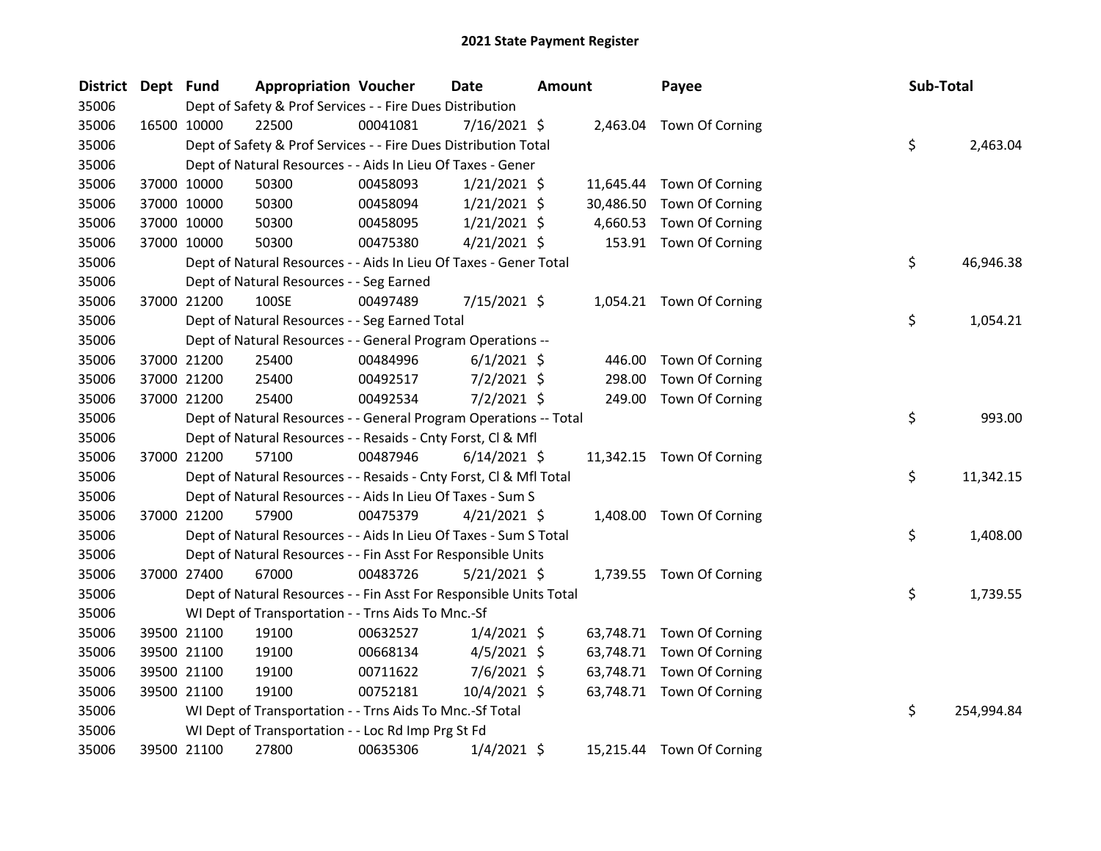| <b>District</b> | Dept Fund |             | <b>Appropriation Voucher</b>                                       |          | <b>Date</b>    | <b>Amount</b> |           | Payee                     | Sub-Total |            |
|-----------------|-----------|-------------|--------------------------------------------------------------------|----------|----------------|---------------|-----------|---------------------------|-----------|------------|
| 35006           |           |             | Dept of Safety & Prof Services - - Fire Dues Distribution          |          |                |               |           |                           |           |            |
| 35006           |           | 16500 10000 | 22500                                                              | 00041081 | $7/16/2021$ \$ |               |           | 2,463.04 Town Of Corning  |           |            |
| 35006           |           |             | Dept of Safety & Prof Services - - Fire Dues Distribution Total    |          |                |               |           |                           | \$        | 2,463.04   |
| 35006           |           |             | Dept of Natural Resources - - Aids In Lieu Of Taxes - Gener        |          |                |               |           |                           |           |            |
| 35006           |           | 37000 10000 | 50300                                                              | 00458093 | $1/21/2021$ \$ |               | 11,645.44 | Town Of Corning           |           |            |
| 35006           |           | 37000 10000 | 50300                                                              | 00458094 | $1/21/2021$ \$ |               | 30,486.50 | Town Of Corning           |           |            |
| 35006           |           | 37000 10000 | 50300                                                              | 00458095 | $1/21/2021$ \$ |               | 4,660.53  | Town Of Corning           |           |            |
| 35006           |           | 37000 10000 | 50300                                                              | 00475380 | $4/21/2021$ \$ |               |           | 153.91 Town Of Corning    |           |            |
| 35006           |           |             | Dept of Natural Resources - - Aids In Lieu Of Taxes - Gener Total  |          |                |               |           |                           | \$        | 46,946.38  |
| 35006           |           |             | Dept of Natural Resources - - Seg Earned                           |          |                |               |           |                           |           |            |
| 35006           |           | 37000 21200 | 100SE                                                              | 00497489 | 7/15/2021 \$   |               |           | 1,054.21 Town Of Corning  |           |            |
| 35006           |           |             | Dept of Natural Resources - - Seg Earned Total                     |          |                |               |           |                           | \$        | 1,054.21   |
| 35006           |           |             | Dept of Natural Resources - - General Program Operations --        |          |                |               |           |                           |           |            |
| 35006           |           | 37000 21200 | 25400                                                              | 00484996 | $6/1/2021$ \$  |               | 446.00    | Town Of Corning           |           |            |
| 35006           |           | 37000 21200 | 25400                                                              | 00492517 | $7/2/2021$ \$  |               | 298.00    | Town Of Corning           |           |            |
| 35006           |           | 37000 21200 | 25400                                                              | 00492534 | $7/2/2021$ \$  |               | 249.00    | Town Of Corning           |           |            |
| 35006           |           |             | Dept of Natural Resources - - General Program Operations -- Total  |          |                |               |           |                           | \$        | 993.00     |
| 35006           |           |             | Dept of Natural Resources - - Resaids - Cnty Forst, Cl & Mfl       |          |                |               |           |                           |           |            |
| 35006           |           | 37000 21200 | 57100                                                              | 00487946 | $6/14/2021$ \$ |               |           | 11,342.15 Town Of Corning |           |            |
| 35006           |           |             | Dept of Natural Resources - - Resaids - Cnty Forst, CI & Mfl Total |          |                |               |           |                           | \$        | 11,342.15  |
| 35006           |           |             | Dept of Natural Resources - - Aids In Lieu Of Taxes - Sum S        |          |                |               |           |                           |           |            |
| 35006           |           | 37000 21200 | 57900                                                              | 00475379 | $4/21/2021$ \$ |               |           | 1,408.00 Town Of Corning  |           |            |
| 35006           |           |             | Dept of Natural Resources - - Aids In Lieu Of Taxes - Sum S Total  |          |                |               |           |                           | \$        | 1,408.00   |
| 35006           |           |             | Dept of Natural Resources - - Fin Asst For Responsible Units       |          |                |               |           |                           |           |            |
| 35006           |           | 37000 27400 | 67000                                                              | 00483726 | $5/21/2021$ \$ |               |           | 1,739.55 Town Of Corning  |           |            |
| 35006           |           |             | Dept of Natural Resources - - Fin Asst For Responsible Units Total |          |                |               |           |                           | \$        | 1,739.55   |
| 35006           |           |             | WI Dept of Transportation - - Trns Aids To Mnc.-Sf                 |          |                |               |           |                           |           |            |
| 35006           |           | 39500 21100 | 19100                                                              | 00632527 | $1/4/2021$ \$  |               |           | 63,748.71 Town Of Corning |           |            |
| 35006           |           | 39500 21100 | 19100                                                              | 00668134 | $4/5/2021$ \$  |               |           | 63,748.71 Town Of Corning |           |            |
| 35006           |           | 39500 21100 | 19100                                                              | 00711622 | $7/6/2021$ \$  |               |           | 63,748.71 Town Of Corning |           |            |
| 35006           |           | 39500 21100 | 19100                                                              | 00752181 | 10/4/2021 \$   |               |           | 63,748.71 Town Of Corning |           |            |
| 35006           |           |             | WI Dept of Transportation - - Trns Aids To Mnc.-Sf Total           |          |                |               |           |                           | \$        | 254,994.84 |
| 35006           |           |             | WI Dept of Transportation - - Loc Rd Imp Prg St Fd                 |          |                |               |           |                           |           |            |
| 35006           |           | 39500 21100 | 27800                                                              | 00635306 | $1/4/2021$ \$  |               |           | 15,215.44 Town Of Corning |           |            |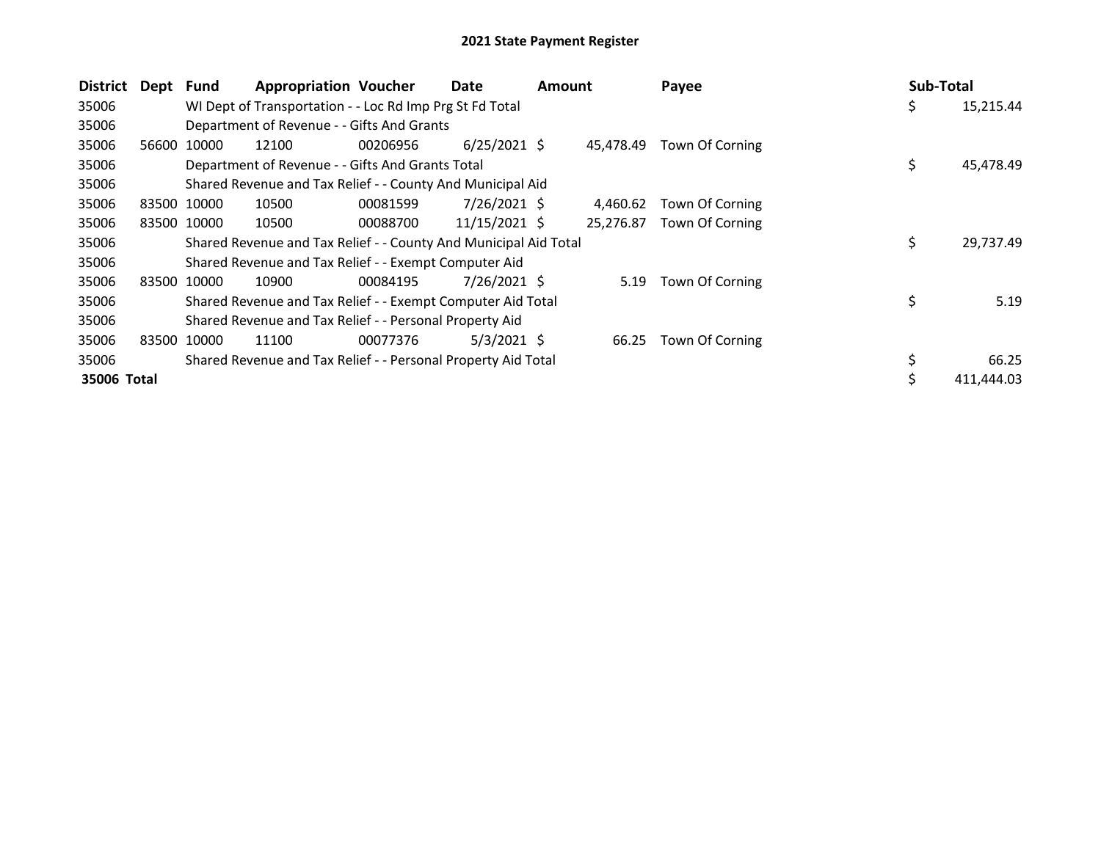| <b>District</b> | Dept Fund |             | <b>Appropriation Voucher</b>                                     |          | Date           | <b>Amount</b> |           | Payee           | Sub-Total |            |
|-----------------|-----------|-------------|------------------------------------------------------------------|----------|----------------|---------------|-----------|-----------------|-----------|------------|
| 35006           |           |             | WI Dept of Transportation - - Loc Rd Imp Prg St Fd Total         |          |                |               |           |                 | Ş         | 15,215.44  |
| 35006           |           |             | Department of Revenue - - Gifts And Grants                       |          |                |               |           |                 |           |            |
| 35006           | 56600     | 10000       | 12100                                                            | 00206956 | $6/25/2021$ \$ |               | 45,478.49 | Town Of Corning |           |            |
| 35006           |           |             | Department of Revenue - - Gifts And Grants Total                 |          |                |               |           |                 | \$        | 45,478.49  |
| 35006           |           |             | Shared Revenue and Tax Relief - - County And Municipal Aid       |          |                |               |           |                 |           |            |
| 35006           | 83500     | 10000       | 10500                                                            | 00081599 | $7/26/2021$ \$ |               | 4,460.62  | Town Of Corning |           |            |
| 35006           |           | 83500 10000 | 10500                                                            | 00088700 | 11/15/2021 \$  |               | 25,276.87 | Town Of Corning |           |            |
| 35006           |           |             | Shared Revenue and Tax Relief - - County And Municipal Aid Total |          |                |               |           |                 | \$        | 29,737.49  |
| 35006           |           |             | Shared Revenue and Tax Relief - - Exempt Computer Aid            |          |                |               |           |                 |           |            |
| 35006           | 83500     | 10000       | 10900                                                            | 00084195 | 7/26/2021 \$   |               | 5.19      | Town Of Corning |           |            |
| 35006           |           |             | Shared Revenue and Tax Relief - - Exempt Computer Aid Total      |          |                |               |           |                 | \$        | 5.19       |
| 35006           |           |             | Shared Revenue and Tax Relief - - Personal Property Aid          |          |                |               |           |                 |           |            |
| 35006           | 83500     | 10000       | 11100                                                            | 00077376 | $5/3/2021$ \$  |               | 66.25     | Town Of Corning |           |            |
| 35006           |           |             | Shared Revenue and Tax Relief - - Personal Property Aid Total    |          |                |               |           |                 |           | 66.25      |
| 35006 Total     |           |             |                                                                  |          |                |               |           |                 |           | 411.444.03 |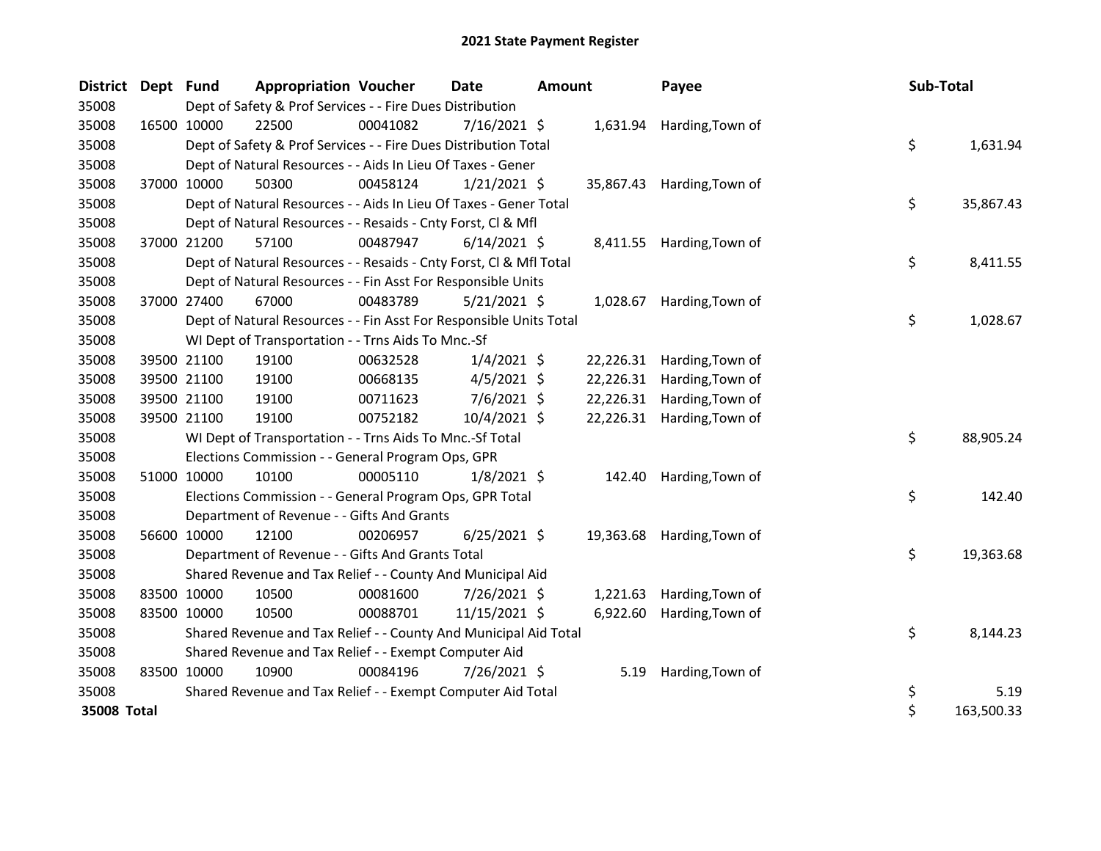| <b>District</b> | Dept Fund   |             | <b>Appropriation Voucher</b>                                       |          | <b>Date</b>    | Amount |           | Payee                      | Sub-Total |            |
|-----------------|-------------|-------------|--------------------------------------------------------------------|----------|----------------|--------|-----------|----------------------------|-----------|------------|
| 35008           |             |             | Dept of Safety & Prof Services - - Fire Dues Distribution          |          |                |        |           |                            |           |            |
| 35008           |             | 16500 10000 | 22500                                                              | 00041082 | 7/16/2021 \$   |        |           | 1,631.94 Harding, Town of  |           |            |
| 35008           |             |             | Dept of Safety & Prof Services - - Fire Dues Distribution Total    |          |                |        |           |                            | \$        | 1,631.94   |
| 35008           |             |             | Dept of Natural Resources - - Aids In Lieu Of Taxes - Gener        |          |                |        |           |                            |           |            |
| 35008           |             | 37000 10000 | 50300                                                              | 00458124 | $1/21/2021$ \$ |        |           | 35,867.43 Harding, Town of |           |            |
| 35008           |             |             | Dept of Natural Resources - - Aids In Lieu Of Taxes - Gener Total  |          |                |        |           |                            | \$        | 35,867.43  |
| 35008           |             |             | Dept of Natural Resources - - Resaids - Cnty Forst, Cl & Mfl       |          |                |        |           |                            |           |            |
| 35008           | 37000 21200 |             | 57100                                                              | 00487947 | $6/14/2021$ \$ |        |           | 8,411.55 Harding, Town of  |           |            |
| 35008           |             |             | Dept of Natural Resources - - Resaids - Cnty Forst, Cl & Mfl Total |          |                |        |           |                            | \$        | 8,411.55   |
| 35008           |             |             | Dept of Natural Resources - - Fin Asst For Responsible Units       |          |                |        |           |                            |           |            |
| 35008           | 37000 27400 |             | 67000                                                              | 00483789 | $5/21/2021$ \$ |        |           | 1,028.67 Harding, Town of  |           |            |
| 35008           |             |             | Dept of Natural Resources - - Fin Asst For Responsible Units Total |          |                |        |           |                            | \$        | 1,028.67   |
| 35008           |             |             | WI Dept of Transportation - - Trns Aids To Mnc.-Sf                 |          |                |        |           |                            |           |            |
| 35008           |             | 39500 21100 | 19100                                                              | 00632528 | $1/4/2021$ \$  |        | 22,226.31 | Harding, Town of           |           |            |
| 35008           |             | 39500 21100 | 19100                                                              | 00668135 | $4/5/2021$ \$  |        | 22,226.31 | Harding, Town of           |           |            |
| 35008           |             | 39500 21100 | 19100                                                              | 00711623 | $7/6/2021$ \$  |        | 22,226.31 | Harding, Town of           |           |            |
| 35008           |             | 39500 21100 | 19100                                                              | 00752182 | 10/4/2021 \$   |        |           | 22,226.31 Harding, Town of |           |            |
| 35008           |             |             | WI Dept of Transportation - - Trns Aids To Mnc.-Sf Total           |          |                |        |           |                            | \$        | 88,905.24  |
| 35008           |             |             | Elections Commission - - General Program Ops, GPR                  |          |                |        |           |                            |           |            |
| 35008           |             | 51000 10000 | 10100                                                              | 00005110 | $1/8/2021$ \$  |        | 142.40    | Harding, Town of           |           |            |
| 35008           |             |             | Elections Commission - - General Program Ops, GPR Total            |          |                |        |           |                            | \$        | 142.40     |
| 35008           |             |             | Department of Revenue - - Gifts And Grants                         |          |                |        |           |                            |           |            |
| 35008           | 56600 10000 |             | 12100                                                              | 00206957 | $6/25/2021$ \$ |        |           | 19,363.68 Harding, Town of |           |            |
| 35008           |             |             | Department of Revenue - - Gifts And Grants Total                   |          |                |        |           |                            | \$        | 19,363.68  |
| 35008           |             |             | Shared Revenue and Tax Relief - - County And Municipal Aid         |          |                |        |           |                            |           |            |
| 35008           | 83500 10000 |             | 10500                                                              | 00081600 | 7/26/2021 \$   |        | 1,221.63  | Harding, Town of           |           |            |
| 35008           | 83500 10000 |             | 10500                                                              | 00088701 | 11/15/2021 \$  |        | 6,922.60  | Harding, Town of           |           |            |
| 35008           |             |             | Shared Revenue and Tax Relief - - County And Municipal Aid Total   |          |                |        |           |                            | \$        | 8,144.23   |
| 35008           |             |             | Shared Revenue and Tax Relief - - Exempt Computer Aid              |          |                |        |           |                            |           |            |
| 35008           | 83500 10000 |             | 10900                                                              | 00084196 | 7/26/2021 \$   |        | 5.19      | Harding, Town of           |           |            |
| 35008           |             |             | Shared Revenue and Tax Relief - - Exempt Computer Aid Total        |          |                |        |           |                            | \$        | 5.19       |
| 35008 Total     |             |             |                                                                    |          |                |        |           |                            | \$        | 163,500.33 |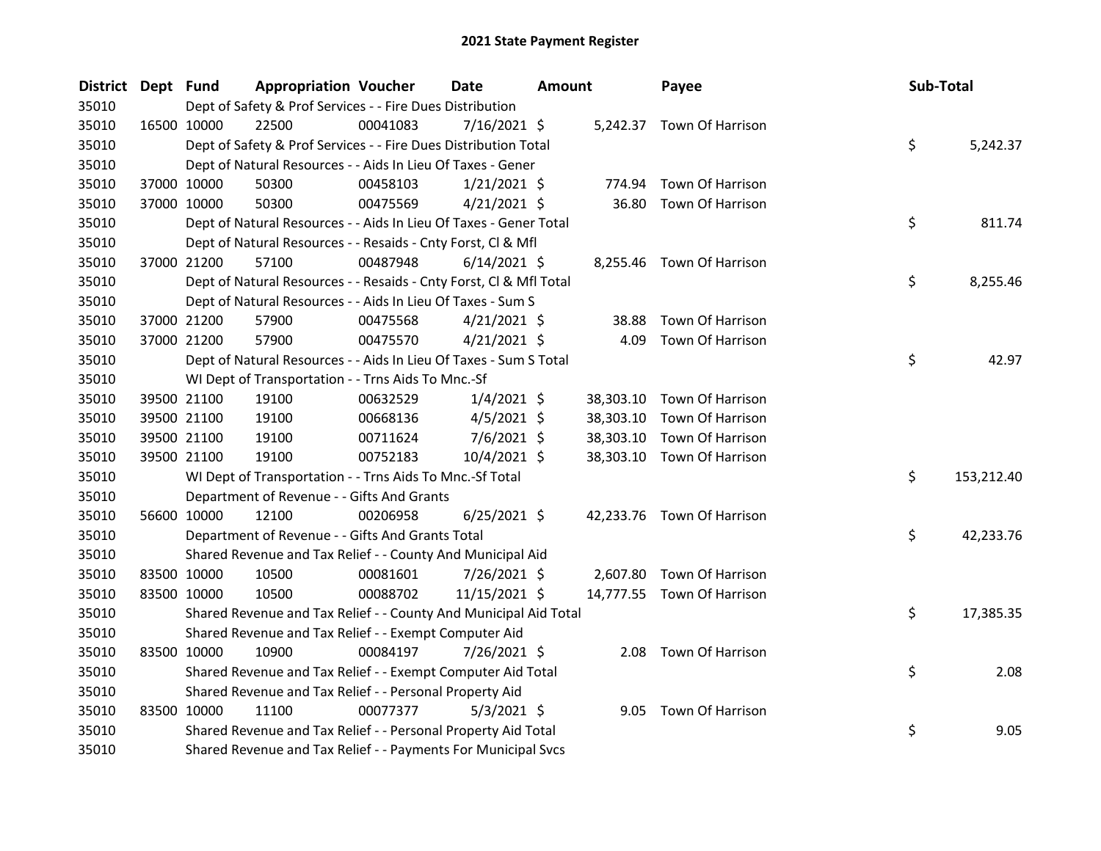| District Dept Fund |             |             | <b>Appropriation Voucher</b>                                       |          | <b>Date</b>    | <b>Amount</b> |           | Payee                      | Sub-Total |            |
|--------------------|-------------|-------------|--------------------------------------------------------------------|----------|----------------|---------------|-----------|----------------------------|-----------|------------|
| 35010              |             |             | Dept of Safety & Prof Services - - Fire Dues Distribution          |          |                |               |           |                            |           |            |
| 35010              | 16500 10000 |             | 22500                                                              | 00041083 | $7/16/2021$ \$ |               |           | 5,242.37 Town Of Harrison  |           |            |
| 35010              |             |             | Dept of Safety & Prof Services - - Fire Dues Distribution Total    |          |                |               |           |                            | \$        | 5,242.37   |
| 35010              |             |             | Dept of Natural Resources - - Aids In Lieu Of Taxes - Gener        |          |                |               |           |                            |           |            |
| 35010              |             | 37000 10000 | 50300                                                              | 00458103 | $1/21/2021$ \$ |               | 774.94    | Town Of Harrison           |           |            |
| 35010              | 37000 10000 |             | 50300                                                              | 00475569 | $4/21/2021$ \$ |               | 36.80     | Town Of Harrison           |           |            |
| 35010              |             |             | Dept of Natural Resources - - Aids In Lieu Of Taxes - Gener Total  |          |                |               |           |                            | \$        | 811.74     |
| 35010              |             |             | Dept of Natural Resources - - Resaids - Cnty Forst, Cl & Mfl       |          |                |               |           |                            |           |            |
| 35010              |             | 37000 21200 | 57100                                                              | 00487948 | $6/14/2021$ \$ |               |           | 8,255.46 Town Of Harrison  |           |            |
| 35010              |             |             | Dept of Natural Resources - - Resaids - Cnty Forst, Cl & Mfl Total |          |                |               |           |                            | \$        | 8,255.46   |
| 35010              |             |             | Dept of Natural Resources - - Aids In Lieu Of Taxes - Sum S        |          |                |               |           |                            |           |            |
| 35010              |             | 37000 21200 | 57900                                                              | 00475568 | $4/21/2021$ \$ |               | 38.88     | Town Of Harrison           |           |            |
| 35010              | 37000 21200 |             | 57900                                                              | 00475570 | $4/21/2021$ \$ |               | 4.09      | Town Of Harrison           |           |            |
| 35010              |             |             | Dept of Natural Resources - - Aids In Lieu Of Taxes - Sum S Total  |          |                |               |           |                            | \$        | 42.97      |
| 35010              |             |             | WI Dept of Transportation - - Trns Aids To Mnc.-Sf                 |          |                |               |           |                            |           |            |
| 35010              |             | 39500 21100 | 19100                                                              | 00632529 | $1/4/2021$ \$  |               |           | 38,303.10 Town Of Harrison |           |            |
| 35010              | 39500 21100 |             | 19100                                                              | 00668136 | $4/5/2021$ \$  |               |           | 38,303.10 Town Of Harrison |           |            |
| 35010              |             | 39500 21100 | 19100                                                              | 00711624 | $7/6/2021$ \$  |               | 38,303.10 | Town Of Harrison           |           |            |
| 35010              | 39500 21100 |             | 19100                                                              | 00752183 | 10/4/2021 \$   |               |           | 38,303.10 Town Of Harrison |           |            |
| 35010              |             |             | WI Dept of Transportation - - Trns Aids To Mnc.-Sf Total           |          |                |               |           |                            | \$        | 153,212.40 |
| 35010              |             |             | Department of Revenue - - Gifts And Grants                         |          |                |               |           |                            |           |            |
| 35010              |             | 56600 10000 | 12100                                                              | 00206958 | $6/25/2021$ \$ |               |           | 42,233.76 Town Of Harrison |           |            |
| 35010              |             |             | Department of Revenue - - Gifts And Grants Total                   |          |                |               |           |                            | \$        | 42,233.76  |
| 35010              |             |             | Shared Revenue and Tax Relief - - County And Municipal Aid         |          |                |               |           |                            |           |            |
| 35010              |             | 83500 10000 | 10500                                                              | 00081601 | 7/26/2021 \$   |               |           | 2,607.80 Town Of Harrison  |           |            |
| 35010              |             | 83500 10000 | 10500                                                              | 00088702 | 11/15/2021 \$  |               |           | 14,777.55 Town Of Harrison |           |            |
| 35010              |             |             | Shared Revenue and Tax Relief - - County And Municipal Aid Total   |          |                |               |           |                            | \$        | 17,385.35  |
| 35010              |             |             | Shared Revenue and Tax Relief - - Exempt Computer Aid              |          |                |               |           |                            |           |            |
| 35010              | 83500 10000 |             | 10900                                                              | 00084197 | 7/26/2021 \$   |               |           | 2.08 Town Of Harrison      |           |            |
| 35010              |             |             | Shared Revenue and Tax Relief - - Exempt Computer Aid Total        |          |                |               |           |                            | \$        | 2.08       |
| 35010              |             |             | Shared Revenue and Tax Relief - - Personal Property Aid            |          |                |               |           |                            |           |            |
| 35010              | 83500 10000 |             | 11100                                                              | 00077377 | $5/3/2021$ \$  |               |           | 9.05 Town Of Harrison      |           |            |
| 35010              |             |             | Shared Revenue and Tax Relief - - Personal Property Aid Total      |          |                |               |           |                            | \$        | 9.05       |
| 35010              |             |             | Shared Revenue and Tax Relief - - Payments For Municipal Svcs      |          |                |               |           |                            |           |            |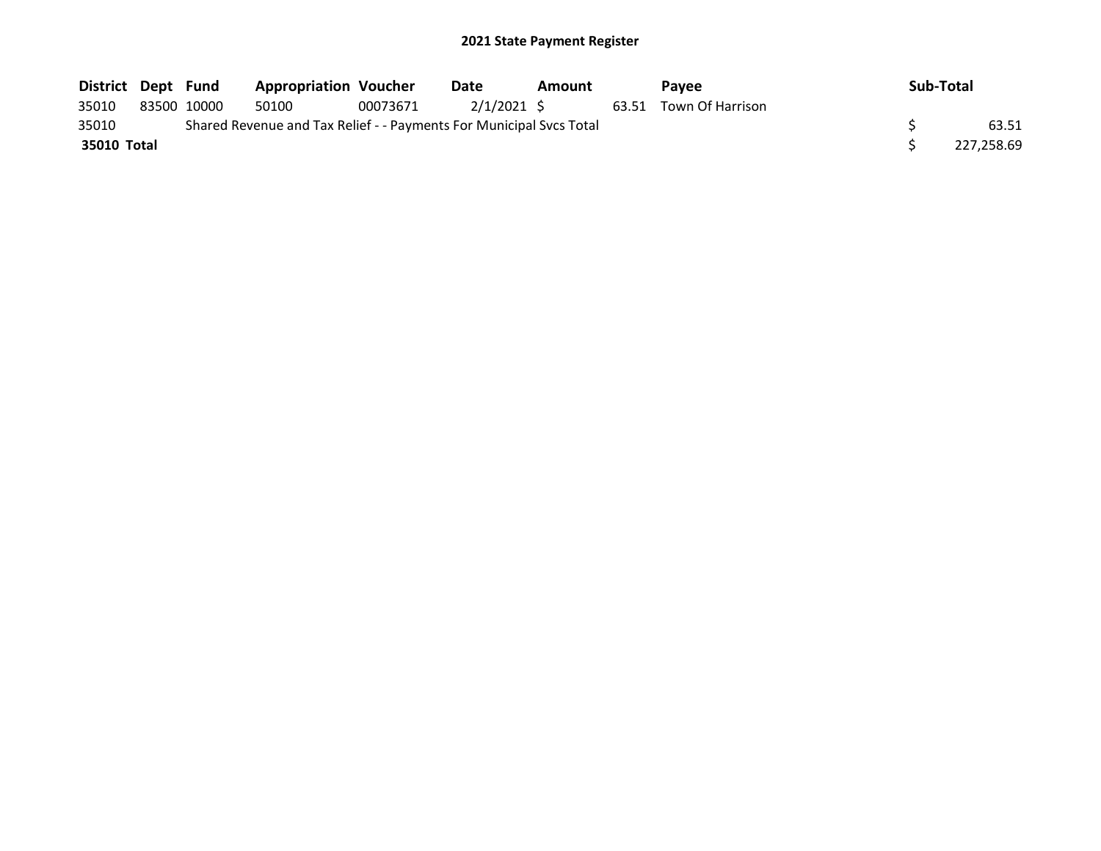| District Dept Fund |             | <b>Appropriation Voucher</b>                                        |          | Date       | Amount | <b>Pavee</b>           | Sub-Total  |
|--------------------|-------------|---------------------------------------------------------------------|----------|------------|--------|------------------------|------------|
| 35010              | 83500 10000 | 50100                                                               | 00073671 | 2/1/2021 S |        | 63.51 Town Of Harrison |            |
| 35010              |             | Shared Revenue and Tax Relief - - Payments For Municipal Svcs Total |          |            |        |                        | 63.51      |
| 35010 Total        |             |                                                                     |          |            |        |                        | 227,258.69 |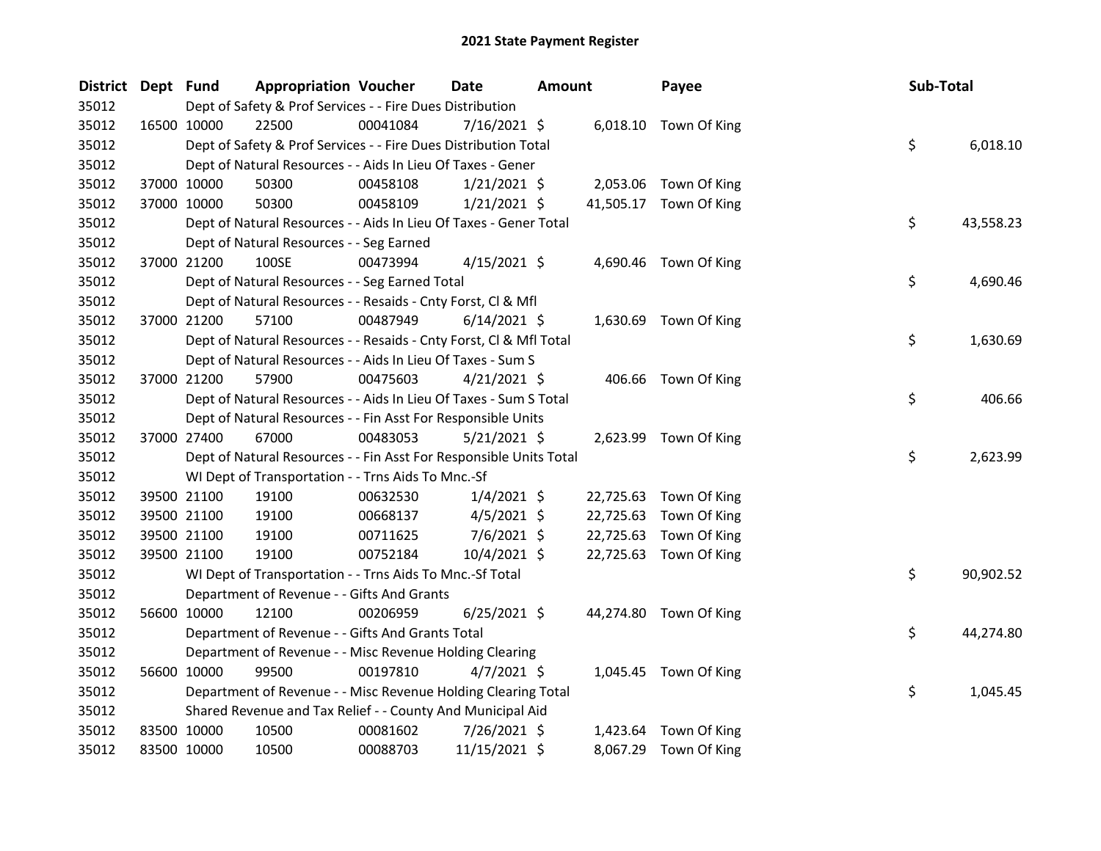| District Dept Fund |             |                                                                    | <b>Appropriation Voucher</b> | <b>Date</b>    | <b>Amount</b> | Payee                  | Sub-Total |           |
|--------------------|-------------|--------------------------------------------------------------------|------------------------------|----------------|---------------|------------------------|-----------|-----------|
| 35012              |             | Dept of Safety & Prof Services - - Fire Dues Distribution          |                              |                |               |                        |           |           |
| 35012              | 16500 10000 | 22500                                                              | 00041084                     | 7/16/2021 \$   |               | 6,018.10 Town Of King  |           |           |
| 35012              |             | Dept of Safety & Prof Services - - Fire Dues Distribution Total    |                              |                |               |                        | \$        | 6,018.10  |
| 35012              |             | Dept of Natural Resources - - Aids In Lieu Of Taxes - Gener        |                              |                |               |                        |           |           |
| 35012              |             | 37000 10000<br>50300                                               | 00458108                     | $1/21/2021$ \$ |               | 2,053.06 Town Of King  |           |           |
| 35012              | 37000 10000 | 50300                                                              | 00458109                     | 1/21/2021 \$   |               | 41,505.17 Town Of King |           |           |
| 35012              |             | Dept of Natural Resources - - Aids In Lieu Of Taxes - Gener Total  |                              |                |               |                        | \$        | 43,558.23 |
| 35012              |             | Dept of Natural Resources - - Seg Earned                           |                              |                |               |                        |           |           |
| 35012              | 37000 21200 | 100SE                                                              | 00473994                     | $4/15/2021$ \$ |               | 4,690.46 Town Of King  |           |           |
| 35012              |             | Dept of Natural Resources - - Seg Earned Total                     |                              |                |               |                        | \$        | 4,690.46  |
| 35012              |             | Dept of Natural Resources - - Resaids - Cnty Forst, Cl & Mfl       |                              |                |               |                        |           |           |
| 35012              |             | 37000 21200<br>57100                                               | 00487949                     | $6/14/2021$ \$ |               | 1,630.69 Town Of King  |           |           |
| 35012              |             | Dept of Natural Resources - - Resaids - Cnty Forst, Cl & Mfl Total |                              |                |               |                        | \$        | 1,630.69  |
| 35012              |             | Dept of Natural Resources - - Aids In Lieu Of Taxes - Sum S        |                              |                |               |                        |           |           |
| 35012              | 37000 21200 | 57900                                                              | 00475603                     | $4/21/2021$ \$ |               | 406.66 Town Of King    |           |           |
| 35012              |             | Dept of Natural Resources - - Aids In Lieu Of Taxes - Sum S Total  |                              |                |               |                        | \$        | 406.66    |
| 35012              |             | Dept of Natural Resources - - Fin Asst For Responsible Units       |                              |                |               |                        |           |           |
| 35012              |             | 37000 27400<br>67000                                               | 00483053                     | $5/21/2021$ \$ |               | 2,623.99 Town Of King  |           |           |
| 35012              |             | Dept of Natural Resources - - Fin Asst For Responsible Units Total |                              |                |               |                        | \$        | 2,623.99  |
| 35012              |             | WI Dept of Transportation - - Trns Aids To Mnc.-Sf                 |                              |                |               |                        |           |           |
| 35012              |             | 39500 21100<br>19100                                               | 00632530                     | $1/4/2021$ \$  |               | 22,725.63 Town Of King |           |           |
| 35012              |             | 39500 21100<br>19100                                               | 00668137                     | $4/5/2021$ \$  | 22,725.63     | Town Of King           |           |           |
| 35012              |             | 39500 21100<br>19100                                               | 00711625                     | $7/6/2021$ \$  | 22,725.63     | Town Of King           |           |           |
| 35012              |             | 19100<br>39500 21100                                               | 00752184                     | 10/4/2021 \$   |               | 22,725.63 Town Of King |           |           |
| 35012              |             | WI Dept of Transportation - - Trns Aids To Mnc.-Sf Total           |                              |                |               |                        | \$        | 90,902.52 |
| 35012              |             | Department of Revenue - - Gifts And Grants                         |                              |                |               |                        |           |           |
| 35012              | 56600 10000 | 12100                                                              | 00206959                     | $6/25/2021$ \$ |               | 44,274.80 Town Of King |           |           |
| 35012              |             | Department of Revenue - - Gifts And Grants Total                   |                              |                |               |                        | \$        | 44,274.80 |
| 35012              |             | Department of Revenue - - Misc Revenue Holding Clearing            |                              |                |               |                        |           |           |
| 35012              |             | 56600 10000<br>99500                                               | 00197810                     | $4/7/2021$ \$  |               | 1,045.45 Town Of King  |           |           |
| 35012              |             | Department of Revenue - - Misc Revenue Holding Clearing Total      |                              |                |               |                        | \$        | 1,045.45  |
| 35012              |             | Shared Revenue and Tax Relief - - County And Municipal Aid         |                              |                |               |                        |           |           |
| 35012              |             | 83500 10000<br>10500                                               | 00081602                     | 7/26/2021 \$   |               | 1,423.64 Town Of King  |           |           |
| 35012              | 83500 10000 | 10500                                                              | 00088703                     | 11/15/2021 \$  |               | 8,067.29 Town Of King  |           |           |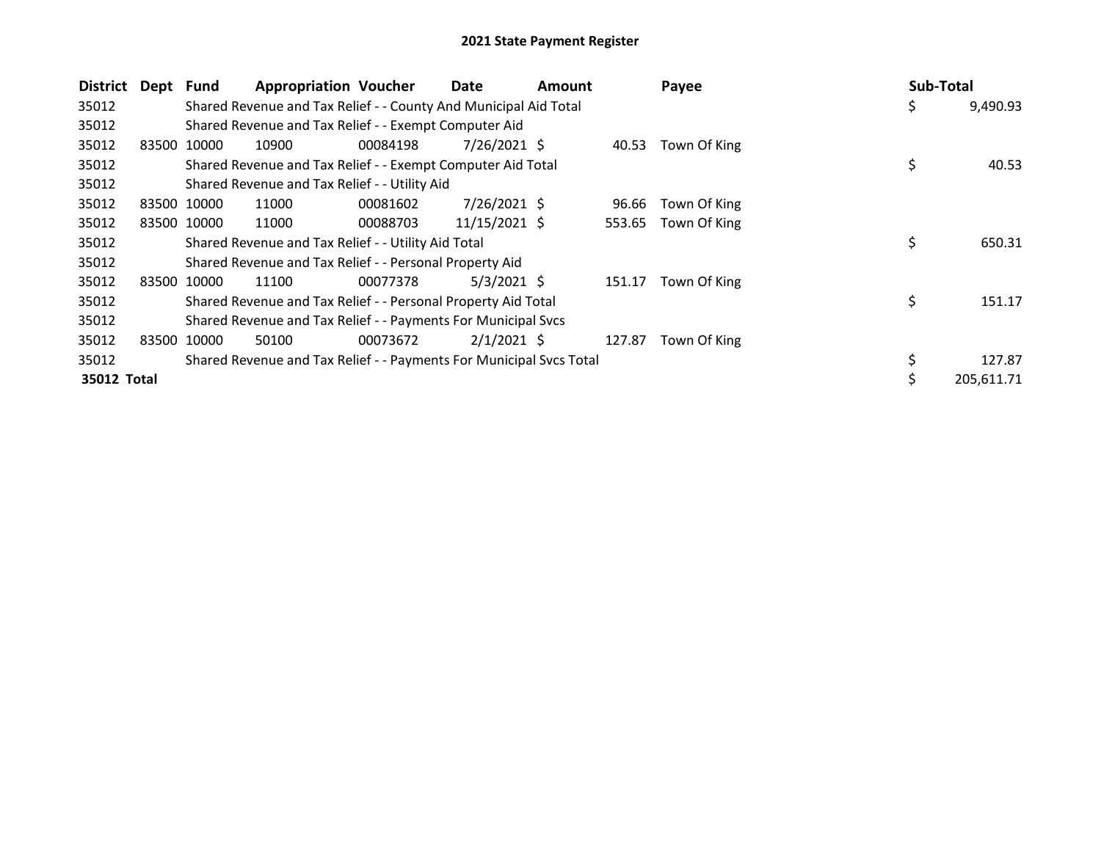| <b>District</b> | Dept Fund |             | <b>Appropriation Voucher</b>                                        |          | Date           | <b>Amount</b> |        | Payee        | Sub-Total |            |
|-----------------|-----------|-------------|---------------------------------------------------------------------|----------|----------------|---------------|--------|--------------|-----------|------------|
| 35012           |           |             | Shared Revenue and Tax Relief - - County And Municipal Aid Total    |          |                |               |        |              | Ş         | 9,490.93   |
| 35012           |           |             | Shared Revenue and Tax Relief - - Exempt Computer Aid               |          |                |               |        |              |           |            |
| 35012           | 83500     | 10000       | 10900                                                               | 00084198 | 7/26/2021 \$   |               | 40.53  | Town Of King |           |            |
| 35012           |           |             | Shared Revenue and Tax Relief - - Exempt Computer Aid Total         |          |                |               |        |              | \$        | 40.53      |
| 35012           |           |             | Shared Revenue and Tax Relief - - Utility Aid                       |          |                |               |        |              |           |            |
| 35012           |           | 83500 10000 | 11000                                                               | 00081602 | $7/26/2021$ \$ |               | 96.66  | Town Of King |           |            |
| 35012           |           | 83500 10000 | 11000                                                               | 00088703 | 11/15/2021 \$  |               | 553.65 | Town Of King |           |            |
| 35012           |           |             | Shared Revenue and Tax Relief - - Utility Aid Total                 |          |                |               |        |              | \$        | 650.31     |
| 35012           |           |             | Shared Revenue and Tax Relief - - Personal Property Aid             |          |                |               |        |              |           |            |
| 35012           |           | 83500 10000 | 11100                                                               | 00077378 | $5/3/2021$ \$  |               | 151.17 | Town Of King |           |            |
| 35012           |           |             | Shared Revenue and Tax Relief - - Personal Property Aid Total       |          |                |               |        |              | \$        | 151.17     |
| 35012           |           |             | Shared Revenue and Tax Relief - - Payments For Municipal Svcs       |          |                |               |        |              |           |            |
| 35012           | 83500     | 10000       | 50100                                                               | 00073672 | $2/1/2021$ \$  |               | 127.87 | Town Of King |           |            |
| 35012           |           |             | Shared Revenue and Tax Relief - - Payments For Municipal Svcs Total |          |                |               |        |              |           | 127.87     |
| 35012 Total     |           |             |                                                                     |          |                |               |        |              | \$        | 205,611.71 |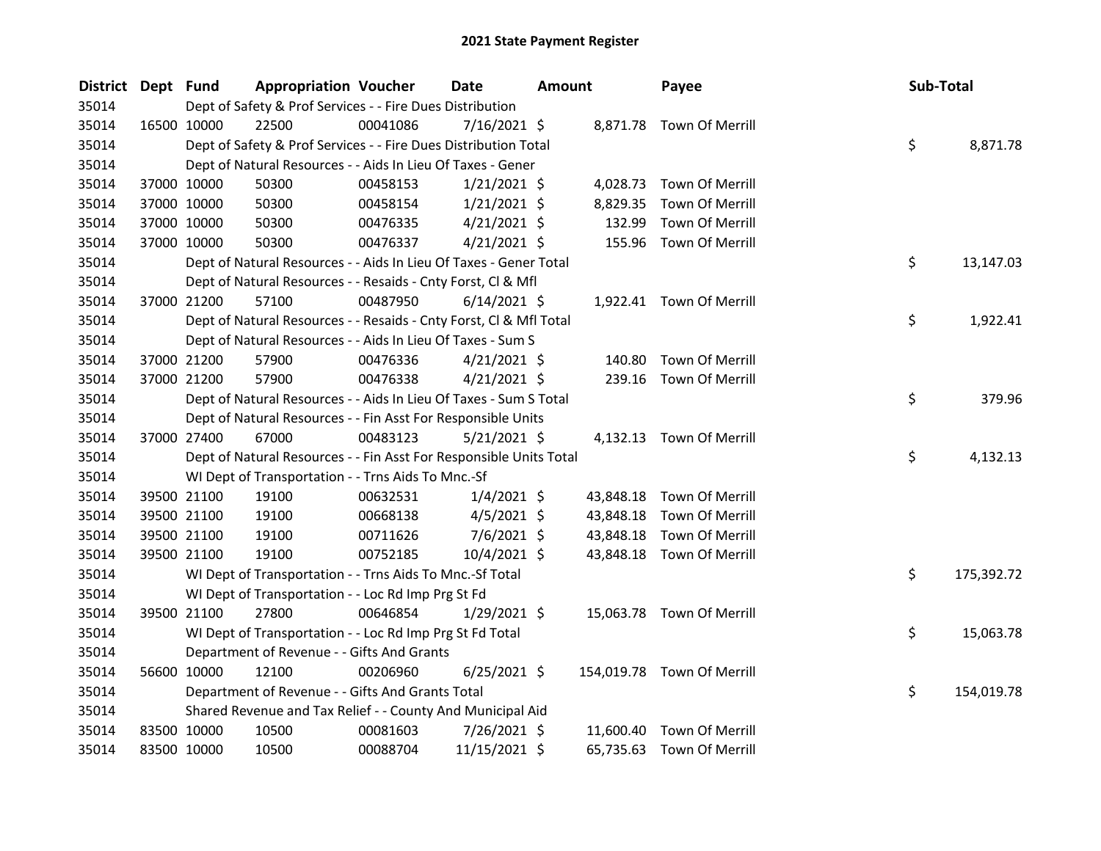| District Dept Fund |             | <b>Appropriation Voucher</b>                                       |          | <b>Date</b>    | <b>Amount</b> |           | Payee                      | Sub-Total |            |
|--------------------|-------------|--------------------------------------------------------------------|----------|----------------|---------------|-----------|----------------------------|-----------|------------|
| 35014              |             | Dept of Safety & Prof Services - - Fire Dues Distribution          |          |                |               |           |                            |           |            |
| 35014              | 16500 10000 | 22500                                                              | 00041086 | $7/16/2021$ \$ |               |           | 8,871.78 Town Of Merrill   |           |            |
| 35014              |             | Dept of Safety & Prof Services - - Fire Dues Distribution Total    |          |                |               |           |                            | \$        | 8,871.78   |
| 35014              |             | Dept of Natural Resources - - Aids In Lieu Of Taxes - Gener        |          |                |               |           |                            |           |            |
| 35014              | 37000 10000 | 50300                                                              | 00458153 | $1/21/2021$ \$ |               |           | 4,028.73 Town Of Merrill   |           |            |
| 35014              | 37000 10000 | 50300                                                              | 00458154 | $1/21/2021$ \$ |               | 8,829.35  | Town Of Merrill            |           |            |
| 35014              | 37000 10000 | 50300                                                              | 00476335 | $4/21/2021$ \$ |               | 132.99    | Town Of Merrill            |           |            |
| 35014              | 37000 10000 | 50300                                                              | 00476337 | $4/21/2021$ \$ |               |           | 155.96 Town Of Merrill     |           |            |
| 35014              |             | Dept of Natural Resources - - Aids In Lieu Of Taxes - Gener Total  |          |                |               |           |                            | \$        | 13,147.03  |
| 35014              |             | Dept of Natural Resources - - Resaids - Cnty Forst, Cl & Mfl       |          |                |               |           |                            |           |            |
| 35014              | 37000 21200 | 57100                                                              | 00487950 | $6/14/2021$ \$ |               |           | 1,922.41 Town Of Merrill   |           |            |
| 35014              |             | Dept of Natural Resources - - Resaids - Cnty Forst, Cl & Mfl Total |          |                |               |           |                            | \$        | 1,922.41   |
| 35014              |             | Dept of Natural Resources - - Aids In Lieu Of Taxes - Sum S        |          |                |               |           |                            |           |            |
| 35014              | 37000 21200 | 57900                                                              | 00476336 | $4/21/2021$ \$ |               | 140.80    | Town Of Merrill            |           |            |
| 35014              | 37000 21200 | 57900                                                              | 00476338 | $4/21/2021$ \$ |               | 239.16    | Town Of Merrill            |           |            |
| 35014              |             | Dept of Natural Resources - - Aids In Lieu Of Taxes - Sum S Total  |          |                |               |           |                            | \$        | 379.96     |
| 35014              |             | Dept of Natural Resources - - Fin Asst For Responsible Units       |          |                |               |           |                            |           |            |
| 35014              | 37000 27400 | 67000                                                              | 00483123 | $5/21/2021$ \$ |               |           | 4,132.13 Town Of Merrill   |           |            |
| 35014              |             | Dept of Natural Resources - - Fin Asst For Responsible Units Total |          |                |               |           |                            | \$        | 4,132.13   |
| 35014              |             | WI Dept of Transportation - - Trns Aids To Mnc.-Sf                 |          |                |               |           |                            |           |            |
| 35014              | 39500 21100 | 19100                                                              | 00632531 | $1/4/2021$ \$  |               | 43,848.18 | Town Of Merrill            |           |            |
| 35014              | 39500 21100 | 19100                                                              | 00668138 | $4/5/2021$ \$  |               | 43,848.18 | Town Of Merrill            |           |            |
| 35014              | 39500 21100 | 19100                                                              | 00711626 | $7/6/2021$ \$  |               | 43,848.18 | Town Of Merrill            |           |            |
| 35014              | 39500 21100 | 19100                                                              | 00752185 | 10/4/2021 \$   |               |           | 43,848.18 Town Of Merrill  |           |            |
| 35014              |             | WI Dept of Transportation - - Trns Aids To Mnc.-Sf Total           |          |                |               |           |                            | \$        | 175,392.72 |
| 35014              |             | WI Dept of Transportation - - Loc Rd Imp Prg St Fd                 |          |                |               |           |                            |           |            |
| 35014              | 39500 21100 | 27800                                                              | 00646854 | $1/29/2021$ \$ |               |           | 15,063.78 Town Of Merrill  |           |            |
| 35014              |             | WI Dept of Transportation - - Loc Rd Imp Prg St Fd Total           |          |                |               |           |                            | \$        | 15,063.78  |
| 35014              |             | Department of Revenue - - Gifts And Grants                         |          |                |               |           |                            |           |            |
| 35014              | 56600 10000 | 12100                                                              | 00206960 | $6/25/2021$ \$ |               |           | 154,019.78 Town Of Merrill |           |            |
| 35014              |             | Department of Revenue - - Gifts And Grants Total                   |          |                |               |           |                            | \$        | 154,019.78 |
| 35014              |             | Shared Revenue and Tax Relief - - County And Municipal Aid         |          |                |               |           |                            |           |            |
| 35014              | 83500 10000 | 10500                                                              | 00081603 | 7/26/2021 \$   |               |           | 11,600.40 Town Of Merrill  |           |            |
| 35014              | 83500 10000 | 10500                                                              | 00088704 | 11/15/2021 \$  |               | 65,735.63 | <b>Town Of Merrill</b>     |           |            |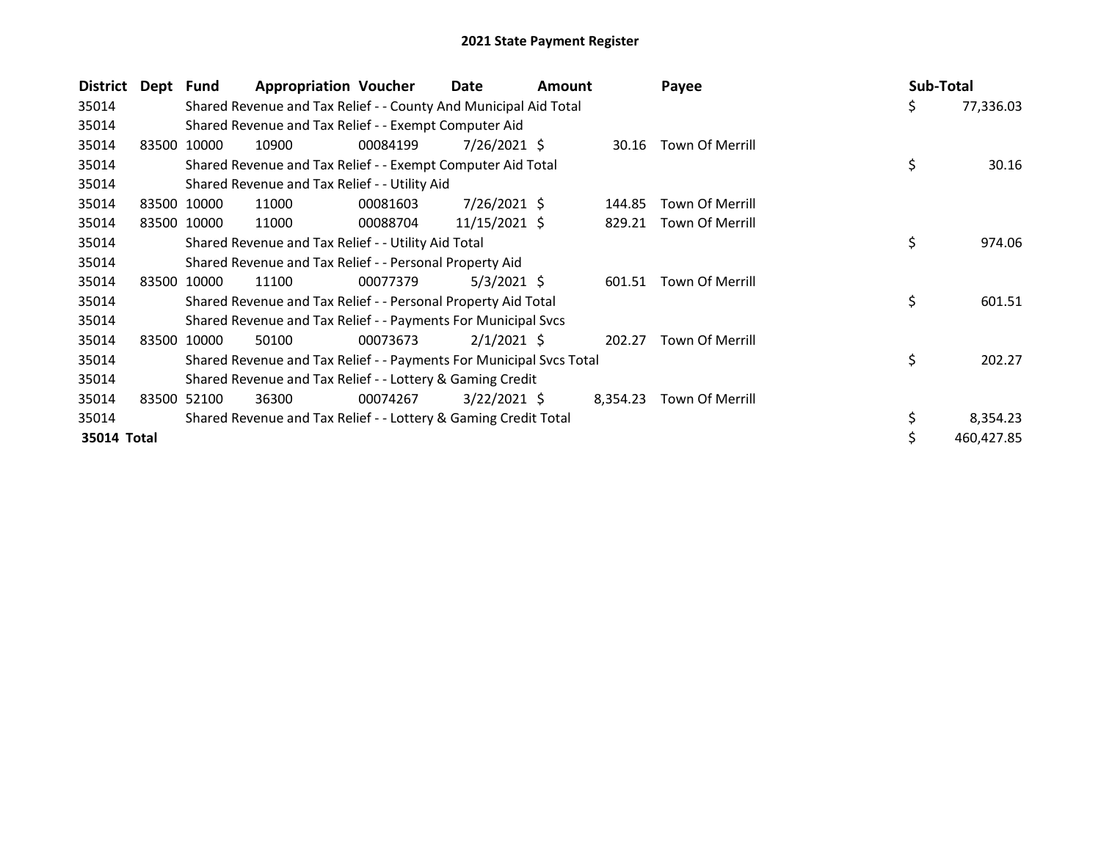| District    | Dept Fund |             | <b>Appropriation Voucher</b>                                        |          | Date           | <b>Amount</b> |          | Payee                  | Sub-Total |            |
|-------------|-----------|-------------|---------------------------------------------------------------------|----------|----------------|---------------|----------|------------------------|-----------|------------|
| 35014       |           |             | Shared Revenue and Tax Relief - - County And Municipal Aid Total    |          |                |               |          |                        | \$.       | 77,336.03  |
| 35014       |           |             | Shared Revenue and Tax Relief - - Exempt Computer Aid               |          |                |               |          |                        |           |            |
| 35014       | 83500     | 10000       | 10900                                                               | 00084199 | 7/26/2021 \$   |               | 30.16    | Town Of Merrill        |           |            |
| 35014       |           |             | Shared Revenue and Tax Relief - - Exempt Computer Aid Total         |          |                |               |          |                        | \$        | 30.16      |
| 35014       |           |             | Shared Revenue and Tax Relief - - Utility Aid                       |          |                |               |          |                        |           |            |
| 35014       |           | 83500 10000 | 11000                                                               | 00081603 | 7/26/2021 \$   |               | 144.85   | <b>Town Of Merrill</b> |           |            |
| 35014       |           | 83500 10000 | 11000                                                               | 00088704 | 11/15/2021 \$  |               | 829.21   | Town Of Merrill        |           |            |
| 35014       |           |             | Shared Revenue and Tax Relief - - Utility Aid Total                 |          |                |               |          |                        | \$        | 974.06     |
| 35014       |           |             | Shared Revenue and Tax Relief - - Personal Property Aid             |          |                |               |          |                        |           |            |
| 35014       | 83500     | 10000       | 11100                                                               | 00077379 | $5/3/2021$ \$  |               | 601.51   | Town Of Merrill        |           |            |
| 35014       |           |             | Shared Revenue and Tax Relief - - Personal Property Aid Total       |          |                |               |          |                        | \$        | 601.51     |
| 35014       |           |             | Shared Revenue and Tax Relief - - Payments For Municipal Svcs       |          |                |               |          |                        |           |            |
| 35014       | 83500     | 10000       | 50100                                                               | 00073673 | $2/1/2021$ \$  |               | 202.27   | <b>Town Of Merrill</b> |           |            |
| 35014       |           |             | Shared Revenue and Tax Relief - - Payments For Municipal Svcs Total |          |                |               |          |                        | \$        | 202.27     |
| 35014       |           |             | Shared Revenue and Tax Relief - - Lottery & Gaming Credit           |          |                |               |          |                        |           |            |
| 35014       | 83500     | 52100       | 36300                                                               | 00074267 | $3/22/2021$ \$ |               | 8,354.23 | Town Of Merrill        |           |            |
| 35014       |           |             | Shared Revenue and Tax Relief - - Lottery & Gaming Credit Total     |          |                |               |          |                        |           | 8,354.23   |
| 35014 Total |           |             |                                                                     |          |                |               |          |                        |           | 460,427.85 |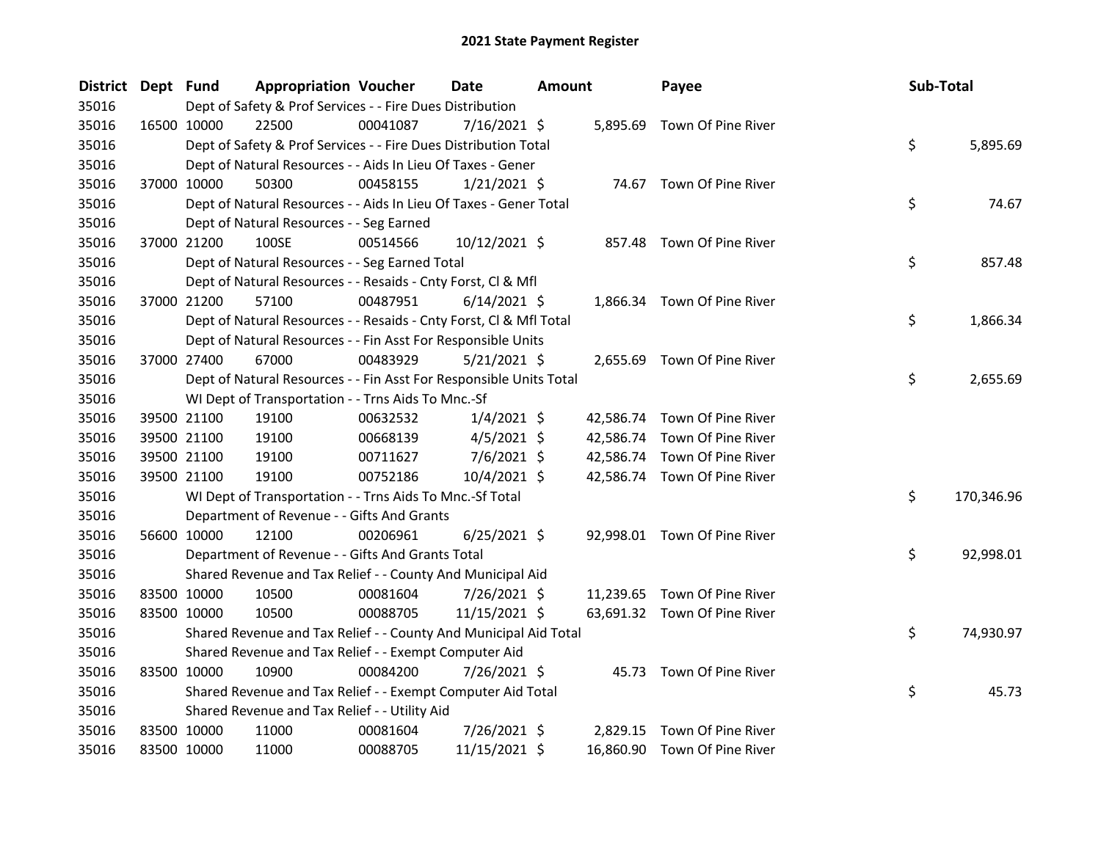| District Dept Fund |             | <b>Appropriation Voucher</b>                                       |          | <b>Date</b>    | <b>Amount</b> |           | Payee                        | Sub-Total |            |
|--------------------|-------------|--------------------------------------------------------------------|----------|----------------|---------------|-----------|------------------------------|-----------|------------|
| 35016              |             | Dept of Safety & Prof Services - - Fire Dues Distribution          |          |                |               |           |                              |           |            |
| 35016              | 16500 10000 | 22500                                                              | 00041087 | 7/16/2021 \$   |               |           | 5,895.69 Town Of Pine River  |           |            |
| 35016              |             | Dept of Safety & Prof Services - - Fire Dues Distribution Total    |          |                |               |           |                              | \$        | 5,895.69   |
| 35016              |             | Dept of Natural Resources - - Aids In Lieu Of Taxes - Gener        |          |                |               |           |                              |           |            |
| 35016              | 37000 10000 | 50300                                                              | 00458155 | $1/21/2021$ \$ |               |           | 74.67 Town Of Pine River     |           |            |
| 35016              |             | Dept of Natural Resources - - Aids In Lieu Of Taxes - Gener Total  |          |                |               |           |                              | \$        | 74.67      |
| 35016              |             | Dept of Natural Resources - - Seg Earned                           |          |                |               |           |                              |           |            |
| 35016              | 37000 21200 | 100SE                                                              | 00514566 | 10/12/2021 \$  |               | 857.48    | Town Of Pine River           |           |            |
| 35016              |             | Dept of Natural Resources - - Seg Earned Total                     |          |                |               |           |                              | \$        | 857.48     |
| 35016              |             | Dept of Natural Resources - - Resaids - Cnty Forst, Cl & Mfl       |          |                |               |           |                              |           |            |
| 35016              | 37000 21200 | 57100                                                              | 00487951 | $6/14/2021$ \$ |               |           | 1,866.34 Town Of Pine River  |           |            |
| 35016              |             | Dept of Natural Resources - - Resaids - Cnty Forst, Cl & Mfl Total |          |                |               |           |                              | \$        | 1,866.34   |
| 35016              |             | Dept of Natural Resources - - Fin Asst For Responsible Units       |          |                |               |           |                              |           |            |
| 35016              | 37000 27400 | 67000                                                              | 00483929 | $5/21/2021$ \$ |               |           | 2,655.69 Town Of Pine River  |           |            |
| 35016              |             | Dept of Natural Resources - - Fin Asst For Responsible Units Total |          |                |               |           |                              | \$        | 2,655.69   |
| 35016              |             | WI Dept of Transportation - - Trns Aids To Mnc.-Sf                 |          |                |               |           |                              |           |            |
| 35016              | 39500 21100 | 19100                                                              | 00632532 | $1/4/2021$ \$  |               | 42,586.74 | Town Of Pine River           |           |            |
| 35016              | 39500 21100 | 19100                                                              | 00668139 | $4/5/2021$ \$  |               | 42,586.74 | Town Of Pine River           |           |            |
| 35016              | 39500 21100 | 19100                                                              | 00711627 | $7/6/2021$ \$  |               | 42,586.74 | Town Of Pine River           |           |            |
| 35016              | 39500 21100 | 19100                                                              | 00752186 | 10/4/2021 \$   |               |           | 42,586.74 Town Of Pine River |           |            |
| 35016              |             | WI Dept of Transportation - - Trns Aids To Mnc.-Sf Total           |          |                |               |           |                              | \$        | 170,346.96 |
| 35016              |             | Department of Revenue - - Gifts And Grants                         |          |                |               |           |                              |           |            |
| 35016              | 56600 10000 | 12100                                                              | 00206961 | $6/25/2021$ \$ |               |           | 92,998.01 Town Of Pine River |           |            |
| 35016              |             | Department of Revenue - - Gifts And Grants Total                   |          |                |               |           |                              | \$        | 92,998.01  |
| 35016              |             | Shared Revenue and Tax Relief - - County And Municipal Aid         |          |                |               |           |                              |           |            |
| 35016              | 83500 10000 | 10500                                                              | 00081604 | 7/26/2021 \$   |               |           | 11,239.65 Town Of Pine River |           |            |
| 35016              | 83500 10000 | 10500                                                              | 00088705 | 11/15/2021 \$  |               |           | 63,691.32 Town Of Pine River |           |            |
| 35016              |             | Shared Revenue and Tax Relief - - County And Municipal Aid Total   |          |                |               |           |                              | \$        | 74,930.97  |
| 35016              |             | Shared Revenue and Tax Relief - - Exempt Computer Aid              |          |                |               |           |                              |           |            |
| 35016              | 83500 10000 | 10900                                                              | 00084200 | 7/26/2021 \$   |               |           | 45.73 Town Of Pine River     |           |            |
| 35016              |             | Shared Revenue and Tax Relief - - Exempt Computer Aid Total        |          |                |               |           |                              | \$        | 45.73      |
| 35016              |             | Shared Revenue and Tax Relief - - Utility Aid                      |          |                |               |           |                              |           |            |
| 35016              | 83500 10000 | 11000                                                              | 00081604 | 7/26/2021 \$   |               | 2,829.15  | Town Of Pine River           |           |            |
| 35016              | 83500 10000 | 11000                                                              | 00088705 | 11/15/2021 \$  |               |           | 16,860.90 Town Of Pine River |           |            |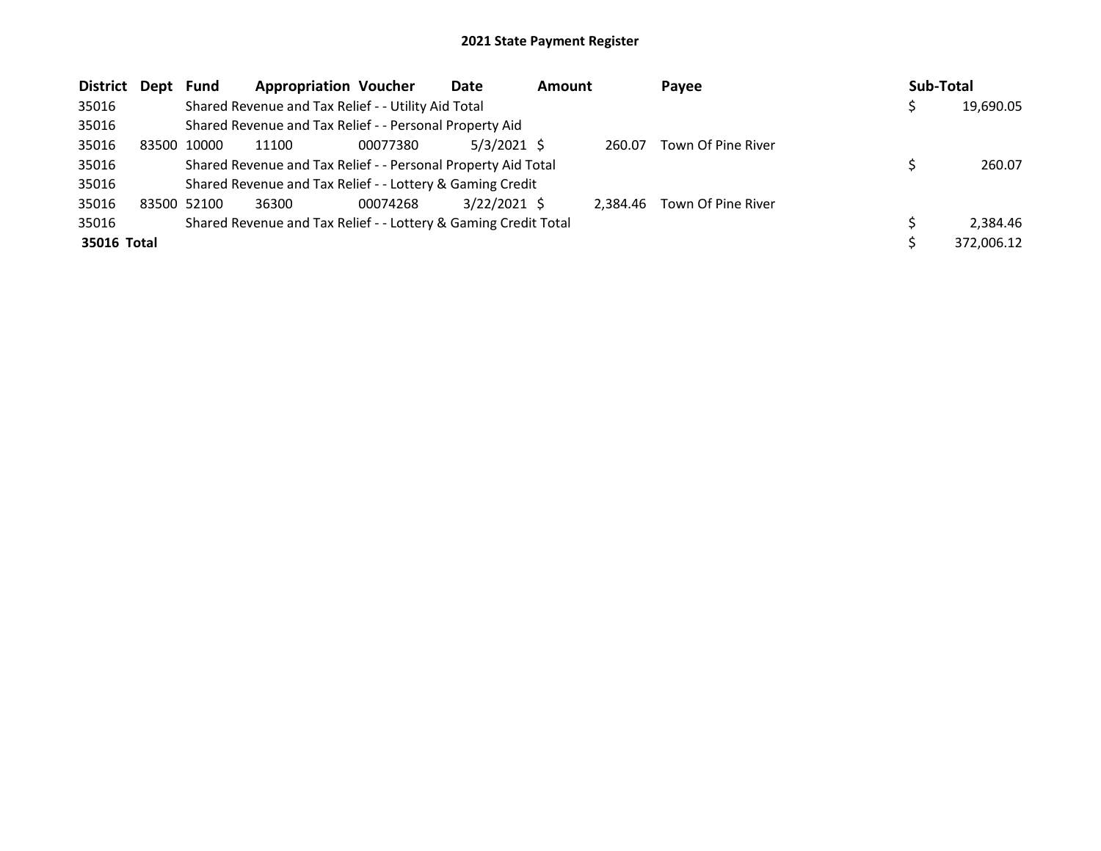| District Dept | Fund        | <b>Appropriation Voucher</b>                                    |          | Date           | <b>Amount</b> |          | Payee              | Sub-Total |            |
|---------------|-------------|-----------------------------------------------------------------|----------|----------------|---------------|----------|--------------------|-----------|------------|
| 35016         |             | Shared Revenue and Tax Relief - - Utility Aid Total             |          |                |               |          |                    |           | 19,690.05  |
| 35016         |             | Shared Revenue and Tax Relief - - Personal Property Aid         |          |                |               |          |                    |           |            |
| 35016         | 83500 10000 | 11100                                                           | 00077380 | $5/3/2021$ \$  |               | 260.07   | Town Of Pine River |           |            |
| 35016         |             | Shared Revenue and Tax Relief - - Personal Property Aid Total   |          |                |               |          |                    |           | 260.07     |
| 35016         |             | Shared Revenue and Tax Relief - - Lottery & Gaming Credit       |          |                |               |          |                    |           |            |
| 35016         | 83500 52100 | 36300                                                           | 00074268 | $3/22/2021$ \$ |               | 2,384.46 | Town Of Pine River |           |            |
| 35016         |             | Shared Revenue and Tax Relief - - Lottery & Gaming Credit Total |          |                |               |          |                    |           | 2,384.46   |
| 35016 Total   |             |                                                                 |          |                |               |          |                    |           | 372,006.12 |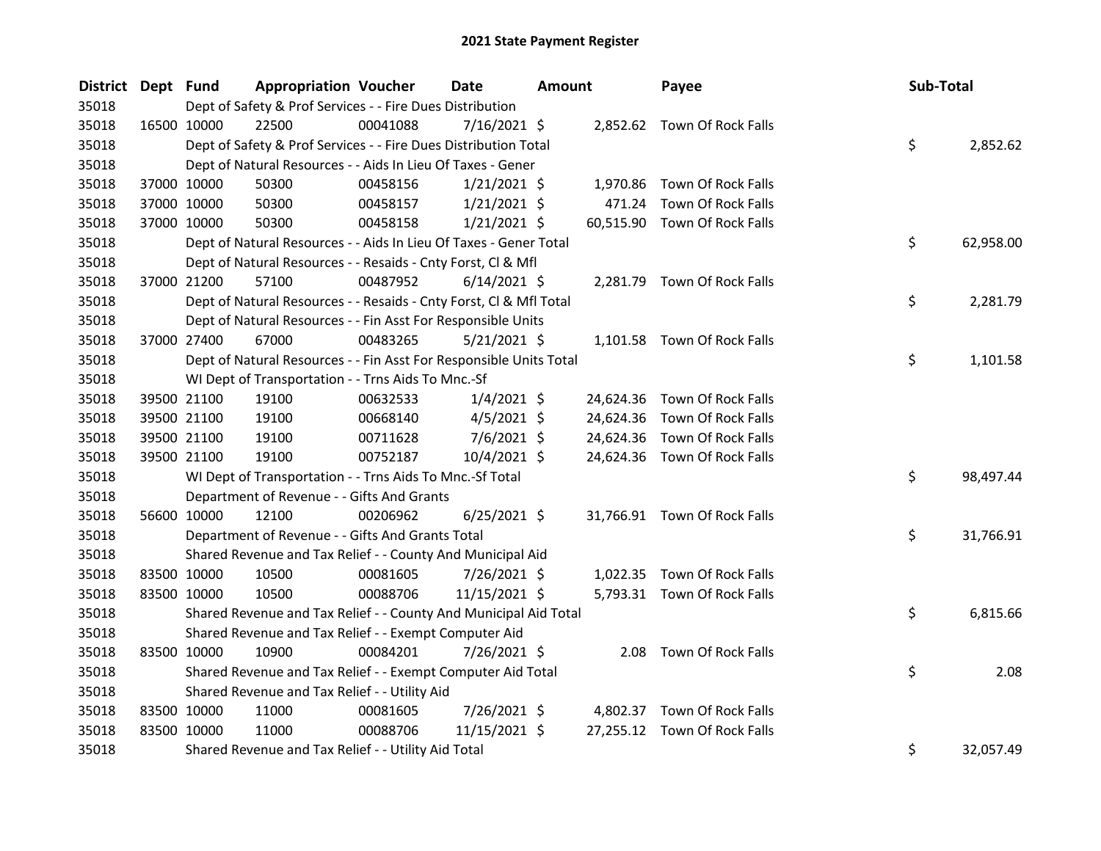| <b>District</b> | Dept Fund   |             | <b>Appropriation Voucher</b>                                       |          | <b>Date</b>    | <b>Amount</b> |           | Payee                        | Sub-Total |           |
|-----------------|-------------|-------------|--------------------------------------------------------------------|----------|----------------|---------------|-----------|------------------------------|-----------|-----------|
| 35018           |             |             | Dept of Safety & Prof Services - - Fire Dues Distribution          |          |                |               |           |                              |           |           |
| 35018           |             | 16500 10000 | 22500                                                              | 00041088 | $7/16/2021$ \$ |               |           | 2,852.62 Town Of Rock Falls  |           |           |
| 35018           |             |             | Dept of Safety & Prof Services - - Fire Dues Distribution Total    |          |                |               |           |                              | \$        | 2,852.62  |
| 35018           |             |             | Dept of Natural Resources - - Aids In Lieu Of Taxes - Gener        |          |                |               |           |                              |           |           |
| 35018           |             | 37000 10000 | 50300                                                              | 00458156 | $1/21/2021$ \$ |               |           | 1,970.86 Town Of Rock Falls  |           |           |
| 35018           |             | 37000 10000 | 50300                                                              | 00458157 | $1/21/2021$ \$ |               | 471.24    | Town Of Rock Falls           |           |           |
| 35018           |             | 37000 10000 | 50300                                                              | 00458158 | $1/21/2021$ \$ |               |           | 60,515.90 Town Of Rock Falls |           |           |
| 35018           |             |             | Dept of Natural Resources - - Aids In Lieu Of Taxes - Gener Total  |          |                |               |           |                              | \$        | 62,958.00 |
| 35018           |             |             | Dept of Natural Resources - - Resaids - Cnty Forst, Cl & Mfl       |          |                |               |           |                              |           |           |
| 35018           |             | 37000 21200 | 57100                                                              | 00487952 | $6/14/2021$ \$ |               |           | 2,281.79 Town Of Rock Falls  |           |           |
| 35018           |             |             | Dept of Natural Resources - - Resaids - Cnty Forst, Cl & Mfl Total |          |                |               |           |                              | \$        | 2,281.79  |
| 35018           |             |             | Dept of Natural Resources - - Fin Asst For Responsible Units       |          |                |               |           |                              |           |           |
| 35018           |             | 37000 27400 | 67000                                                              | 00483265 | $5/21/2021$ \$ |               |           | 1,101.58 Town Of Rock Falls  |           |           |
| 35018           |             |             | Dept of Natural Resources - - Fin Asst For Responsible Units Total |          |                |               |           |                              | \$        | 1,101.58  |
| 35018           |             |             | WI Dept of Transportation - - Trns Aids To Mnc.-Sf                 |          |                |               |           |                              |           |           |
| 35018           |             | 39500 21100 | 19100                                                              | 00632533 | $1/4/2021$ \$  |               |           | 24,624.36 Town Of Rock Falls |           |           |
| 35018           |             | 39500 21100 | 19100                                                              | 00668140 | $4/5/2021$ \$  |               | 24,624.36 | Town Of Rock Falls           |           |           |
| 35018           |             | 39500 21100 | 19100                                                              | 00711628 | $7/6/2021$ \$  |               |           | 24,624.36 Town Of Rock Falls |           |           |
| 35018           |             | 39500 21100 | 19100                                                              | 00752187 | 10/4/2021 \$   |               |           | 24,624.36 Town Of Rock Falls |           |           |
| 35018           |             |             | WI Dept of Transportation - - Trns Aids To Mnc.-Sf Total           |          |                |               |           |                              | \$        | 98,497.44 |
| 35018           |             |             | Department of Revenue - - Gifts And Grants                         |          |                |               |           |                              |           |           |
| 35018           |             | 56600 10000 | 12100                                                              | 00206962 | $6/25/2021$ \$ |               |           | 31,766.91 Town Of Rock Falls |           |           |
| 35018           |             |             | Department of Revenue - - Gifts And Grants Total                   |          |                |               |           |                              | \$        | 31,766.91 |
| 35018           |             |             | Shared Revenue and Tax Relief - - County And Municipal Aid         |          |                |               |           |                              |           |           |
| 35018           | 83500 10000 |             | 10500                                                              | 00081605 | 7/26/2021 \$   |               |           | 1,022.35 Town Of Rock Falls  |           |           |
| 35018           | 83500 10000 |             | 10500                                                              | 00088706 | 11/15/2021 \$  |               |           | 5,793.31 Town Of Rock Falls  |           |           |
| 35018           |             |             | Shared Revenue and Tax Relief - - County And Municipal Aid Total   |          |                |               |           |                              | \$        | 6,815.66  |
| 35018           |             |             | Shared Revenue and Tax Relief - - Exempt Computer Aid              |          |                |               |           |                              |           |           |
| 35018           | 83500 10000 |             | 10900                                                              | 00084201 | 7/26/2021 \$   |               |           | 2.08 Town Of Rock Falls      |           |           |
| 35018           |             |             | Shared Revenue and Tax Relief - - Exempt Computer Aid Total        |          |                |               |           |                              | \$        | 2.08      |
| 35018           |             |             | Shared Revenue and Tax Relief - - Utility Aid                      |          |                |               |           |                              |           |           |
| 35018           |             | 83500 10000 | 11000                                                              | 00081605 | 7/26/2021 \$   |               | 4,802.37  | Town Of Rock Falls           |           |           |
| 35018           | 83500 10000 |             | 11000                                                              | 00088706 | 11/15/2021 \$  |               | 27,255.12 | Town Of Rock Falls           |           |           |
| 35018           |             |             | Shared Revenue and Tax Relief - - Utility Aid Total                |          |                |               |           |                              | \$        | 32,057.49 |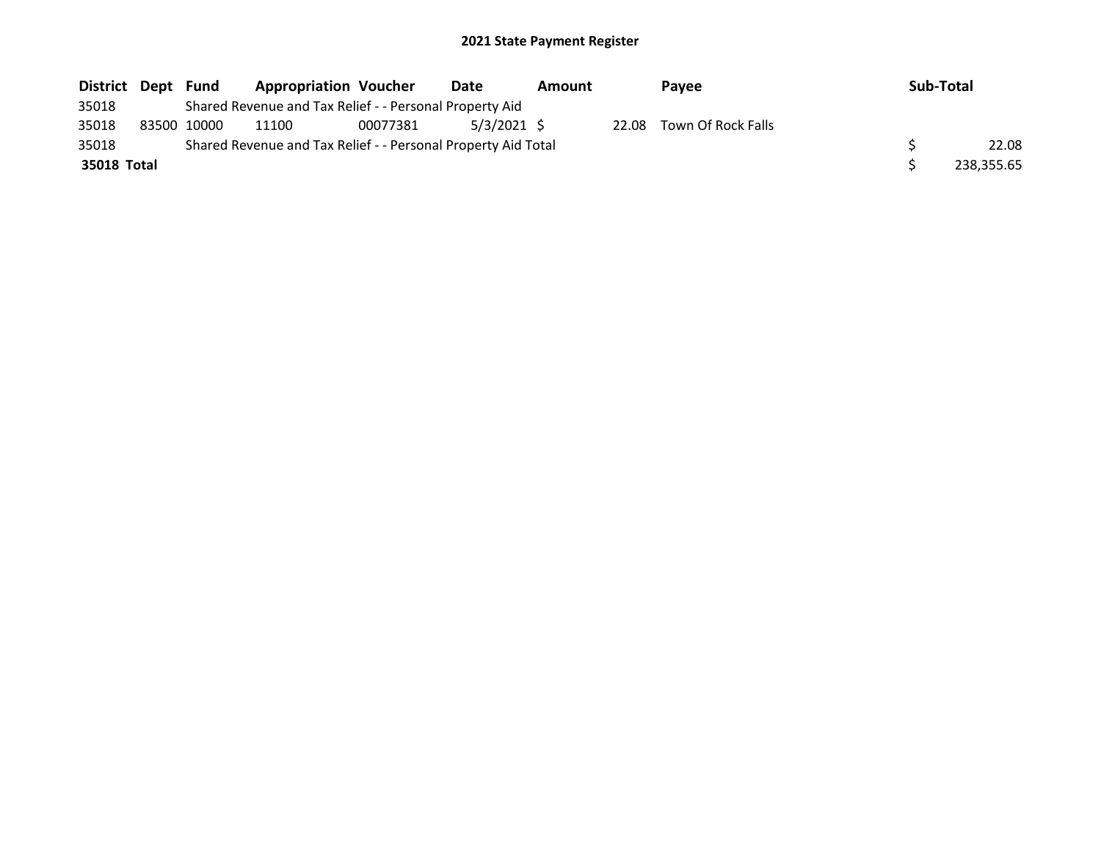| District Dept Fund |             | <b>Appropriation Voucher</b>                                  |          | Date        | Amount |       | <b>Pavee</b>       | Sub-Total  |
|--------------------|-------------|---------------------------------------------------------------|----------|-------------|--------|-------|--------------------|------------|
| 35018              |             | Shared Revenue and Tax Relief - - Personal Property Aid       |          |             |        |       |                    |            |
| 35018              | 83500 10000 | 11100                                                         | 00077381 | 5/3/2021 \$ |        | 22.08 | Town Of Rock Falls |            |
| 35018              |             | Shared Revenue and Tax Relief - - Personal Property Aid Total |          |             |        |       |                    | 22.08      |
| 35018 Total        |             |                                                               |          |             |        |       |                    | 238,355.65 |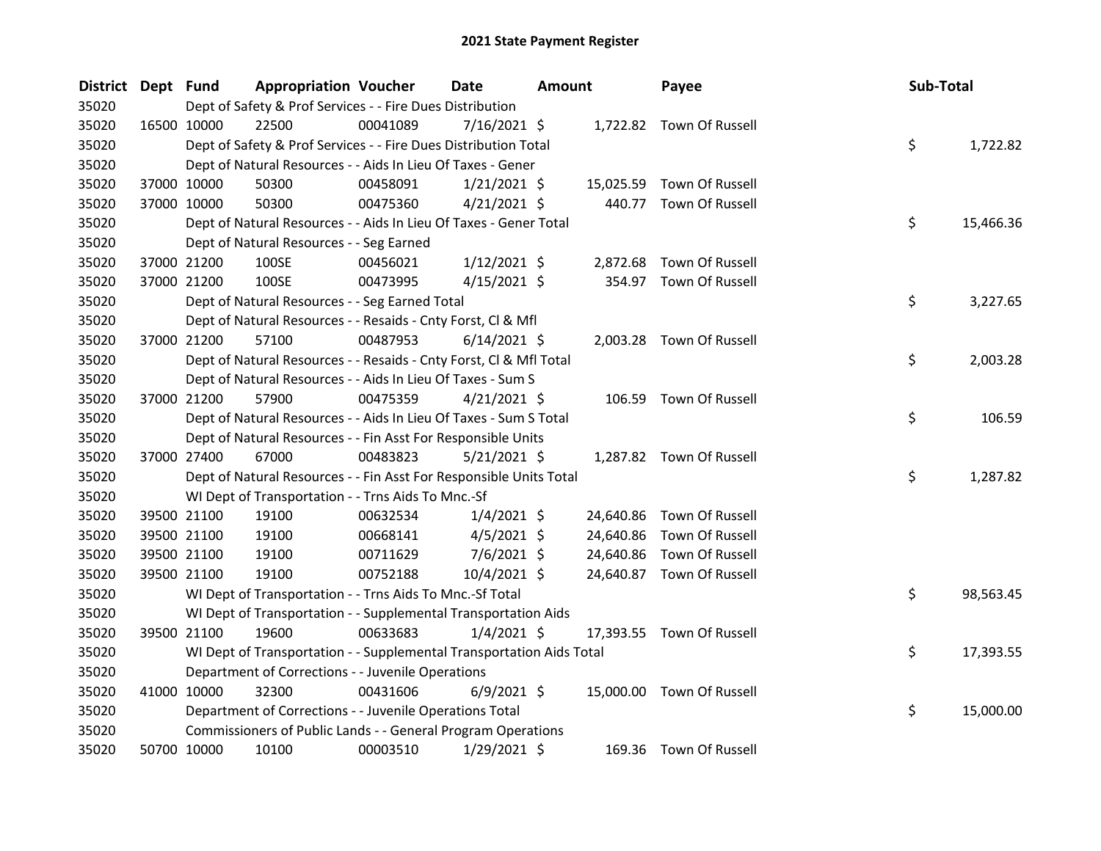| District Dept Fund |             | <b>Appropriation Voucher</b>                                         |          | <b>Date</b>    | Amount |           | Payee                     | Sub-Total |           |
|--------------------|-------------|----------------------------------------------------------------------|----------|----------------|--------|-----------|---------------------------|-----------|-----------|
| 35020              |             | Dept of Safety & Prof Services - - Fire Dues Distribution            |          |                |        |           |                           |           |           |
| 35020              | 16500 10000 | 22500                                                                | 00041089 | 7/16/2021 \$   |        |           | 1,722.82 Town Of Russell  |           |           |
| 35020              |             | Dept of Safety & Prof Services - - Fire Dues Distribution Total      |          |                |        |           |                           | \$        | 1,722.82  |
| 35020              |             | Dept of Natural Resources - - Aids In Lieu Of Taxes - Gener          |          |                |        |           |                           |           |           |
| 35020              | 37000 10000 | 50300                                                                | 00458091 | $1/21/2021$ \$ |        |           | 15,025.59 Town Of Russell |           |           |
| 35020              | 37000 10000 | 50300                                                                | 00475360 | $4/21/2021$ \$ |        |           | 440.77 Town Of Russell    |           |           |
| 35020              |             | Dept of Natural Resources - - Aids In Lieu Of Taxes - Gener Total    |          |                |        |           |                           | \$        | 15,466.36 |
| 35020              |             | Dept of Natural Resources - - Seg Earned                             |          |                |        |           |                           |           |           |
| 35020              | 37000 21200 | 100SE                                                                | 00456021 | $1/12/2021$ \$ |        |           | 2,872.68 Town Of Russell  |           |           |
| 35020              | 37000 21200 | 100SE                                                                | 00473995 | $4/15/2021$ \$ |        |           | 354.97 Town Of Russell    |           |           |
| 35020              |             | Dept of Natural Resources - - Seg Earned Total                       |          |                |        |           |                           | \$        | 3,227.65  |
| 35020              |             | Dept of Natural Resources - - Resaids - Cnty Forst, Cl & Mfl         |          |                |        |           |                           |           |           |
| 35020              | 37000 21200 | 57100                                                                | 00487953 | $6/14/2021$ \$ |        |           | 2,003.28 Town Of Russell  |           |           |
| 35020              |             | Dept of Natural Resources - - Resaids - Cnty Forst, Cl & Mfl Total   |          |                |        |           |                           | \$        | 2,003.28  |
| 35020              |             | Dept of Natural Resources - - Aids In Lieu Of Taxes - Sum S          |          |                |        |           |                           |           |           |
| 35020              | 37000 21200 | 57900                                                                | 00475359 | $4/21/2021$ \$ |        |           | 106.59 Town Of Russell    |           |           |
| 35020              |             | Dept of Natural Resources - - Aids In Lieu Of Taxes - Sum S Total    |          |                |        |           |                           | \$        | 106.59    |
| 35020              |             | Dept of Natural Resources - - Fin Asst For Responsible Units         |          |                |        |           |                           |           |           |
| 35020              | 37000 27400 | 67000                                                                | 00483823 | $5/21/2021$ \$ |        |           | 1,287.82 Town Of Russell  |           |           |
| 35020              |             | Dept of Natural Resources - - Fin Asst For Responsible Units Total   |          |                |        |           |                           | \$        | 1,287.82  |
| 35020              |             | WI Dept of Transportation - - Trns Aids To Mnc.-Sf                   |          |                |        |           |                           |           |           |
| 35020              | 39500 21100 | 19100                                                                | 00632534 | $1/4/2021$ \$  |        | 24,640.86 | Town Of Russell           |           |           |
| 35020              | 39500 21100 | 19100                                                                | 00668141 | $4/5/2021$ \$  |        | 24,640.86 | Town Of Russell           |           |           |
| 35020              | 39500 21100 | 19100                                                                | 00711629 | 7/6/2021 \$    |        | 24,640.86 | Town Of Russell           |           |           |
| 35020              | 39500 21100 | 19100                                                                | 00752188 | 10/4/2021 \$   |        |           | 24,640.87 Town Of Russell |           |           |
| 35020              |             | WI Dept of Transportation - - Trns Aids To Mnc.-Sf Total             |          |                |        |           |                           | \$        | 98,563.45 |
| 35020              |             | WI Dept of Transportation - - Supplemental Transportation Aids       |          |                |        |           |                           |           |           |
| 35020              | 39500 21100 | 19600                                                                | 00633683 | $1/4/2021$ \$  |        |           | 17,393.55 Town Of Russell |           |           |
| 35020              |             | WI Dept of Transportation - - Supplemental Transportation Aids Total |          |                |        |           |                           | \$        | 17,393.55 |
| 35020              |             | Department of Corrections - - Juvenile Operations                    |          |                |        |           |                           |           |           |
| 35020              | 41000 10000 | 32300                                                                | 00431606 | $6/9/2021$ \$  |        |           | 15,000.00 Town Of Russell |           |           |
| 35020              |             | Department of Corrections - - Juvenile Operations Total              |          |                |        |           |                           | \$        | 15,000.00 |
| 35020              |             | Commissioners of Public Lands - - General Program Operations         |          |                |        |           |                           |           |           |
| 35020              | 50700 10000 | 10100                                                                | 00003510 | 1/29/2021 \$   |        |           | 169.36 Town Of Russell    |           |           |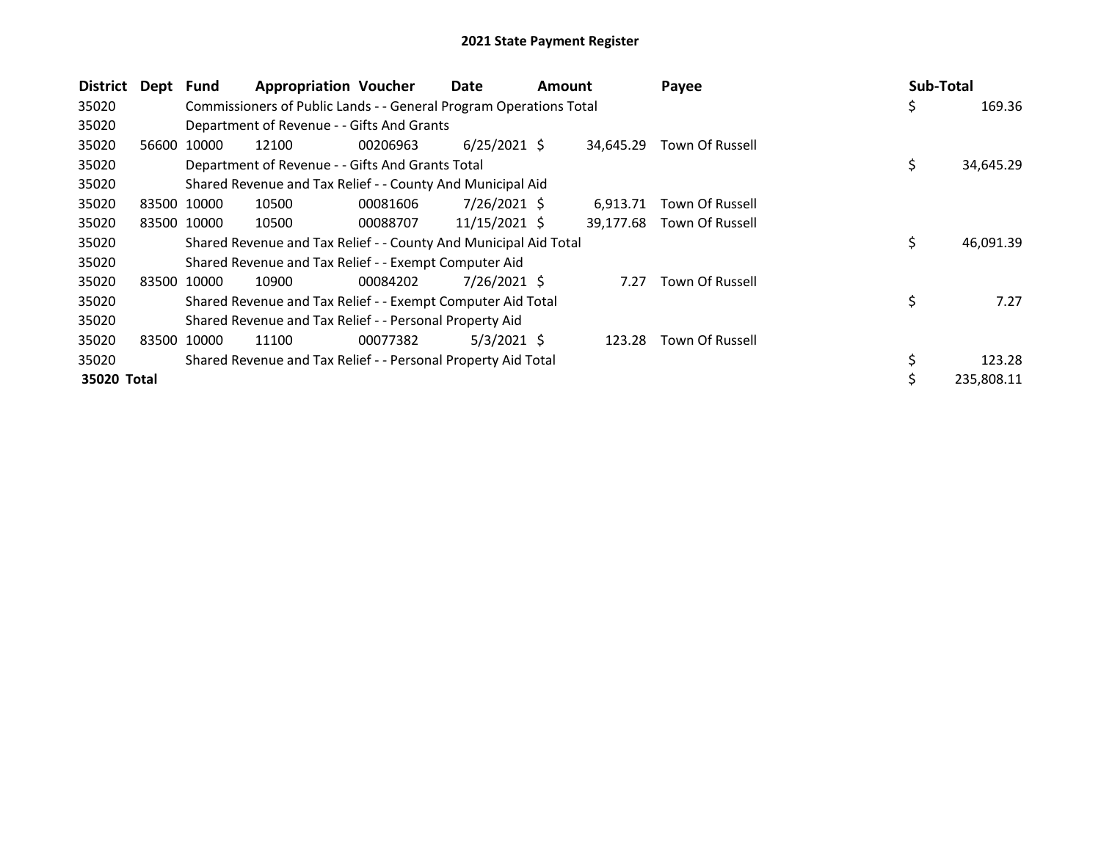| <b>District</b> | Dept Fund |             | <b>Appropriation Voucher</b>                                       |          | Date           | Amount |           | Payee           | Sub-Total |            |
|-----------------|-----------|-------------|--------------------------------------------------------------------|----------|----------------|--------|-----------|-----------------|-----------|------------|
| 35020           |           |             | Commissioners of Public Lands - - General Program Operations Total |          |                |        |           |                 | \$        | 169.36     |
| 35020           |           |             | Department of Revenue - - Gifts And Grants                         |          |                |        |           |                 |           |            |
| 35020           | 56600     | 10000       | 12100                                                              | 00206963 | $6/25/2021$ \$ |        | 34.645.29 | Town Of Russell |           |            |
| 35020           |           |             | Department of Revenue - - Gifts And Grants Total                   |          |                |        |           |                 | \$        | 34,645.29  |
| 35020           |           |             | Shared Revenue and Tax Relief - - County And Municipal Aid         |          |                |        |           |                 |           |            |
| 35020           |           | 83500 10000 | 10500                                                              | 00081606 | $7/26/2021$ \$ |        | 6.913.71  | Town Of Russell |           |            |
| 35020           |           | 83500 10000 | 10500                                                              | 00088707 | 11/15/2021 \$  |        | 39,177.68 | Town Of Russell |           |            |
| 35020           |           |             | Shared Revenue and Tax Relief - - County And Municipal Aid Total   |          |                |        |           |                 | \$        | 46,091.39  |
| 35020           |           |             | Shared Revenue and Tax Relief - - Exempt Computer Aid              |          |                |        |           |                 |           |            |
| 35020           |           | 83500 10000 | 10900                                                              | 00084202 | $7/26/2021$ \$ |        | 7.27      | Town Of Russell |           |            |
| 35020           |           |             | Shared Revenue and Tax Relief - - Exempt Computer Aid Total        |          |                |        |           |                 | \$        | 7.27       |
| 35020           |           |             | Shared Revenue and Tax Relief - - Personal Property Aid            |          |                |        |           |                 |           |            |
| 35020           |           | 83500 10000 | 11100                                                              | 00077382 | $5/3/2021$ \$  |        | 123.28    | Town Of Russell |           |            |
| 35020           |           |             | Shared Revenue and Tax Relief - - Personal Property Aid Total      |          |                |        |           |                 | \$        | 123.28     |
| 35020 Total     |           |             |                                                                    |          |                |        |           |                 | \$        | 235,808.11 |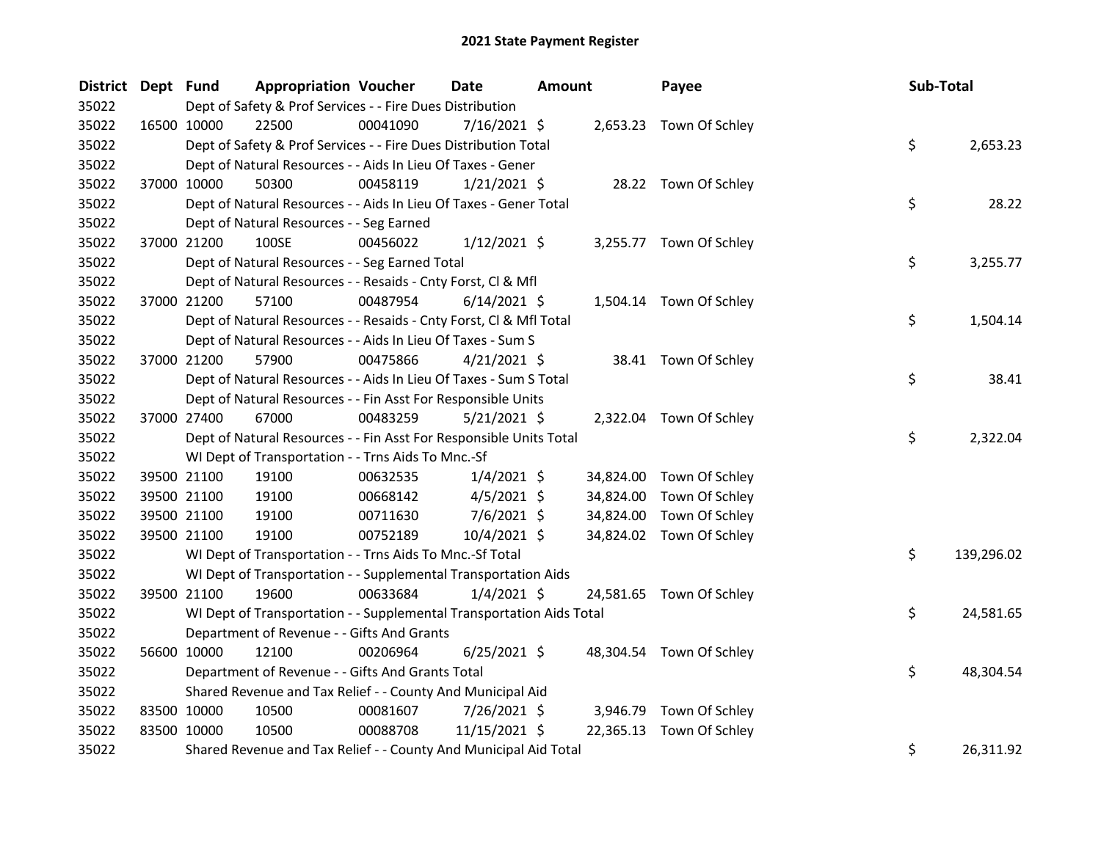| District Dept Fund |             |                                                                      | <b>Appropriation Voucher</b> | Date           | <b>Amount</b> | Payee                    | Sub-Total |            |
|--------------------|-------------|----------------------------------------------------------------------|------------------------------|----------------|---------------|--------------------------|-----------|------------|
| 35022              |             | Dept of Safety & Prof Services - - Fire Dues Distribution            |                              |                |               |                          |           |            |
| 35022              | 16500 10000 | 22500                                                                | 00041090                     | 7/16/2021 \$   |               | 2,653.23 Town Of Schley  |           |            |
| 35022              |             | Dept of Safety & Prof Services - - Fire Dues Distribution Total      |                              |                |               |                          | \$        | 2,653.23   |
| 35022              |             | Dept of Natural Resources - - Aids In Lieu Of Taxes - Gener          |                              |                |               |                          |           |            |
| 35022              |             | 37000 10000<br>50300                                                 | 00458119                     | $1/21/2021$ \$ |               | 28.22 Town Of Schley     |           |            |
| 35022              |             | Dept of Natural Resources - - Aids In Lieu Of Taxes - Gener Total    |                              |                |               |                          | \$        | 28.22      |
| 35022              |             | Dept of Natural Resources - - Seg Earned                             |                              |                |               |                          |           |            |
| 35022              |             | 37000 21200<br>100SE                                                 | 00456022                     | $1/12/2021$ \$ |               | 3,255.77 Town Of Schley  |           |            |
| 35022              |             | Dept of Natural Resources - - Seg Earned Total                       |                              |                |               |                          | \$        | 3,255.77   |
| 35022              |             | Dept of Natural Resources - - Resaids - Cnty Forst, Cl & Mfl         |                              |                |               |                          |           |            |
| 35022              |             | 37000 21200<br>57100                                                 | 00487954                     | $6/14/2021$ \$ |               | 1,504.14 Town Of Schley  |           |            |
| 35022              |             | Dept of Natural Resources - - Resaids - Cnty Forst, Cl & Mfl Total   |                              |                |               |                          | \$        | 1,504.14   |
| 35022              |             | Dept of Natural Resources - - Aids In Lieu Of Taxes - Sum S          |                              |                |               |                          |           |            |
| 35022              | 37000 21200 | 57900                                                                | 00475866                     | $4/21/2021$ \$ |               | 38.41 Town Of Schley     |           |            |
| 35022              |             | Dept of Natural Resources - - Aids In Lieu Of Taxes - Sum S Total    |                              |                |               |                          | \$        | 38.41      |
| 35022              |             | Dept of Natural Resources - - Fin Asst For Responsible Units         |                              |                |               |                          |           |            |
| 35022              |             | 37000 27400<br>67000                                                 | 00483259                     | $5/21/2021$ \$ |               | 2,322.04 Town Of Schley  |           |            |
| 35022              |             | Dept of Natural Resources - - Fin Asst For Responsible Units Total   |                              |                |               |                          | \$        | 2,322.04   |
| 35022              |             | WI Dept of Transportation - - Trns Aids To Mnc.-Sf                   |                              |                |               |                          |           |            |
| 35022              | 39500 21100 | 19100                                                                | 00632535                     | $1/4/2021$ \$  |               | 34,824.00 Town Of Schley |           |            |
| 35022              |             | 39500 21100<br>19100                                                 | 00668142                     | $4/5/2021$ \$  | 34,824.00     | Town Of Schley           |           |            |
| 35022              |             | 39500 21100<br>19100                                                 | 00711630                     | $7/6/2021$ \$  | 34,824.00     | Town Of Schley           |           |            |
| 35022              |             | 19100<br>39500 21100                                                 | 00752189                     | 10/4/2021 \$   |               | 34,824.02 Town Of Schley |           |            |
| 35022              |             | WI Dept of Transportation - - Trns Aids To Mnc.-Sf Total             |                              |                |               |                          | \$        | 139,296.02 |
| 35022              |             | WI Dept of Transportation - - Supplemental Transportation Aids       |                              |                |               |                          |           |            |
| 35022              |             | 39500 21100<br>19600                                                 | 00633684                     | $1/4/2021$ \$  |               | 24,581.65 Town Of Schley |           |            |
| 35022              |             | WI Dept of Transportation - - Supplemental Transportation Aids Total |                              |                |               |                          | \$        | 24,581.65  |
| 35022              |             | Department of Revenue - - Gifts And Grants                           |                              |                |               |                          |           |            |
| 35022              | 56600 10000 | 12100                                                                | 00206964                     | $6/25/2021$ \$ |               | 48,304.54 Town Of Schley |           |            |
| 35022              |             | Department of Revenue - - Gifts And Grants Total                     |                              |                |               |                          | \$        | 48,304.54  |
| 35022              |             | Shared Revenue and Tax Relief - - County And Municipal Aid           |                              |                |               |                          |           |            |
| 35022              | 83500 10000 | 10500                                                                | 00081607                     | 7/26/2021 \$   | 3,946.79      | Town Of Schley           |           |            |
| 35022              | 83500 10000 | 10500                                                                | 00088708                     | 11/15/2021 \$  | 22,365.13     | Town Of Schley           |           |            |
| 35022              |             | Shared Revenue and Tax Relief - - County And Municipal Aid Total     |                              |                |               |                          | \$        | 26,311.92  |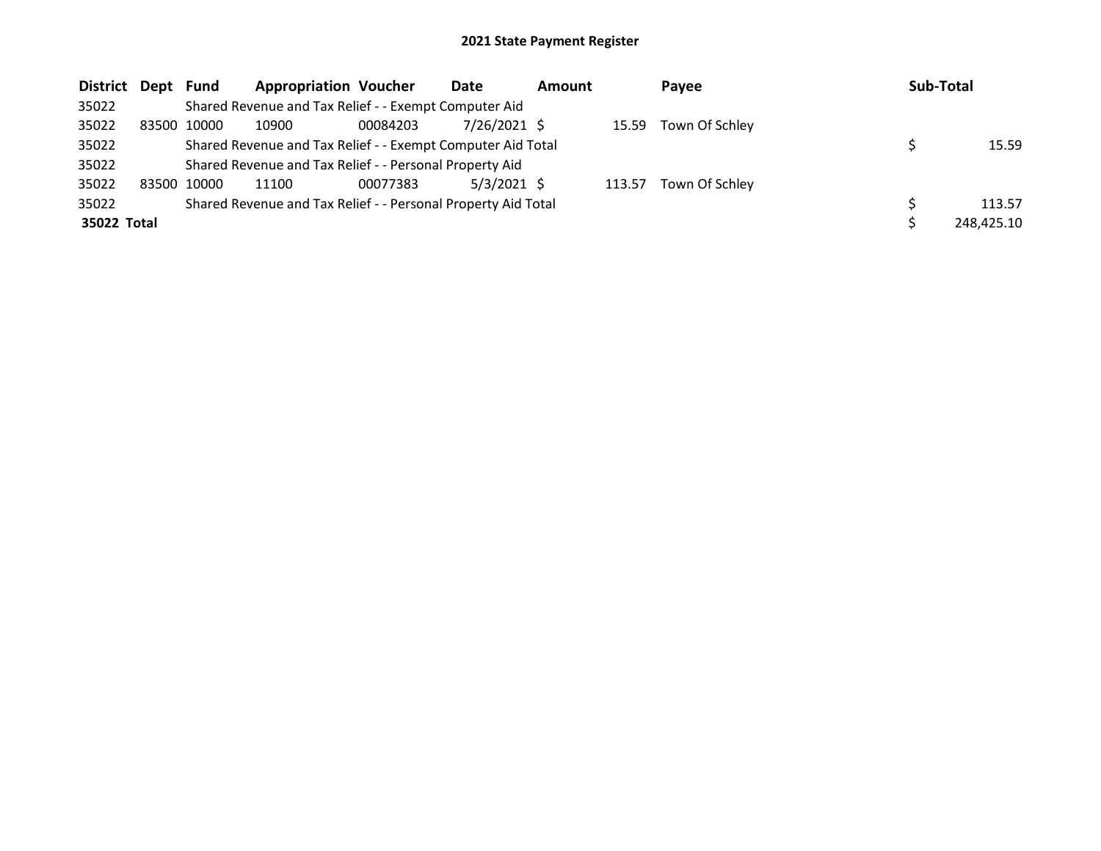| District Dept |       | Fund        | <b>Appropriation Voucher</b>                                  |          | Date           | <b>Amount</b> |        | Payee                | Sub-Total |            |
|---------------|-------|-------------|---------------------------------------------------------------|----------|----------------|---------------|--------|----------------------|-----------|------------|
| 35022         |       |             | Shared Revenue and Tax Relief - - Exempt Computer Aid         |          |                |               |        |                      |           |            |
| 35022         | 83500 | 10000       | 10900                                                         | 00084203 | $7/26/2021$ \$ |               |        | 15.59 Town Of Schley |           |            |
| 35022         |       |             | Shared Revenue and Tax Relief - - Exempt Computer Aid Total   |          |                |               |        |                      |           | 15.59      |
| 35022         |       |             | Shared Revenue and Tax Relief - - Personal Property Aid       |          |                |               |        |                      |           |            |
| 35022         |       | 83500 10000 | 11100                                                         | 00077383 | $5/3/2021$ \$  |               | 113.57 | Town Of Schley       |           |            |
| 35022         |       |             | Shared Revenue and Tax Relief - - Personal Property Aid Total |          |                |               |        |                      |           | 113.57     |
| 35022 Total   |       |             |                                                               |          |                |               |        |                      |           | 248,425.10 |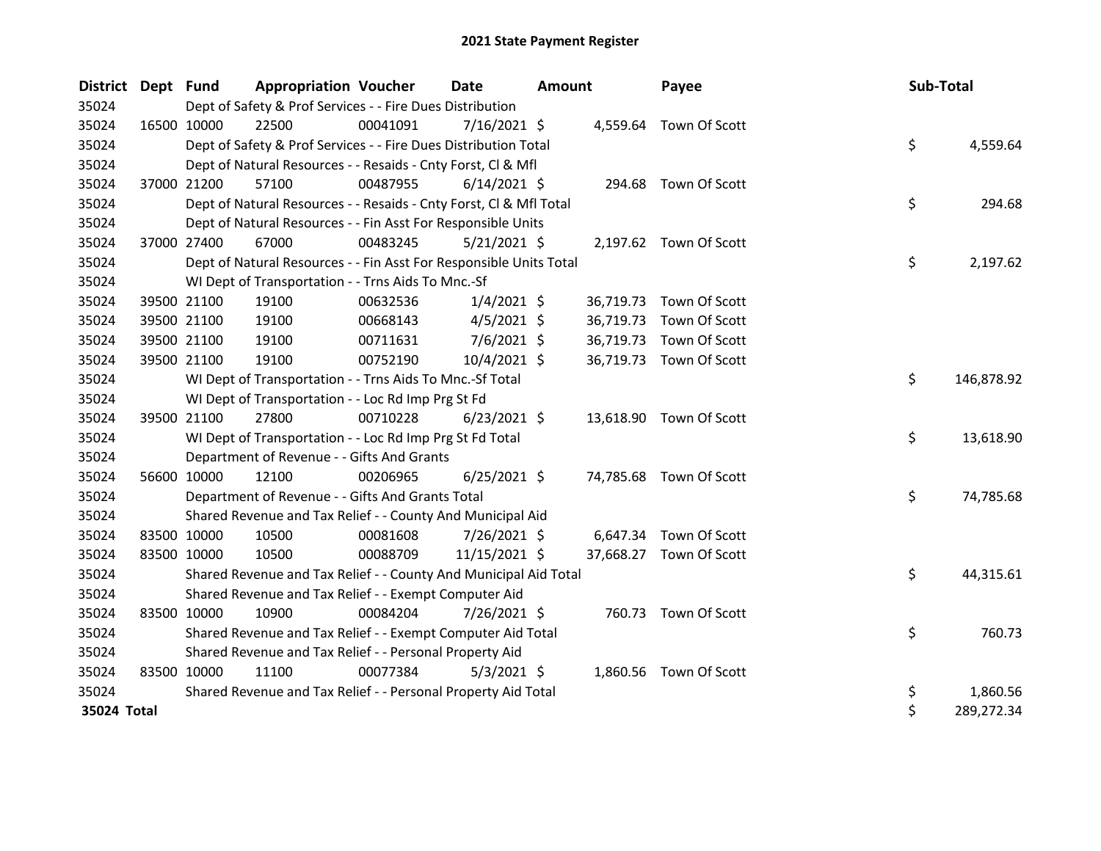| <b>District</b> | Dept Fund   |             | <b>Appropriation Voucher</b>                                       |          | <b>Date</b>    | Amount |           | Payee                   | Sub-Total |            |
|-----------------|-------------|-------------|--------------------------------------------------------------------|----------|----------------|--------|-----------|-------------------------|-----------|------------|
| 35024           |             |             | Dept of Safety & Prof Services - - Fire Dues Distribution          |          |                |        |           |                         |           |            |
| 35024           | 16500 10000 |             | 22500                                                              | 00041091 | $7/16/2021$ \$ |        |           | 4,559.64 Town Of Scott  |           |            |
| 35024           |             |             | Dept of Safety & Prof Services - - Fire Dues Distribution Total    |          |                |        |           |                         | \$        | 4,559.64   |
| 35024           |             |             | Dept of Natural Resources - - Resaids - Cnty Forst, Cl & Mfl       |          |                |        |           |                         |           |            |
| 35024           | 37000 21200 |             | 57100                                                              | 00487955 | $6/14/2021$ \$ |        | 294.68    | Town Of Scott           |           |            |
| 35024           |             |             | Dept of Natural Resources - - Resaids - Cnty Forst, Cl & Mfl Total |          |                |        |           |                         | \$        | 294.68     |
| 35024           |             |             | Dept of Natural Resources - - Fin Asst For Responsible Units       |          |                |        |           |                         |           |            |
| 35024           | 37000 27400 |             | 67000                                                              | 00483245 | $5/21/2021$ \$ |        |           | 2,197.62 Town Of Scott  |           |            |
| 35024           |             |             | Dept of Natural Resources - - Fin Asst For Responsible Units Total |          |                |        |           |                         | \$        | 2,197.62   |
| 35024           |             |             | WI Dept of Transportation - - Trns Aids To Mnc.-Sf                 |          |                |        |           |                         |           |            |
| 35024           |             | 39500 21100 | 19100                                                              | 00632536 | $1/4/2021$ \$  |        | 36,719.73 | Town Of Scott           |           |            |
| 35024           |             | 39500 21100 | 19100                                                              | 00668143 | $4/5/2021$ \$  |        | 36,719.73 | Town Of Scott           |           |            |
| 35024           |             | 39500 21100 | 19100                                                              | 00711631 | $7/6/2021$ \$  |        | 36,719.73 | Town Of Scott           |           |            |
| 35024           | 39500 21100 |             | 19100                                                              | 00752190 | 10/4/2021 \$   |        |           | 36,719.73 Town Of Scott |           |            |
| 35024           |             |             | WI Dept of Transportation - - Trns Aids To Mnc.-Sf Total           |          |                |        |           |                         | \$        | 146,878.92 |
| 35024           |             |             | WI Dept of Transportation - - Loc Rd Imp Prg St Fd                 |          |                |        |           |                         |           |            |
| 35024           |             | 39500 21100 | 27800                                                              | 00710228 | $6/23/2021$ \$ |        |           | 13,618.90 Town Of Scott |           |            |
| 35024           |             |             | WI Dept of Transportation - - Loc Rd Imp Prg St Fd Total           |          |                |        |           |                         | \$        | 13,618.90  |
| 35024           |             |             | Department of Revenue - - Gifts And Grants                         |          |                |        |           |                         |           |            |
| 35024           | 56600 10000 |             | 12100                                                              | 00206965 | $6/25/2021$ \$ |        |           | 74,785.68 Town Of Scott |           |            |
| 35024           |             |             | Department of Revenue - - Gifts And Grants Total                   |          |                |        |           |                         | \$        | 74,785.68  |
| 35024           |             |             | Shared Revenue and Tax Relief - - County And Municipal Aid         |          |                |        |           |                         |           |            |
| 35024           | 83500 10000 |             | 10500                                                              | 00081608 | 7/26/2021 \$   |        |           | 6,647.34 Town Of Scott  |           |            |
| 35024           | 83500 10000 |             | 10500                                                              | 00088709 | 11/15/2021 \$  |        |           | 37,668.27 Town Of Scott |           |            |
| 35024           |             |             | Shared Revenue and Tax Relief - - County And Municipal Aid Total   |          |                |        |           |                         | \$        | 44,315.61  |
| 35024           |             |             | Shared Revenue and Tax Relief - - Exempt Computer Aid              |          |                |        |           |                         |           |            |
| 35024           | 83500 10000 |             | 10900                                                              | 00084204 | 7/26/2021 \$   |        |           | 760.73 Town Of Scott    |           |            |
| 35024           |             |             | Shared Revenue and Tax Relief - - Exempt Computer Aid Total        |          |                |        |           |                         | \$        | 760.73     |
| 35024           |             |             | Shared Revenue and Tax Relief - - Personal Property Aid            |          |                |        |           |                         |           |            |
| 35024           | 83500 10000 |             | 11100                                                              | 00077384 | $5/3/2021$ \$  |        |           | 1,860.56 Town Of Scott  |           |            |
| 35024           |             |             | Shared Revenue and Tax Relief - - Personal Property Aid Total      |          |                |        |           |                         | \$        | 1,860.56   |
| 35024 Total     |             |             |                                                                    |          |                |        |           |                         | \$        | 289,272.34 |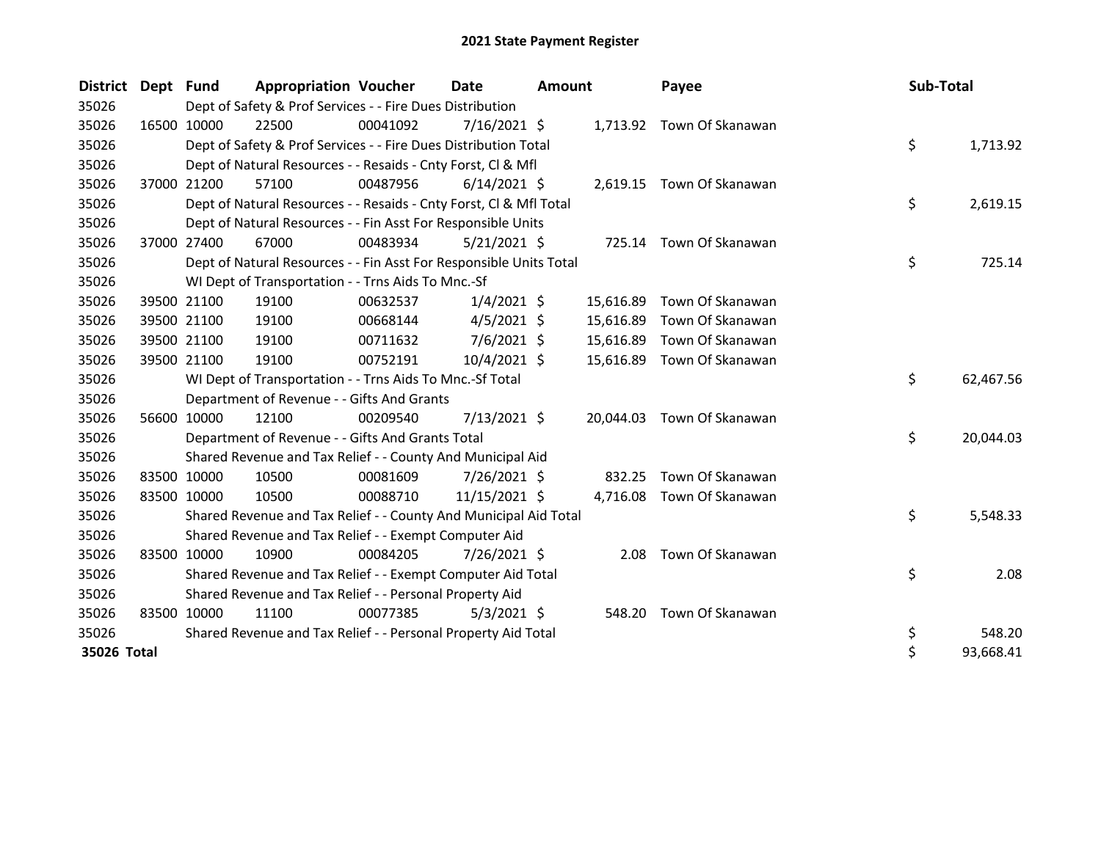| <b>District</b> | Dept Fund |             | <b>Appropriation Voucher</b>                                       |          | <b>Date</b>    | <b>Amount</b> |           | Payee                     | Sub-Total |           |
|-----------------|-----------|-------------|--------------------------------------------------------------------|----------|----------------|---------------|-----------|---------------------------|-----------|-----------|
| 35026           |           |             | Dept of Safety & Prof Services - - Fire Dues Distribution          |          |                |               |           |                           |           |           |
| 35026           |           | 16500 10000 | 22500                                                              | 00041092 | 7/16/2021 \$   |               |           | 1,713.92 Town Of Skanawan |           |           |
| 35026           |           |             | Dept of Safety & Prof Services - - Fire Dues Distribution Total    |          |                |               |           |                           | \$        | 1,713.92  |
| 35026           |           |             | Dept of Natural Resources - - Resaids - Cnty Forst, Cl & Mfl       |          |                |               |           |                           |           |           |
| 35026           |           | 37000 21200 | 57100                                                              | 00487956 | $6/14/2021$ \$ |               |           | 2,619.15 Town Of Skanawan |           |           |
| 35026           |           |             | Dept of Natural Resources - - Resaids - Cnty Forst, Cl & Mfl Total |          |                |               |           |                           | \$        | 2,619.15  |
| 35026           |           |             | Dept of Natural Resources - - Fin Asst For Responsible Units       |          |                |               |           |                           |           |           |
| 35026           |           | 37000 27400 | 67000                                                              | 00483934 | $5/21/2021$ \$ |               |           | 725.14 Town Of Skanawan   |           |           |
| 35026           |           |             | Dept of Natural Resources - - Fin Asst For Responsible Units Total |          |                |               |           |                           | \$        | 725.14    |
| 35026           |           |             | WI Dept of Transportation - - Trns Aids To Mnc.-Sf                 |          |                |               |           |                           |           |           |
| 35026           |           | 39500 21100 | 19100                                                              | 00632537 | $1/4/2021$ \$  |               | 15,616.89 | Town Of Skanawan          |           |           |
| 35026           |           | 39500 21100 | 19100                                                              | 00668144 | $4/5/2021$ \$  |               | 15,616.89 | Town Of Skanawan          |           |           |
| 35026           |           | 39500 21100 | 19100                                                              | 00711632 | $7/6/2021$ \$  |               | 15,616.89 | Town Of Skanawan          |           |           |
| 35026           |           | 39500 21100 | 19100                                                              | 00752191 | 10/4/2021 \$   |               | 15,616.89 | Town Of Skanawan          |           |           |
| 35026           |           |             | WI Dept of Transportation - - Trns Aids To Mnc.-Sf Total           |          |                |               |           |                           | \$        | 62,467.56 |
| 35026           |           |             | Department of Revenue - - Gifts And Grants                         |          |                |               |           |                           |           |           |
| 35026           |           | 56600 10000 | 12100                                                              | 00209540 | 7/13/2021 \$   |               | 20,044.03 | Town Of Skanawan          |           |           |
| 35026           |           |             | Department of Revenue - - Gifts And Grants Total                   |          |                |               |           |                           | \$        | 20,044.03 |
| 35026           |           |             | Shared Revenue and Tax Relief - - County And Municipal Aid         |          |                |               |           |                           |           |           |
| 35026           |           | 83500 10000 | 10500                                                              | 00081609 | 7/26/2021 \$   |               | 832.25    | Town Of Skanawan          |           |           |
| 35026           |           | 83500 10000 | 10500                                                              | 00088710 | 11/15/2021 \$  |               | 4,716.08  | Town Of Skanawan          |           |           |
| 35026           |           |             | Shared Revenue and Tax Relief - - County And Municipal Aid Total   |          |                |               |           |                           | \$        | 5,548.33  |
| 35026           |           |             | Shared Revenue and Tax Relief - - Exempt Computer Aid              |          |                |               |           |                           |           |           |
| 35026           |           | 83500 10000 | 10900                                                              | 00084205 | 7/26/2021 \$   |               | 2.08      | Town Of Skanawan          |           |           |
| 35026           |           |             | Shared Revenue and Tax Relief - - Exempt Computer Aid Total        |          |                |               |           |                           | \$        | 2.08      |
| 35026           |           |             | Shared Revenue and Tax Relief - - Personal Property Aid            |          |                |               |           |                           |           |           |
| 35026           |           | 83500 10000 | 11100                                                              | 00077385 | $5/3/2021$ \$  |               | 548.20    | Town Of Skanawan          |           |           |
| 35026           |           |             | Shared Revenue and Tax Relief - - Personal Property Aid Total      |          |                |               |           |                           | \$        | 548.20    |
| 35026 Total     |           |             |                                                                    |          |                |               |           |                           | $\zeta$   | 93,668.41 |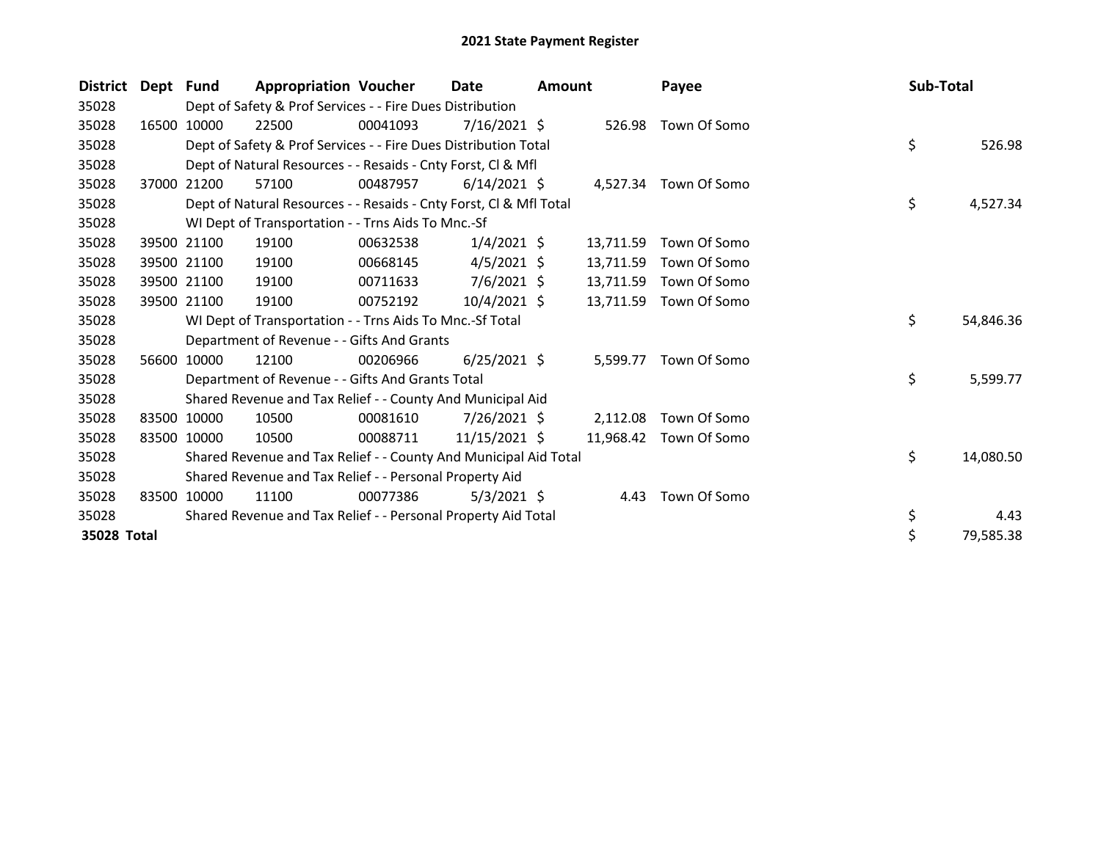| <b>District</b> | Dept Fund |             | <b>Appropriation Voucher</b>                                       |          | <b>Date</b>    | <b>Amount</b> |           | Payee                 | Sub-Total |           |
|-----------------|-----------|-------------|--------------------------------------------------------------------|----------|----------------|---------------|-----------|-----------------------|-----------|-----------|
| 35028           |           |             | Dept of Safety & Prof Services - - Fire Dues Distribution          |          |                |               |           |                       |           |           |
| 35028           | 16500     | 10000       | 22500                                                              | 00041093 | $7/16/2021$ \$ |               | 526.98    | Town Of Somo          |           |           |
| 35028           |           |             | Dept of Safety & Prof Services - - Fire Dues Distribution Total    |          |                |               |           |                       | \$        | 526.98    |
| 35028           |           |             | Dept of Natural Resources - - Resaids - Cnty Forst, CI & Mfl       |          |                |               |           |                       |           |           |
| 35028           |           | 37000 21200 | 57100                                                              | 00487957 | $6/14/2021$ \$ |               |           | 4,527.34 Town Of Somo |           |           |
| 35028           |           |             | Dept of Natural Resources - - Resaids - Cnty Forst, Cl & Mfl Total |          |                |               |           |                       | \$        | 4,527.34  |
| 35028           |           |             | WI Dept of Transportation - - Trns Aids To Mnc.-Sf                 |          |                |               |           |                       |           |           |
| 35028           | 39500     | 21100       | 19100                                                              | 00632538 | $1/4/2021$ \$  |               | 13,711.59 | Town Of Somo          |           |           |
| 35028           |           | 39500 21100 | 19100                                                              | 00668145 | $4/5/2021$ \$  |               | 13,711.59 | Town Of Somo          |           |           |
| 35028           |           | 39500 21100 | 19100                                                              | 00711633 | $7/6/2021$ \$  |               | 13,711.59 | Town Of Somo          |           |           |
| 35028           |           | 39500 21100 | 19100                                                              | 00752192 | $10/4/2021$ \$ |               | 13,711.59 | Town Of Somo          |           |           |
| 35028           |           |             | WI Dept of Transportation - - Trns Aids To Mnc.-Sf Total           |          |                |               |           |                       | \$        | 54,846.36 |
| 35028           |           |             | Department of Revenue - - Gifts And Grants                         |          |                |               |           |                       |           |           |
| 35028           |           | 56600 10000 | 12100                                                              | 00206966 | $6/25/2021$ \$ |               | 5,599.77  | Town Of Somo          |           |           |
| 35028           |           |             | Department of Revenue - - Gifts And Grants Total                   |          |                |               |           |                       | \$        | 5,599.77  |
| 35028           |           |             | Shared Revenue and Tax Relief - - County And Municipal Aid         |          |                |               |           |                       |           |           |
| 35028           | 83500     | 10000       | 10500                                                              | 00081610 | $7/26/2021$ \$ |               | 2.112.08  | Town Of Somo          |           |           |
| 35028           |           | 83500 10000 | 10500                                                              | 00088711 | 11/15/2021 \$  |               | 11,968.42 | Town Of Somo          |           |           |
| 35028           |           |             | Shared Revenue and Tax Relief - - County And Municipal Aid Total   |          |                |               |           |                       | \$        | 14,080.50 |
| 35028           |           |             | Shared Revenue and Tax Relief - - Personal Property Aid            |          |                |               |           |                       |           |           |
| 35028           | 83500     | 10000       | 11100                                                              | 00077386 | $5/3/2021$ \$  |               |           | 4.43 Town Of Somo     |           |           |
| 35028           |           |             | Shared Revenue and Tax Relief - - Personal Property Aid Total      |          |                |               |           |                       | \$        | 4.43      |
| 35028 Total     |           |             |                                                                    |          |                |               |           |                       | \$        | 79,585.38 |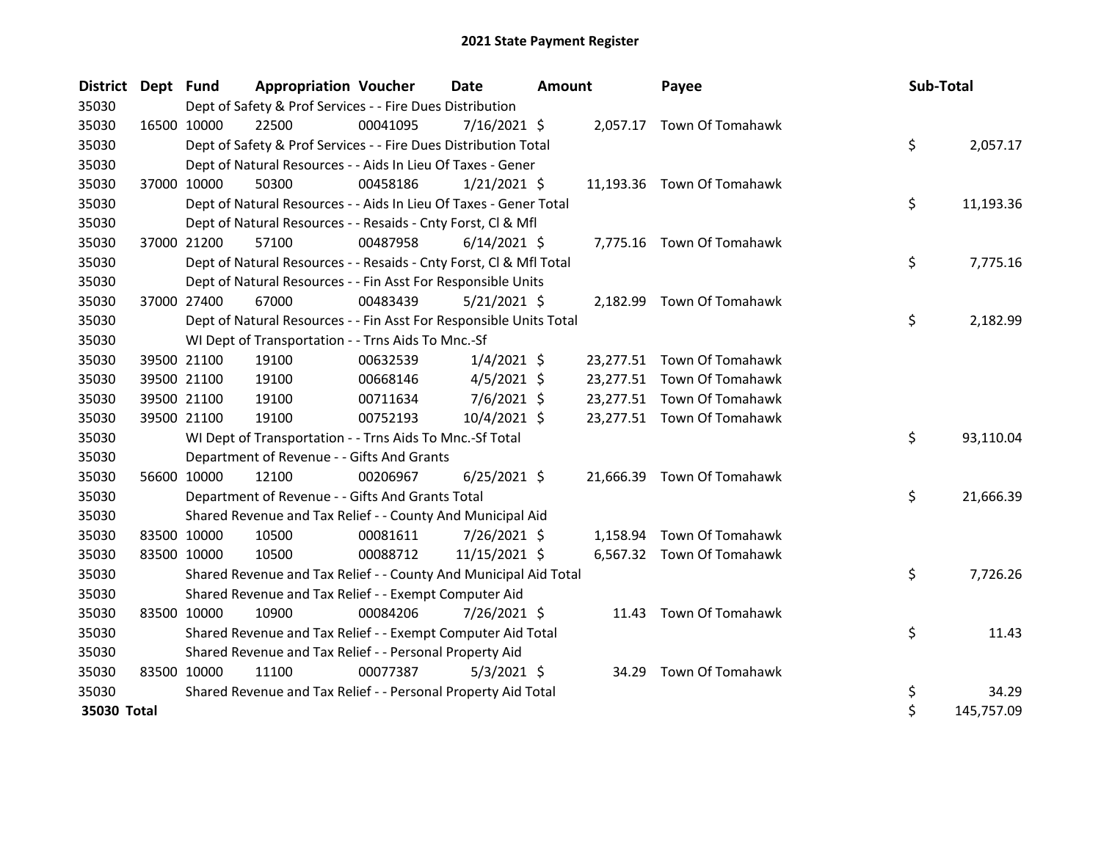| District Dept Fund |             |             | <b>Appropriation Voucher</b>                                       |          | <b>Date</b>    | <b>Amount</b> |          | Payee                      | Sub-Total |            |
|--------------------|-------------|-------------|--------------------------------------------------------------------|----------|----------------|---------------|----------|----------------------------|-----------|------------|
| 35030              |             |             | Dept of Safety & Prof Services - - Fire Dues Distribution          |          |                |               |          |                            |           |            |
| 35030              | 16500 10000 |             | 22500                                                              | 00041095 | $7/16/2021$ \$ |               |          | 2,057.17 Town Of Tomahawk  |           |            |
| 35030              |             |             | Dept of Safety & Prof Services - - Fire Dues Distribution Total    |          |                |               |          |                            | \$        | 2,057.17   |
| 35030              |             |             | Dept of Natural Resources - - Aids In Lieu Of Taxes - Gener        |          |                |               |          |                            |           |            |
| 35030              |             | 37000 10000 | 50300                                                              | 00458186 | $1/21/2021$ \$ |               |          | 11,193.36 Town Of Tomahawk |           |            |
| 35030              |             |             | Dept of Natural Resources - - Aids In Lieu Of Taxes - Gener Total  |          |                |               |          |                            | \$        | 11,193.36  |
| 35030              |             |             | Dept of Natural Resources - - Resaids - Cnty Forst, Cl & Mfl       |          |                |               |          |                            |           |            |
| 35030              | 37000 21200 |             | 57100                                                              | 00487958 | $6/14/2021$ \$ |               |          | 7,775.16 Town Of Tomahawk  |           |            |
| 35030              |             |             | Dept of Natural Resources - - Resaids - Cnty Forst, CI & Mfl Total |          |                |               |          |                            | \$        | 7,775.16   |
| 35030              |             |             | Dept of Natural Resources - - Fin Asst For Responsible Units       |          |                |               |          |                            |           |            |
| 35030              | 37000 27400 |             | 67000                                                              | 00483439 | $5/21/2021$ \$ |               | 2,182.99 | Town Of Tomahawk           |           |            |
| 35030              |             |             | Dept of Natural Resources - - Fin Asst For Responsible Units Total |          |                |               |          |                            | \$        | 2,182.99   |
| 35030              |             |             | WI Dept of Transportation - - Trns Aids To Mnc.-Sf                 |          |                |               |          |                            |           |            |
| 35030              | 39500 21100 |             | 19100                                                              | 00632539 | $1/4/2021$ \$  |               |          | 23,277.51 Town Of Tomahawk |           |            |
| 35030              |             | 39500 21100 | 19100                                                              | 00668146 | $4/5/2021$ \$  |               |          | 23,277.51 Town Of Tomahawk |           |            |
| 35030              |             | 39500 21100 | 19100                                                              | 00711634 | $7/6/2021$ \$  |               |          | 23,277.51 Town Of Tomahawk |           |            |
| 35030              |             | 39500 21100 | 19100                                                              | 00752193 | 10/4/2021 \$   |               |          | 23,277.51 Town Of Tomahawk |           |            |
| 35030              |             |             | WI Dept of Transportation - - Trns Aids To Mnc.-Sf Total           |          |                |               |          |                            | \$        | 93,110.04  |
| 35030              |             |             | Department of Revenue - - Gifts And Grants                         |          |                |               |          |                            |           |            |
| 35030              |             | 56600 10000 | 12100                                                              | 00206967 | $6/25/2021$ \$ |               |          | 21,666.39 Town Of Tomahawk |           |            |
| 35030              |             |             | Department of Revenue - - Gifts And Grants Total                   |          |                |               |          |                            | \$        | 21,666.39  |
| 35030              |             |             | Shared Revenue and Tax Relief - - County And Municipal Aid         |          |                |               |          |                            |           |            |
| 35030              | 83500 10000 |             | 10500                                                              | 00081611 | 7/26/2021 \$   |               | 1,158.94 | Town Of Tomahawk           |           |            |
| 35030              | 83500 10000 |             | 10500                                                              | 00088712 | 11/15/2021 \$  |               |          | 6,567.32 Town Of Tomahawk  |           |            |
| 35030              |             |             | Shared Revenue and Tax Relief - - County And Municipal Aid Total   |          |                |               |          |                            | \$        | 7,726.26   |
| 35030              |             |             | Shared Revenue and Tax Relief - - Exempt Computer Aid              |          |                |               |          |                            |           |            |
| 35030              | 83500 10000 |             | 10900                                                              | 00084206 | 7/26/2021 \$   |               |          | 11.43 Town Of Tomahawk     |           |            |
| 35030              |             |             | Shared Revenue and Tax Relief - - Exempt Computer Aid Total        |          |                |               |          |                            | \$        | 11.43      |
| 35030              |             |             | Shared Revenue and Tax Relief - - Personal Property Aid            |          |                |               |          |                            |           |            |
| 35030              | 83500 10000 |             | 11100                                                              | 00077387 | $5/3/2021$ \$  |               | 34.29    | Town Of Tomahawk           |           |            |
| 35030              |             |             | Shared Revenue and Tax Relief - - Personal Property Aid Total      |          |                |               |          |                            | \$        | 34.29      |
| 35030 Total        |             |             |                                                                    |          |                |               |          |                            | \$        | 145,757.09 |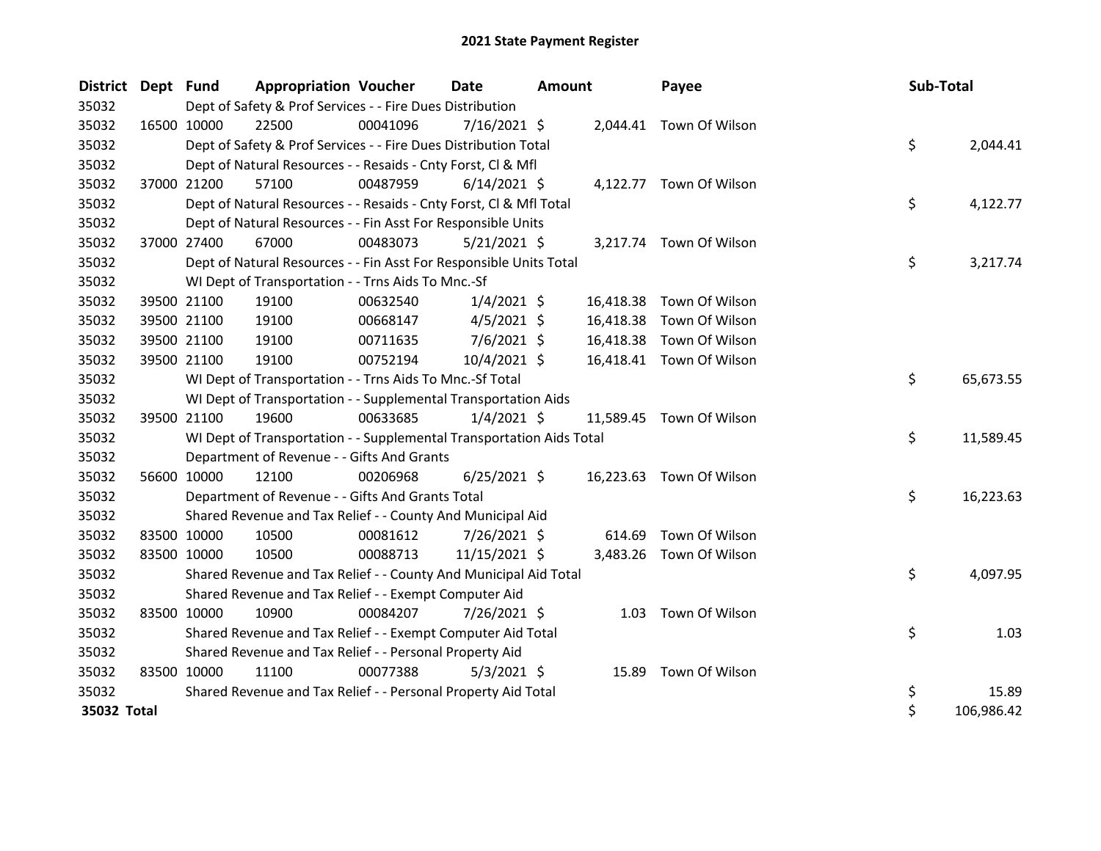| District Dept Fund |             |             | <b>Appropriation Voucher</b>                                         |          | <b>Date</b>    | <b>Amount</b> |           | Payee                    | Sub-Total |            |
|--------------------|-------------|-------------|----------------------------------------------------------------------|----------|----------------|---------------|-----------|--------------------------|-----------|------------|
| 35032              |             |             | Dept of Safety & Prof Services - - Fire Dues Distribution            |          |                |               |           |                          |           |            |
| 35032              |             | 16500 10000 | 22500                                                                | 00041096 | $7/16/2021$ \$ |               |           | 2,044.41 Town Of Wilson  |           |            |
| 35032              |             |             | Dept of Safety & Prof Services - - Fire Dues Distribution Total      |          |                |               |           |                          | \$        | 2,044.41   |
| 35032              |             |             | Dept of Natural Resources - - Resaids - Cnty Forst, CI & Mfl         |          |                |               |           |                          |           |            |
| 35032              |             | 37000 21200 | 57100                                                                | 00487959 | $6/14/2021$ \$ |               |           | 4,122.77 Town Of Wilson  |           |            |
| 35032              |             |             | Dept of Natural Resources - - Resaids - Cnty Forst, CI & Mfl Total   |          |                |               |           |                          | \$        | 4,122.77   |
| 35032              |             |             | Dept of Natural Resources - - Fin Asst For Responsible Units         |          |                |               |           |                          |           |            |
| 35032              | 37000 27400 |             | 67000                                                                | 00483073 | $5/21/2021$ \$ |               |           | 3,217.74 Town Of Wilson  |           |            |
| 35032              |             |             | Dept of Natural Resources - - Fin Asst For Responsible Units Total   |          |                |               |           |                          | \$        | 3,217.74   |
| 35032              |             |             | WI Dept of Transportation - - Trns Aids To Mnc.-Sf                   |          |                |               |           |                          |           |            |
| 35032              |             | 39500 21100 | 19100                                                                | 00632540 | $1/4/2021$ \$  |               | 16,418.38 | Town Of Wilson           |           |            |
| 35032              |             | 39500 21100 | 19100                                                                | 00668147 | $4/5/2021$ \$  |               | 16,418.38 | Town Of Wilson           |           |            |
| 35032              |             | 39500 21100 | 19100                                                                | 00711635 | $7/6/2021$ \$  |               | 16,418.38 | Town Of Wilson           |           |            |
| 35032              |             | 39500 21100 | 19100                                                                | 00752194 | 10/4/2021 \$   |               |           | 16,418.41 Town Of Wilson |           |            |
| 35032              |             |             | WI Dept of Transportation - - Trns Aids To Mnc.-Sf Total             |          |                |               |           |                          | \$        | 65,673.55  |
| 35032              |             |             | WI Dept of Transportation - - Supplemental Transportation Aids       |          |                |               |           |                          |           |            |
| 35032              |             | 39500 21100 | 19600                                                                | 00633685 | $1/4/2021$ \$  |               |           | 11,589.45 Town Of Wilson |           |            |
| 35032              |             |             | WI Dept of Transportation - - Supplemental Transportation Aids Total |          |                |               |           |                          | \$        | 11,589.45  |
| 35032              |             |             | Department of Revenue - - Gifts And Grants                           |          |                |               |           |                          |           |            |
| 35032              |             | 56600 10000 | 12100                                                                | 00206968 | $6/25/2021$ \$ |               |           | 16,223.63 Town Of Wilson |           |            |
| 35032              |             |             | Department of Revenue - - Gifts And Grants Total                     |          |                |               |           |                          | \$        | 16,223.63  |
| 35032              |             |             | Shared Revenue and Tax Relief - - County And Municipal Aid           |          |                |               |           |                          |           |            |
| 35032              |             | 83500 10000 | 10500                                                                | 00081612 | 7/26/2021 \$   |               | 614.69    | Town Of Wilson           |           |            |
| 35032              |             | 83500 10000 | 10500                                                                | 00088713 | 11/15/2021 \$  |               |           | 3,483.26 Town Of Wilson  |           |            |
| 35032              |             |             | Shared Revenue and Tax Relief - - County And Municipal Aid Total     |          |                |               |           |                          | \$        | 4,097.95   |
| 35032              |             |             | Shared Revenue and Tax Relief - - Exempt Computer Aid                |          |                |               |           |                          |           |            |
| 35032              |             | 83500 10000 | 10900                                                                | 00084207 | 7/26/2021 \$   |               | 1.03      | Town Of Wilson           |           |            |
| 35032              |             |             | Shared Revenue and Tax Relief - - Exempt Computer Aid Total          |          |                |               |           |                          | \$        | 1.03       |
| 35032              |             |             | Shared Revenue and Tax Relief - - Personal Property Aid              |          |                |               |           |                          |           |            |
| 35032              |             | 83500 10000 | 11100                                                                | 00077388 | $5/3/2021$ \$  |               |           | 15.89 Town Of Wilson     |           |            |
| 35032              |             |             | Shared Revenue and Tax Relief - - Personal Property Aid Total        |          |                |               |           |                          | \$        | 15.89      |
| 35032 Total        |             |             |                                                                      |          |                |               |           |                          | \$        | 106,986.42 |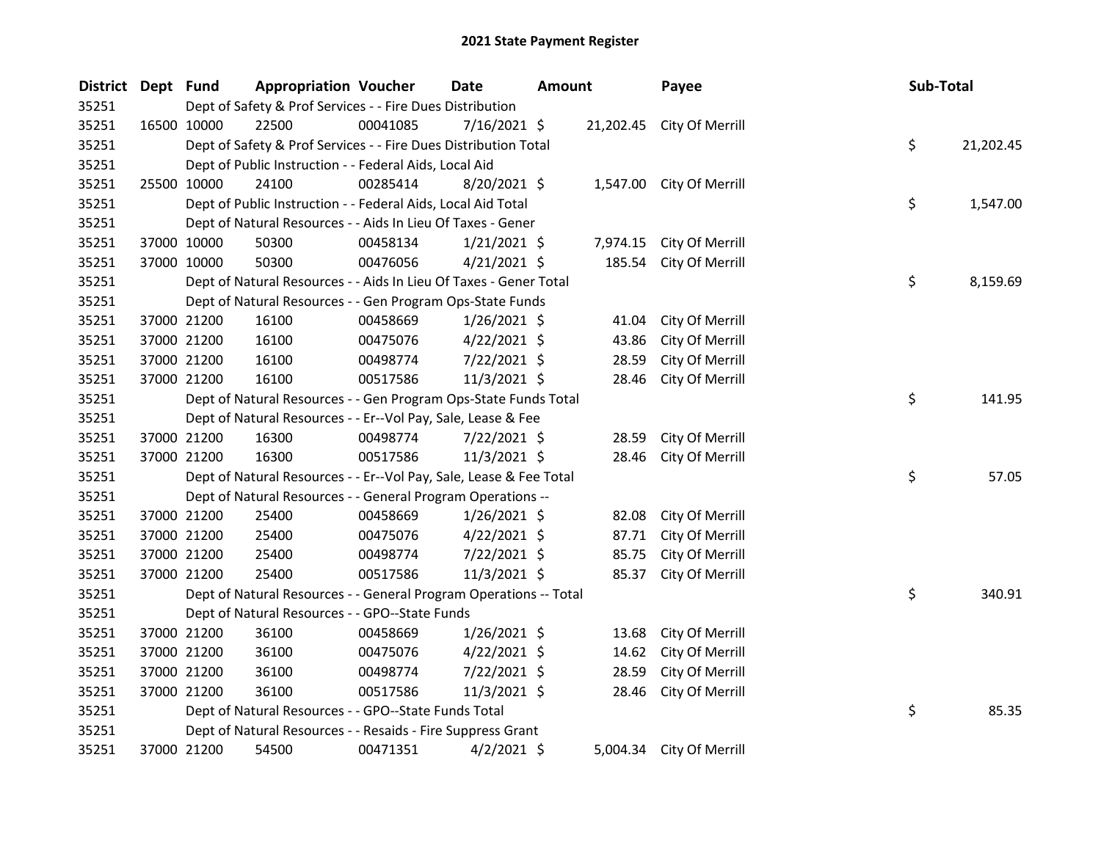| District Dept Fund |             | <b>Appropriation Voucher</b>                                       |          | Date           | <b>Amount</b> |        | Payee                     | Sub-Total |           |
|--------------------|-------------|--------------------------------------------------------------------|----------|----------------|---------------|--------|---------------------------|-----------|-----------|
| 35251              |             | Dept of Safety & Prof Services - - Fire Dues Distribution          |          |                |               |        |                           |           |           |
| 35251              | 16500 10000 | 22500                                                              | 00041085 | $7/16/2021$ \$ |               |        | 21,202.45 City Of Merrill |           |           |
| 35251              |             | Dept of Safety & Prof Services - - Fire Dues Distribution Total    |          |                |               |        |                           | \$        | 21,202.45 |
| 35251              |             | Dept of Public Instruction - - Federal Aids, Local Aid             |          |                |               |        |                           |           |           |
| 35251              | 25500 10000 | 24100                                                              | 00285414 | 8/20/2021 \$   |               |        | 1,547.00 City Of Merrill  |           |           |
| 35251              |             | Dept of Public Instruction - - Federal Aids, Local Aid Total       |          |                |               |        |                           | \$        | 1,547.00  |
| 35251              |             | Dept of Natural Resources - - Aids In Lieu Of Taxes - Gener        |          |                |               |        |                           |           |           |
| 35251              | 37000 10000 | 50300                                                              | 00458134 | $1/21/2021$ \$ |               |        | 7,974.15 City Of Merrill  |           |           |
| 35251              | 37000 10000 | 50300                                                              | 00476056 | $4/21/2021$ \$ |               | 185.54 | City Of Merrill           |           |           |
| 35251              |             | Dept of Natural Resources - - Aids In Lieu Of Taxes - Gener Total  |          |                |               |        |                           | \$        | 8,159.69  |
| 35251              |             | Dept of Natural Resources - - Gen Program Ops-State Funds          |          |                |               |        |                           |           |           |
| 35251              | 37000 21200 | 16100                                                              | 00458669 | $1/26/2021$ \$ |               | 41.04  | City Of Merrill           |           |           |
| 35251              | 37000 21200 | 16100                                                              | 00475076 | $4/22/2021$ \$ |               | 43.86  | City Of Merrill           |           |           |
| 35251              | 37000 21200 | 16100                                                              | 00498774 | 7/22/2021 \$   |               | 28.59  | City Of Merrill           |           |           |
| 35251              | 37000 21200 | 16100                                                              | 00517586 | 11/3/2021 \$   |               | 28.46  | City Of Merrill           |           |           |
| 35251              |             | Dept of Natural Resources - - Gen Program Ops-State Funds Total    |          |                |               |        |                           | \$        | 141.95    |
| 35251              |             | Dept of Natural Resources - - Er--Vol Pay, Sale, Lease & Fee       |          |                |               |        |                           |           |           |
| 35251              | 37000 21200 | 16300                                                              | 00498774 | 7/22/2021 \$   |               | 28.59  | City Of Merrill           |           |           |
| 35251              | 37000 21200 | 16300                                                              | 00517586 | $11/3/2021$ \$ |               | 28.46  | City Of Merrill           |           |           |
| 35251              |             | Dept of Natural Resources - - Er--Vol Pay, Sale, Lease & Fee Total |          |                |               |        |                           | \$        | 57.05     |
| 35251              |             | Dept of Natural Resources - - General Program Operations --        |          |                |               |        |                           |           |           |
| 35251              | 37000 21200 | 25400                                                              | 00458669 | $1/26/2021$ \$ |               | 82.08  | City Of Merrill           |           |           |
| 35251              | 37000 21200 | 25400                                                              | 00475076 | $4/22/2021$ \$ |               | 87.71  | City Of Merrill           |           |           |
| 35251              | 37000 21200 | 25400                                                              | 00498774 | 7/22/2021 \$   |               | 85.75  | City Of Merrill           |           |           |
| 35251              | 37000 21200 | 25400                                                              | 00517586 | 11/3/2021 \$   |               | 85.37  | City Of Merrill           |           |           |
| 35251              |             | Dept of Natural Resources - - General Program Operations -- Total  |          |                |               |        |                           | \$        | 340.91    |
| 35251              |             | Dept of Natural Resources - - GPO--State Funds                     |          |                |               |        |                           |           |           |
| 35251              | 37000 21200 | 36100                                                              | 00458669 | $1/26/2021$ \$ |               | 13.68  | City Of Merrill           |           |           |
| 35251              | 37000 21200 | 36100                                                              | 00475076 | $4/22/2021$ \$ |               | 14.62  | City Of Merrill           |           |           |
| 35251              | 37000 21200 | 36100                                                              | 00498774 | 7/22/2021 \$   |               | 28.59  | City Of Merrill           |           |           |
| 35251              | 37000 21200 | 36100                                                              | 00517586 | 11/3/2021 \$   |               | 28.46  | City Of Merrill           |           |           |
| 35251              |             | Dept of Natural Resources - - GPO--State Funds Total               |          |                |               |        |                           | \$        | 85.35     |
| 35251              |             | Dept of Natural Resources - - Resaids - Fire Suppress Grant        |          |                |               |        |                           |           |           |
| 35251              | 37000 21200 | 54500                                                              | 00471351 | $4/2/2021$ \$  |               |        | 5,004.34 City Of Merrill  |           |           |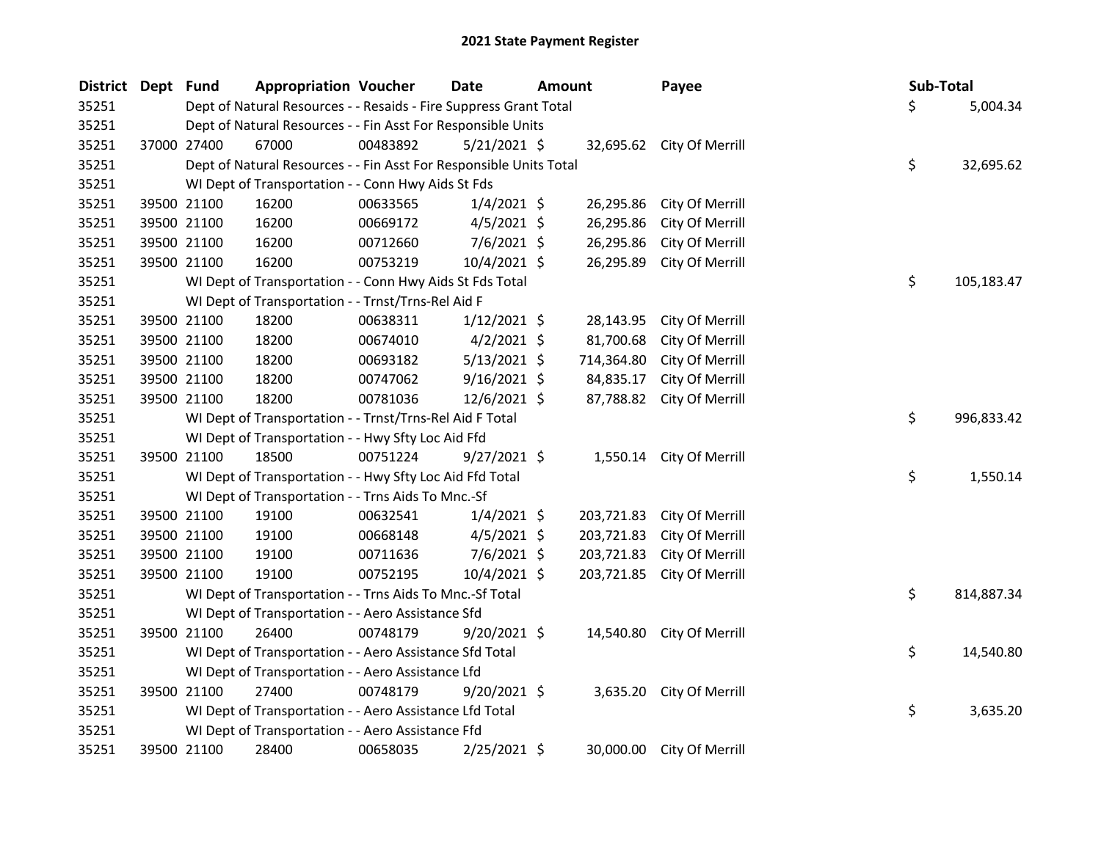| District Dept Fund |             | <b>Appropriation Voucher</b>                                       |          | Date           | <b>Amount</b> |            | Payee                     | Sub-Total |            |
|--------------------|-------------|--------------------------------------------------------------------|----------|----------------|---------------|------------|---------------------------|-----------|------------|
| 35251              |             | Dept of Natural Resources - - Resaids - Fire Suppress Grant Total  |          |                |               |            |                           | \$        | 5,004.34   |
| 35251              |             | Dept of Natural Resources - - Fin Asst For Responsible Units       |          |                |               |            |                           |           |            |
| 35251              | 37000 27400 | 67000                                                              | 00483892 | $5/21/2021$ \$ |               |            | 32,695.62 City Of Merrill |           |            |
| 35251              |             | Dept of Natural Resources - - Fin Asst For Responsible Units Total |          |                |               |            |                           | \$        | 32,695.62  |
| 35251              |             | WI Dept of Transportation - - Conn Hwy Aids St Fds                 |          |                |               |            |                           |           |            |
| 35251              | 39500 21100 | 16200                                                              | 00633565 | $1/4/2021$ \$  |               | 26,295.86  | City Of Merrill           |           |            |
| 35251              | 39500 21100 | 16200                                                              | 00669172 | $4/5/2021$ \$  |               | 26,295.86  | City Of Merrill           |           |            |
| 35251              | 39500 21100 | 16200                                                              | 00712660 | 7/6/2021 \$    |               | 26,295.86  | City Of Merrill           |           |            |
| 35251              | 39500 21100 | 16200                                                              | 00753219 | 10/4/2021 \$   |               | 26,295.89  | City Of Merrill           |           |            |
| 35251              |             | WI Dept of Transportation - - Conn Hwy Aids St Fds Total           |          |                |               |            |                           | \$        | 105,183.47 |
| 35251              |             | WI Dept of Transportation - - Trnst/Trns-Rel Aid F                 |          |                |               |            |                           |           |            |
| 35251              | 39500 21100 | 18200                                                              | 00638311 | $1/12/2021$ \$ |               | 28,143.95  | City Of Merrill           |           |            |
| 35251              | 39500 21100 | 18200                                                              | 00674010 | $4/2/2021$ \$  |               | 81,700.68  | City Of Merrill           |           |            |
| 35251              | 39500 21100 | 18200                                                              | 00693182 | $5/13/2021$ \$ |               | 714,364.80 | City Of Merrill           |           |            |
| 35251              | 39500 21100 | 18200                                                              | 00747062 | $9/16/2021$ \$ |               | 84,835.17  | City Of Merrill           |           |            |
| 35251              | 39500 21100 | 18200                                                              | 00781036 | 12/6/2021 \$   |               | 87,788.82  | City Of Merrill           |           |            |
| 35251              |             | WI Dept of Transportation - - Trnst/Trns-Rel Aid F Total           |          |                |               |            |                           | \$        | 996,833.42 |
| 35251              |             | WI Dept of Transportation - - Hwy Sfty Loc Aid Ffd                 |          |                |               |            |                           |           |            |
| 35251              | 39500 21100 | 18500                                                              | 00751224 | $9/27/2021$ \$ |               |            | 1,550.14 City Of Merrill  |           |            |
| 35251              |             | WI Dept of Transportation - - Hwy Sfty Loc Aid Ffd Total           |          |                |               |            |                           | \$        | 1,550.14   |
| 35251              |             | WI Dept of Transportation - - Trns Aids To Mnc.-Sf                 |          |                |               |            |                           |           |            |
| 35251              | 39500 21100 | 19100                                                              | 00632541 | $1/4/2021$ \$  |               | 203,721.83 | City Of Merrill           |           |            |
| 35251              | 39500 21100 | 19100                                                              | 00668148 | $4/5/2021$ \$  |               | 203,721.83 | City Of Merrill           |           |            |
| 35251              | 39500 21100 | 19100                                                              | 00711636 | $7/6/2021$ \$  |               | 203,721.83 | City Of Merrill           |           |            |
| 35251              | 39500 21100 | 19100                                                              | 00752195 | $10/4/2021$ \$ |               | 203,721.85 | City Of Merrill           |           |            |
| 35251              |             | WI Dept of Transportation - - Trns Aids To Mnc.-Sf Total           |          |                |               |            |                           | \$        | 814,887.34 |
| 35251              |             | WI Dept of Transportation - - Aero Assistance Sfd                  |          |                |               |            |                           |           |            |
| 35251              | 39500 21100 | 26400                                                              | 00748179 | $9/20/2021$ \$ |               | 14,540.80  | City Of Merrill           |           |            |
| 35251              |             | WI Dept of Transportation - - Aero Assistance Sfd Total            |          |                |               |            |                           | \$        | 14,540.80  |
| 35251              |             | WI Dept of Transportation - - Aero Assistance Lfd                  |          |                |               |            |                           |           |            |
| 35251              | 39500 21100 | 27400                                                              | 00748179 | $9/20/2021$ \$ |               | 3,635.20   | City Of Merrill           |           |            |
| 35251              |             | WI Dept of Transportation - - Aero Assistance Lfd Total            |          |                |               |            |                           | \$        | 3,635.20   |
| 35251              |             | WI Dept of Transportation - - Aero Assistance Ffd                  |          |                |               |            |                           |           |            |
| 35251              | 39500 21100 | 28400                                                              | 00658035 | 2/25/2021 \$   |               | 30,000.00  | City Of Merrill           |           |            |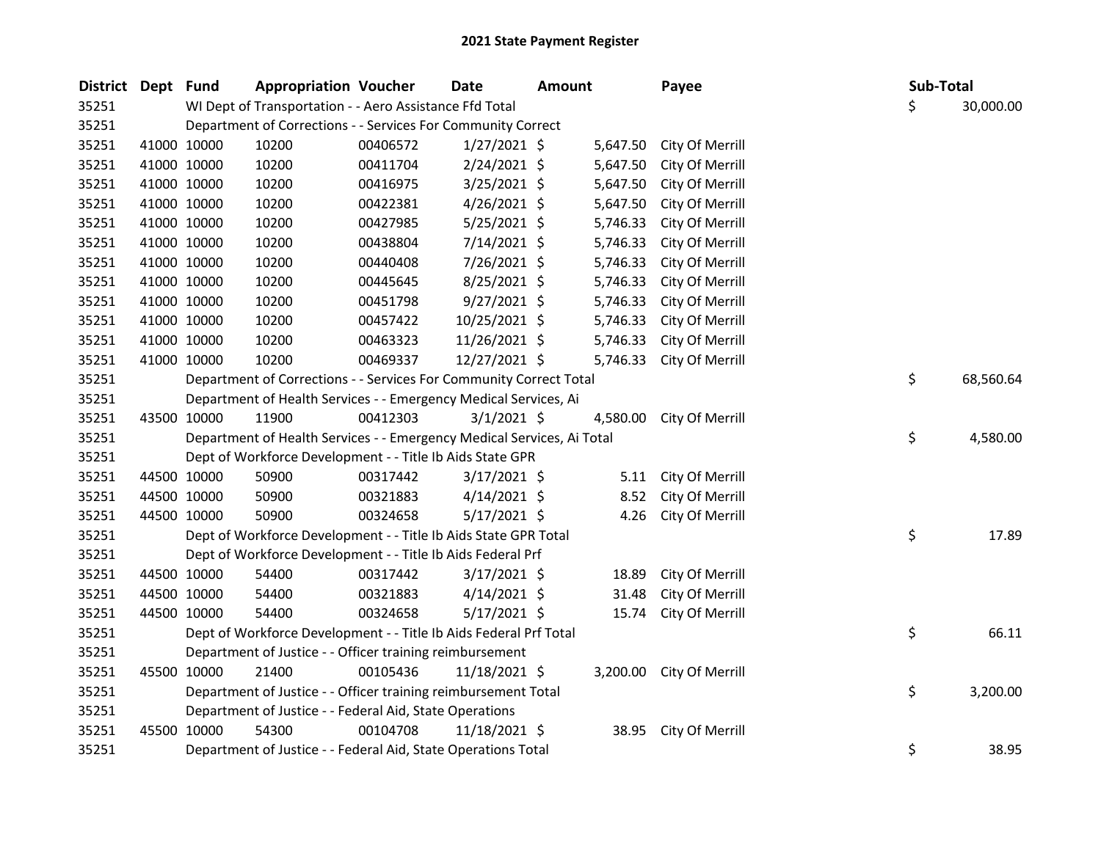| <b>District</b> | Dept Fund |             | <b>Appropriation Voucher</b>                                           |          | <b>Date</b>    | <b>Amount</b> |          | Payee           | Sub-Total |           |
|-----------------|-----------|-------------|------------------------------------------------------------------------|----------|----------------|---------------|----------|-----------------|-----------|-----------|
| 35251           |           |             | WI Dept of Transportation - - Aero Assistance Ffd Total                |          |                |               |          |                 | \$        | 30,000.00 |
| 35251           |           |             | Department of Corrections - - Services For Community Correct           |          |                |               |          |                 |           |           |
| 35251           |           | 41000 10000 | 10200                                                                  | 00406572 | $1/27/2021$ \$ |               | 5,647.50 | City Of Merrill |           |           |
| 35251           |           | 41000 10000 | 10200                                                                  | 00411704 | $2/24/2021$ \$ |               | 5,647.50 | City Of Merrill |           |           |
| 35251           |           | 41000 10000 | 10200                                                                  | 00416975 | 3/25/2021 \$   |               | 5,647.50 | City Of Merrill |           |           |
| 35251           |           | 41000 10000 | 10200                                                                  | 00422381 | $4/26/2021$ \$ |               | 5,647.50 | City Of Merrill |           |           |
| 35251           |           | 41000 10000 | 10200                                                                  | 00427985 | $5/25/2021$ \$ |               | 5,746.33 | City Of Merrill |           |           |
| 35251           |           | 41000 10000 | 10200                                                                  | 00438804 | 7/14/2021 \$   |               | 5,746.33 | City Of Merrill |           |           |
| 35251           |           | 41000 10000 | 10200                                                                  | 00440408 | 7/26/2021 \$   |               | 5,746.33 | City Of Merrill |           |           |
| 35251           |           | 41000 10000 | 10200                                                                  | 00445645 | 8/25/2021 \$   |               | 5,746.33 | City Of Merrill |           |           |
| 35251           |           | 41000 10000 | 10200                                                                  | 00451798 | $9/27/2021$ \$ |               | 5,746.33 | City Of Merrill |           |           |
| 35251           |           | 41000 10000 | 10200                                                                  | 00457422 | 10/25/2021 \$  |               | 5,746.33 | City Of Merrill |           |           |
| 35251           |           | 41000 10000 | 10200                                                                  | 00463323 | 11/26/2021 \$  |               | 5,746.33 | City Of Merrill |           |           |
| 35251           |           | 41000 10000 | 10200                                                                  | 00469337 | 12/27/2021 \$  |               | 5,746.33 | City Of Merrill |           |           |
| 35251           |           |             | Department of Corrections - - Services For Community Correct Total     |          |                |               |          |                 | \$        | 68,560.64 |
| 35251           |           |             | Department of Health Services - - Emergency Medical Services, Ai       |          |                |               |          |                 |           |           |
| 35251           |           | 43500 10000 | 11900                                                                  | 00412303 | $3/1/2021$ \$  |               | 4,580.00 | City Of Merrill |           |           |
| 35251           |           |             | Department of Health Services - - Emergency Medical Services, Ai Total |          |                |               |          |                 | \$        | 4,580.00  |
| 35251           |           |             | Dept of Workforce Development - - Title Ib Aids State GPR              |          |                |               |          |                 |           |           |
| 35251           |           | 44500 10000 | 50900                                                                  | 00317442 | $3/17/2021$ \$ |               | 5.11     | City Of Merrill |           |           |
| 35251           |           | 44500 10000 | 50900                                                                  | 00321883 | $4/14/2021$ \$ |               | 8.52     | City Of Merrill |           |           |
| 35251           |           | 44500 10000 | 50900                                                                  | 00324658 | $5/17/2021$ \$ |               | 4.26     | City Of Merrill |           |           |
| 35251           |           |             | Dept of Workforce Development - - Title Ib Aids State GPR Total        |          |                |               |          |                 | \$        | 17.89     |
| 35251           |           |             | Dept of Workforce Development - - Title Ib Aids Federal Prf            |          |                |               |          |                 |           |           |
| 35251           |           | 44500 10000 | 54400                                                                  | 00317442 | 3/17/2021 \$   |               | 18.89    | City Of Merrill |           |           |
| 35251           |           | 44500 10000 | 54400                                                                  | 00321883 | $4/14/2021$ \$ |               | 31.48    | City Of Merrill |           |           |
| 35251           |           | 44500 10000 | 54400                                                                  | 00324658 | $5/17/2021$ \$ |               | 15.74    | City Of Merrill |           |           |
| 35251           |           |             | Dept of Workforce Development - - Title Ib Aids Federal Prf Total      |          |                |               |          |                 | \$        | 66.11     |
| 35251           |           |             | Department of Justice - - Officer training reimbursement               |          |                |               |          |                 |           |           |
| 35251           |           | 45500 10000 | 21400                                                                  | 00105436 | 11/18/2021 \$  |               | 3,200.00 | City Of Merrill |           |           |
| 35251           |           |             | Department of Justice - - Officer training reimbursement Total         |          |                |               |          |                 | \$        | 3,200.00  |
| 35251           |           |             | Department of Justice - - Federal Aid, State Operations                |          |                |               |          |                 |           |           |
| 35251           |           | 45500 10000 | 54300                                                                  | 00104708 | 11/18/2021 \$  |               | 38.95    | City Of Merrill |           |           |
| 35251           |           |             | Department of Justice - - Federal Aid, State Operations Total          |          |                |               |          |                 | \$        | 38.95     |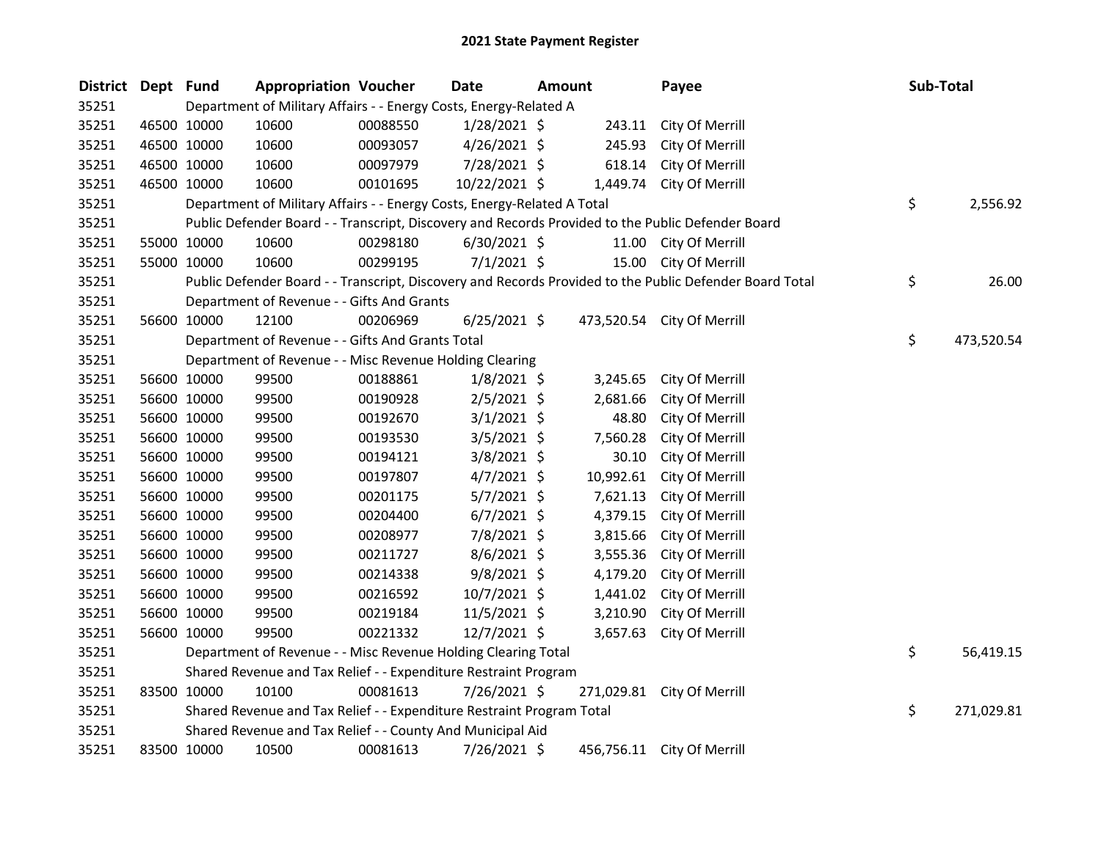| District | Dept Fund |             | <b>Appropriation Voucher</b>                                            |          | Date           | <b>Amount</b> |           | Payee                                                                                                   | Sub-Total        |
|----------|-----------|-------------|-------------------------------------------------------------------------|----------|----------------|---------------|-----------|---------------------------------------------------------------------------------------------------------|------------------|
| 35251    |           |             | Department of Military Affairs - - Energy Costs, Energy-Related A       |          |                |               |           |                                                                                                         |                  |
| 35251    |           | 46500 10000 | 10600                                                                   | 00088550 | $1/28/2021$ \$ |               | 243.11    | City Of Merrill                                                                                         |                  |
| 35251    |           | 46500 10000 | 10600                                                                   | 00093057 | $4/26/2021$ \$ |               | 245.93    | City Of Merrill                                                                                         |                  |
| 35251    |           | 46500 10000 | 10600                                                                   | 00097979 | 7/28/2021 \$   |               | 618.14    | City Of Merrill                                                                                         |                  |
| 35251    |           | 46500 10000 | 10600                                                                   | 00101695 | 10/22/2021 \$  |               |           | 1,449.74 City Of Merrill                                                                                |                  |
| 35251    |           |             | Department of Military Affairs - - Energy Costs, Energy-Related A Total |          |                |               |           |                                                                                                         | \$<br>2,556.92   |
| 35251    |           |             |                                                                         |          |                |               |           | Public Defender Board - - Transcript, Discovery and Records Provided to the Public Defender Board       |                  |
| 35251    |           | 55000 10000 | 10600                                                                   | 00298180 | $6/30/2021$ \$ |               | 11.00     | City Of Merrill                                                                                         |                  |
| 35251    |           | 55000 10000 | 10600                                                                   | 00299195 | $7/1/2021$ \$  |               | 15.00     | City Of Merrill                                                                                         |                  |
| 35251    |           |             |                                                                         |          |                |               |           | Public Defender Board - - Transcript, Discovery and Records Provided to the Public Defender Board Total | \$<br>26.00      |
| 35251    |           |             | Department of Revenue - - Gifts And Grants                              |          |                |               |           |                                                                                                         |                  |
| 35251    |           | 56600 10000 | 12100                                                                   | 00206969 | $6/25/2021$ \$ |               |           | 473,520.54 City Of Merrill                                                                              |                  |
| 35251    |           |             | Department of Revenue - - Gifts And Grants Total                        |          |                |               |           |                                                                                                         | \$<br>473,520.54 |
| 35251    |           |             | Department of Revenue - - Misc Revenue Holding Clearing                 |          |                |               |           |                                                                                                         |                  |
| 35251    |           | 56600 10000 | 99500                                                                   | 00188861 | $1/8/2021$ \$  |               | 3,245.65  | City Of Merrill                                                                                         |                  |
| 35251    |           | 56600 10000 | 99500                                                                   | 00190928 | $2/5/2021$ \$  |               | 2,681.66  | City Of Merrill                                                                                         |                  |
| 35251    |           | 56600 10000 | 99500                                                                   | 00192670 | $3/1/2021$ \$  |               | 48.80     | City Of Merrill                                                                                         |                  |
| 35251    |           | 56600 10000 | 99500                                                                   | 00193530 | 3/5/2021 \$    |               | 7,560.28  | City Of Merrill                                                                                         |                  |
| 35251    |           | 56600 10000 | 99500                                                                   | 00194121 | $3/8/2021$ \$  |               | 30.10     | City Of Merrill                                                                                         |                  |
| 35251    |           | 56600 10000 | 99500                                                                   | 00197807 | $4/7/2021$ \$  |               | 10,992.61 | City Of Merrill                                                                                         |                  |
| 35251    |           | 56600 10000 | 99500                                                                   | 00201175 | $5/7/2021$ \$  |               | 7,621.13  | City Of Merrill                                                                                         |                  |
| 35251    |           | 56600 10000 | 99500                                                                   | 00204400 | $6/7/2021$ \$  |               | 4,379.15  | City Of Merrill                                                                                         |                  |
| 35251    |           | 56600 10000 | 99500                                                                   | 00208977 | 7/8/2021 \$    |               | 3,815.66  | City Of Merrill                                                                                         |                  |
| 35251    |           | 56600 10000 | 99500                                                                   | 00211727 | $8/6/2021$ \$  |               | 3,555.36  | City Of Merrill                                                                                         |                  |
| 35251    |           | 56600 10000 | 99500                                                                   | 00214338 | $9/8/2021$ \$  |               | 4,179.20  | City Of Merrill                                                                                         |                  |
| 35251    |           | 56600 10000 | 99500                                                                   | 00216592 | $10/7/2021$ \$ |               | 1,441.02  | City Of Merrill                                                                                         |                  |
| 35251    |           | 56600 10000 | 99500                                                                   | 00219184 | 11/5/2021 \$   |               | 3,210.90  | City Of Merrill                                                                                         |                  |
| 35251    |           | 56600 10000 | 99500                                                                   | 00221332 | 12/7/2021 \$   |               | 3,657.63  | City Of Merrill                                                                                         |                  |
| 35251    |           |             | Department of Revenue - - Misc Revenue Holding Clearing Total           |          |                |               |           |                                                                                                         | \$<br>56,419.15  |
| 35251    |           |             | Shared Revenue and Tax Relief - - Expenditure Restraint Program         |          |                |               |           |                                                                                                         |                  |
| 35251    |           | 83500 10000 | 10100                                                                   | 00081613 | 7/26/2021 \$   |               |           | 271,029.81 City Of Merrill                                                                              |                  |
| 35251    |           |             | Shared Revenue and Tax Relief - - Expenditure Restraint Program Total   |          |                |               |           |                                                                                                         | \$<br>271,029.81 |
| 35251    |           |             | Shared Revenue and Tax Relief - - County And Municipal Aid              |          |                |               |           |                                                                                                         |                  |
| 35251    |           | 83500 10000 | 10500                                                                   | 00081613 | 7/26/2021 \$   |               |           | 456,756.11 City Of Merrill                                                                              |                  |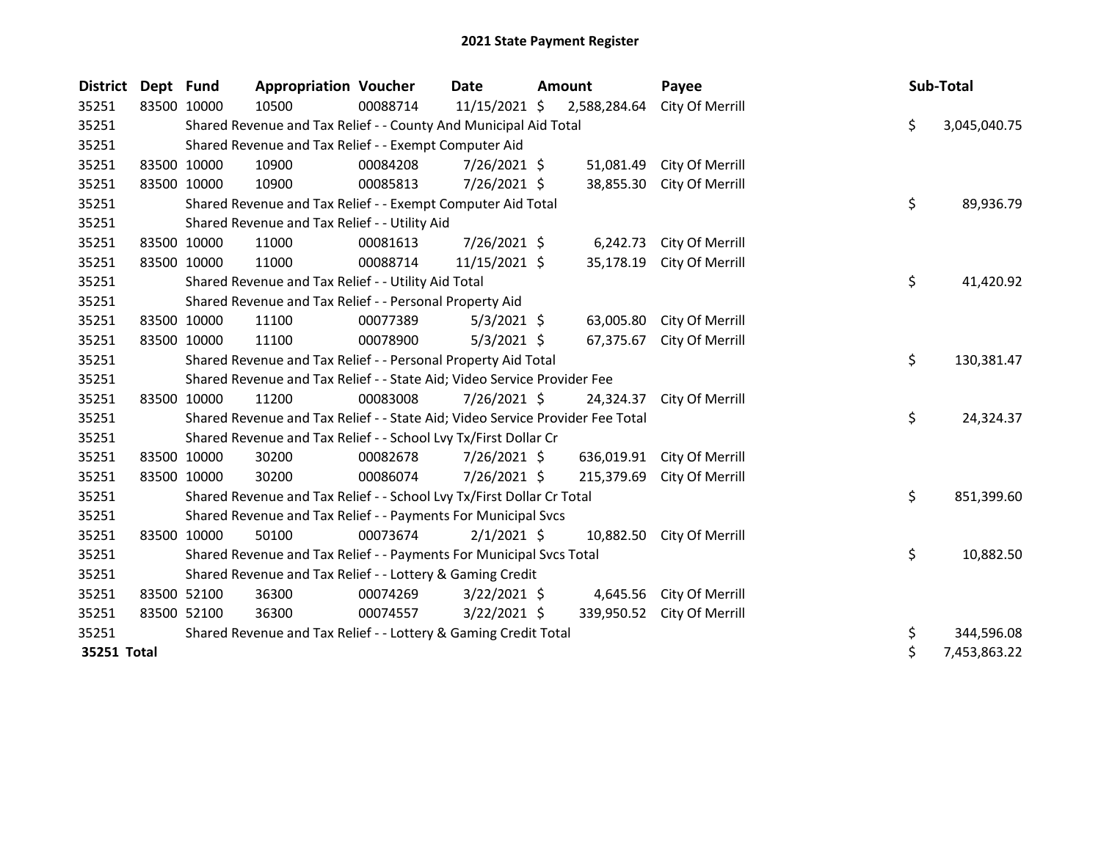| <b>District</b> | Dept Fund   | <b>Appropriation Voucher</b>                                                  |          | Date           | Amount       | Payee           |    | Sub-Total    |
|-----------------|-------------|-------------------------------------------------------------------------------|----------|----------------|--------------|-----------------|----|--------------|
| 35251           | 83500 10000 | 10500                                                                         | 00088714 | 11/15/2021 \$  | 2,588,284.64 | City Of Merrill |    |              |
| 35251           |             | Shared Revenue and Tax Relief - - County And Municipal Aid Total              |          |                |              |                 | \$ | 3,045,040.75 |
| 35251           |             | Shared Revenue and Tax Relief - - Exempt Computer Aid                         |          |                |              |                 |    |              |
| 35251           | 83500 10000 | 10900                                                                         | 00084208 | 7/26/2021 \$   | 51,081.49    | City Of Merrill |    |              |
| 35251           | 83500 10000 | 10900                                                                         | 00085813 | 7/26/2021 \$   | 38,855.30    | City Of Merrill |    |              |
| 35251           |             | Shared Revenue and Tax Relief - - Exempt Computer Aid Total                   |          |                |              |                 | \$ | 89,936.79    |
| 35251           |             | Shared Revenue and Tax Relief - - Utility Aid                                 |          |                |              |                 |    |              |
| 35251           | 83500 10000 | 11000                                                                         | 00081613 | 7/26/2021 \$   | 6,242.73     | City Of Merrill |    |              |
| 35251           | 83500 10000 | 11000                                                                         | 00088714 | 11/15/2021 \$  | 35,178.19    | City Of Merrill |    |              |
| 35251           |             | Shared Revenue and Tax Relief - - Utility Aid Total                           |          |                |              |                 | \$ | 41,420.92    |
| 35251           |             | Shared Revenue and Tax Relief - - Personal Property Aid                       |          |                |              |                 |    |              |
| 35251           | 83500 10000 | 11100                                                                         | 00077389 | 5/3/2021 \$    | 63,005.80    | City Of Merrill |    |              |
| 35251           | 83500 10000 | 11100                                                                         | 00078900 | $5/3/2021$ \$  | 67,375.67    | City Of Merrill |    |              |
| 35251           |             | Shared Revenue and Tax Relief - - Personal Property Aid Total                 |          |                |              |                 | \$ | 130,381.47   |
| 35251           |             | Shared Revenue and Tax Relief - - State Aid; Video Service Provider Fee       |          |                |              |                 |    |              |
| 35251           | 83500 10000 | 11200                                                                         | 00083008 | $7/26/2021$ \$ | 24,324.37    | City Of Merrill |    |              |
| 35251           |             | Shared Revenue and Tax Relief - - State Aid; Video Service Provider Fee Total |          |                |              |                 | \$ | 24,324.37    |
| 35251           |             | Shared Revenue and Tax Relief - - School Lvy Tx/First Dollar Cr               |          |                |              |                 |    |              |
| 35251           | 83500 10000 | 30200                                                                         | 00082678 | 7/26/2021 \$   | 636,019.91   | City Of Merrill |    |              |
| 35251           | 83500 10000 | 30200                                                                         | 00086074 | 7/26/2021 \$   | 215,379.69   | City Of Merrill |    |              |
| 35251           |             | Shared Revenue and Tax Relief - - School Lvy Tx/First Dollar Cr Total         |          |                |              |                 | \$ | 851,399.60   |
| 35251           |             | Shared Revenue and Tax Relief - - Payments For Municipal Svcs                 |          |                |              |                 |    |              |
| 35251           | 83500 10000 | 50100                                                                         | 00073674 | $2/1/2021$ \$  | 10,882.50    | City Of Merrill |    |              |
| 35251           |             | Shared Revenue and Tax Relief - - Payments For Municipal Svcs Total           |          |                |              |                 | \$ | 10,882.50    |
| 35251           |             | Shared Revenue and Tax Relief - - Lottery & Gaming Credit                     |          |                |              |                 |    |              |
| 35251           | 83500 52100 | 36300                                                                         | 00074269 | $3/22/2021$ \$ | 4,645.56     | City Of Merrill |    |              |
| 35251           | 83500 52100 | 36300                                                                         | 00074557 | $3/22/2021$ \$ | 339,950.52   | City Of Merrill |    |              |
| 35251           |             | Shared Revenue and Tax Relief - - Lottery & Gaming Credit Total               |          |                |              |                 | \$ | 344,596.08   |
| 35251 Total     |             |                                                                               |          |                |              |                 | \$ | 7,453,863.22 |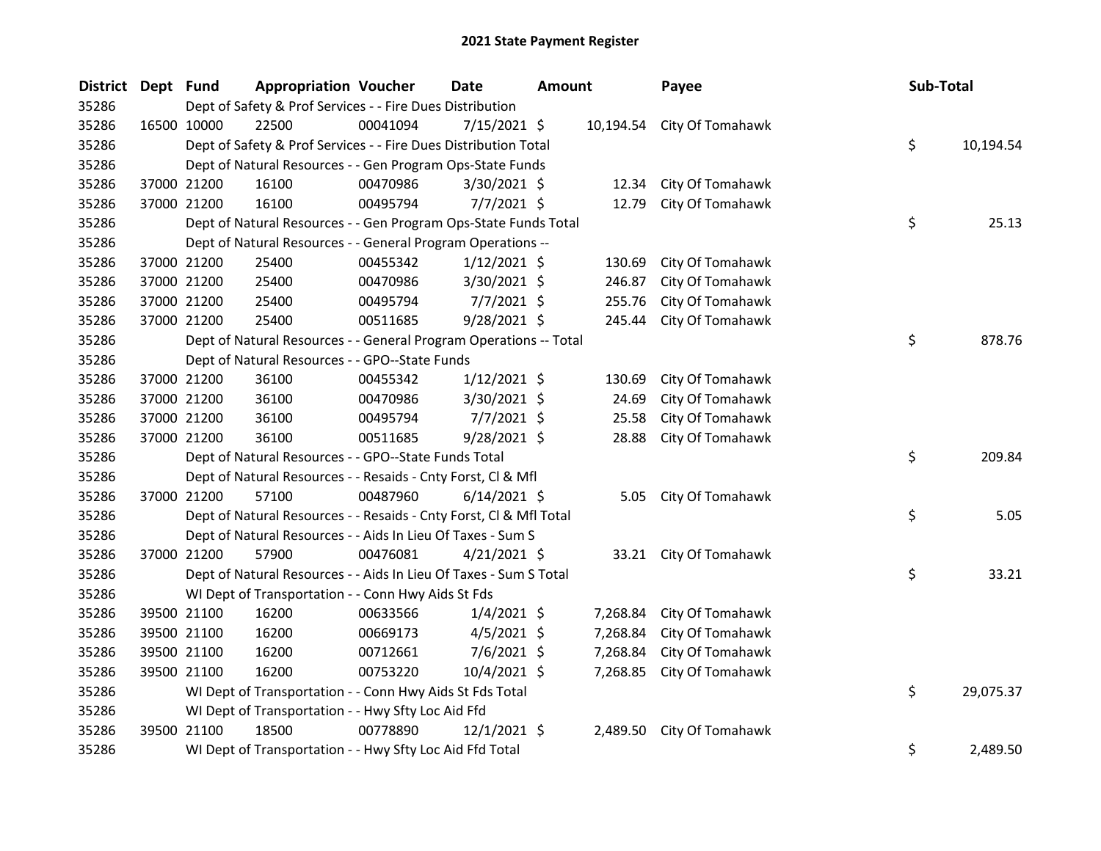| <b>District</b> | Dept Fund | <b>Appropriation Voucher</b>                                       |          | <b>Date</b>    | <b>Amount</b> | Payee                      | Sub-Total       |
|-----------------|-----------|--------------------------------------------------------------------|----------|----------------|---------------|----------------------------|-----------------|
| 35286           |           | Dept of Safety & Prof Services - - Fire Dues Distribution          |          |                |               |                            |                 |
| 35286           |           | 22500<br>16500 10000                                               | 00041094 | 7/15/2021 \$   |               | 10,194.54 City Of Tomahawk |                 |
| 35286           |           | Dept of Safety & Prof Services - - Fire Dues Distribution Total    |          |                |               |                            | \$<br>10,194.54 |
| 35286           |           | Dept of Natural Resources - - Gen Program Ops-State Funds          |          |                |               |                            |                 |
| 35286           |           | 37000 21200<br>16100                                               | 00470986 | 3/30/2021 \$   | 12.34         | City Of Tomahawk           |                 |
| 35286           |           | 37000 21200<br>16100                                               | 00495794 | $7/7/2021$ \$  | 12.79         | City Of Tomahawk           |                 |
| 35286           |           | Dept of Natural Resources - - Gen Program Ops-State Funds Total    |          |                |               |                            | \$<br>25.13     |
| 35286           |           | Dept of Natural Resources - - General Program Operations --        |          |                |               |                            |                 |
| 35286           |           | 25400<br>37000 21200                                               | 00455342 | $1/12/2021$ \$ | 130.69        | City Of Tomahawk           |                 |
| 35286           |           | 37000 21200<br>25400                                               | 00470986 | 3/30/2021 \$   | 246.87        | City Of Tomahawk           |                 |
| 35286           |           | 37000 21200<br>25400                                               | 00495794 | $7/7/2021$ \$  | 255.76        | City Of Tomahawk           |                 |
| 35286           |           | 37000 21200<br>25400                                               | 00511685 | 9/28/2021 \$   | 245.44        | City Of Tomahawk           |                 |
| 35286           |           | Dept of Natural Resources - - General Program Operations -- Total  |          |                |               |                            | \$<br>878.76    |
| 35286           |           | Dept of Natural Resources - - GPO--State Funds                     |          |                |               |                            |                 |
| 35286           |           | 37000 21200<br>36100                                               | 00455342 | $1/12/2021$ \$ | 130.69        | City Of Tomahawk           |                 |
| 35286           |           | 37000 21200<br>36100                                               | 00470986 | 3/30/2021 \$   | 24.69         | City Of Tomahawk           |                 |
| 35286           |           | 37000 21200<br>36100                                               | 00495794 | $7/7/2021$ \$  | 25.58         | City Of Tomahawk           |                 |
| 35286           |           | 37000 21200<br>36100                                               | 00511685 | 9/28/2021 \$   | 28.88         | City Of Tomahawk           |                 |
| 35286           |           | Dept of Natural Resources - - GPO--State Funds Total               |          |                |               |                            | \$<br>209.84    |
| 35286           |           | Dept of Natural Resources - - Resaids - Cnty Forst, Cl & Mfl       |          |                |               |                            |                 |
| 35286           |           | 37000 21200<br>57100                                               | 00487960 | $6/14/2021$ \$ | 5.05          | City Of Tomahawk           |                 |
| 35286           |           | Dept of Natural Resources - - Resaids - Cnty Forst, CI & Mfl Total |          |                |               |                            | \$<br>5.05      |
| 35286           |           | Dept of Natural Resources - - Aids In Lieu Of Taxes - Sum S        |          |                |               |                            |                 |
| 35286           |           | 37000 21200<br>57900                                               | 00476081 | $4/21/2021$ \$ |               | 33.21 City Of Tomahawk     |                 |
| 35286           |           | Dept of Natural Resources - - Aids In Lieu Of Taxes - Sum S Total  |          |                |               |                            | \$<br>33.21     |
| 35286           |           | WI Dept of Transportation - - Conn Hwy Aids St Fds                 |          |                |               |                            |                 |
| 35286           |           | 39500 21100<br>16200                                               | 00633566 | $1/4/2021$ \$  | 7,268.84      | City Of Tomahawk           |                 |
| 35286           |           | 39500 21100<br>16200                                               | 00669173 | $4/5/2021$ \$  | 7,268.84      | City Of Tomahawk           |                 |
| 35286           |           | 39500 21100<br>16200                                               | 00712661 | $7/6/2021$ \$  | 7,268.84      | City Of Tomahawk           |                 |
| 35286           |           | 39500 21100<br>16200                                               | 00753220 | 10/4/2021 \$   | 7,268.85      | City Of Tomahawk           |                 |
| 35286           |           | WI Dept of Transportation - - Conn Hwy Aids St Fds Total           |          |                |               |                            | \$<br>29,075.37 |
| 35286           |           | WI Dept of Transportation - - Hwy Sfty Loc Aid Ffd                 |          |                |               |                            |                 |
| 35286           |           | 18500<br>39500 21100                                               | 00778890 | $12/1/2021$ \$ | 2,489.50      | City Of Tomahawk           |                 |
| 35286           |           | WI Dept of Transportation - - Hwy Sfty Loc Aid Ffd Total           |          |                |               |                            | \$<br>2,489.50  |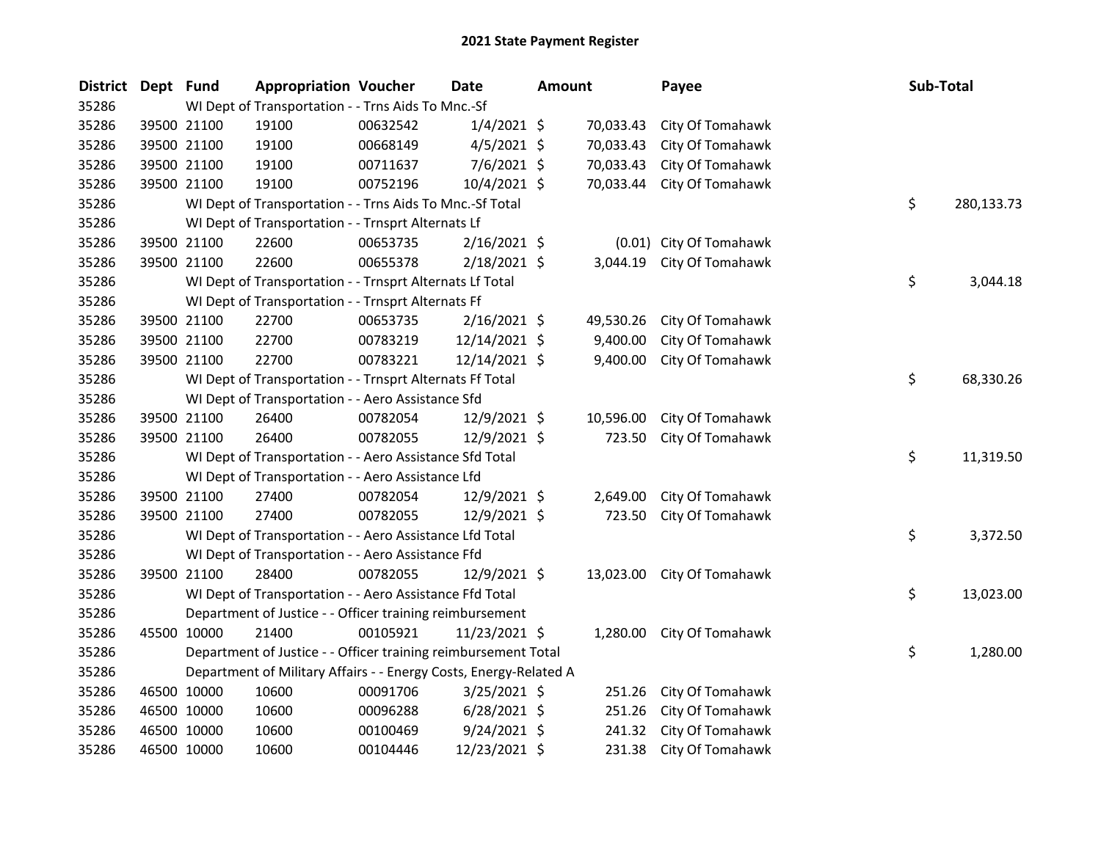| District Dept Fund |             |                                                                   | <b>Appropriation Voucher</b>                                   |          | <b>Date</b>    | <b>Amount</b> |           | Payee                   |  |    | <b>Sub-Total</b> |  |
|--------------------|-------------|-------------------------------------------------------------------|----------------------------------------------------------------|----------|----------------|---------------|-----------|-------------------------|--|----|------------------|--|
| 35286              |             | WI Dept of Transportation - - Trns Aids To Mnc.-Sf                |                                                                |          |                |               |           |                         |  |    |                  |  |
| 35286              | 39500 21100 |                                                                   | 19100                                                          | 00632542 | $1/4/2021$ \$  |               | 70,033.43 | City Of Tomahawk        |  |    |                  |  |
| 35286              |             | 39500 21100                                                       | 19100                                                          | 00668149 | $4/5/2021$ \$  |               | 70,033.43 | City Of Tomahawk        |  |    |                  |  |
| 35286              | 39500 21100 |                                                                   | 19100                                                          | 00711637 | 7/6/2021 \$    |               | 70,033.43 | City Of Tomahawk        |  |    |                  |  |
| 35286              | 39500 21100 |                                                                   | 19100                                                          | 00752196 | 10/4/2021 \$   |               | 70,033.44 | City Of Tomahawk        |  |    |                  |  |
| 35286              |             |                                                                   | WI Dept of Transportation - - Trns Aids To Mnc.-Sf Total       |          |                |               |           |                         |  | \$ | 280,133.73       |  |
| 35286              |             | WI Dept of Transportation - - Trnsprt Alternats Lf                |                                                                |          |                |               |           |                         |  |    |                  |  |
| 35286              | 39500 21100 |                                                                   | 22600                                                          | 00653735 | $2/16/2021$ \$ |               |           | (0.01) City Of Tomahawk |  |    |                  |  |
| 35286              | 39500 21100 |                                                                   | 22600                                                          | 00655378 | 2/18/2021 \$   |               | 3,044.19  | City Of Tomahawk        |  |    |                  |  |
| 35286              |             |                                                                   | WI Dept of Transportation - - Trnsprt Alternats Lf Total       |          |                |               |           |                         |  | \$ | 3,044.18         |  |
| 35286              |             |                                                                   | WI Dept of Transportation - - Trnsprt Alternats Ff             |          |                |               |           |                         |  |    |                  |  |
| 35286              |             | 39500 21100                                                       | 22700                                                          | 00653735 | $2/16/2021$ \$ |               | 49,530.26 | City Of Tomahawk        |  |    |                  |  |
| 35286              | 39500 21100 |                                                                   | 22700                                                          | 00783219 | 12/14/2021 \$  |               | 9,400.00  | City Of Tomahawk        |  |    |                  |  |
| 35286              | 39500 21100 |                                                                   | 22700                                                          | 00783221 | 12/14/2021 \$  |               | 9,400.00  | City Of Tomahawk        |  |    |                  |  |
| 35286              |             | WI Dept of Transportation - - Trnsprt Alternats Ff Total          |                                                                |          |                |               |           |                         |  |    | 68,330.26        |  |
| 35286              |             | WI Dept of Transportation - - Aero Assistance Sfd                 |                                                                |          |                |               |           |                         |  |    |                  |  |
| 35286              | 39500 21100 |                                                                   | 26400                                                          | 00782054 | 12/9/2021 \$   |               | 10,596.00 | City Of Tomahawk        |  |    |                  |  |
| 35286              | 39500 21100 |                                                                   | 26400                                                          | 00782055 | 12/9/2021 \$   |               | 723.50    | City Of Tomahawk        |  |    |                  |  |
| 35286              |             |                                                                   | WI Dept of Transportation - - Aero Assistance Sfd Total        |          |                |               |           |                         |  | \$ | 11,319.50        |  |
| 35286              |             | WI Dept of Transportation - - Aero Assistance Lfd                 |                                                                |          |                |               |           |                         |  |    |                  |  |
| 35286              |             | 39500 21100                                                       | 27400                                                          | 00782054 | 12/9/2021 \$   |               | 2,649.00  | City Of Tomahawk        |  |    |                  |  |
| 35286              |             | 39500 21100                                                       | 27400                                                          | 00782055 | 12/9/2021 \$   |               | 723.50    | City Of Tomahawk        |  |    |                  |  |
| 35286              |             | WI Dept of Transportation - - Aero Assistance Lfd Total           |                                                                |          |                |               |           |                         |  | \$ | 3,372.50         |  |
| 35286              |             | WI Dept of Transportation - - Aero Assistance Ffd                 |                                                                |          |                |               |           |                         |  |    |                  |  |
| 35286              | 39500 21100 |                                                                   | 28400                                                          | 00782055 | 12/9/2021 \$   |               | 13,023.00 | City Of Tomahawk        |  |    |                  |  |
| 35286              |             | WI Dept of Transportation - - Aero Assistance Ffd Total           |                                                                |          |                |               |           |                         |  | \$ | 13,023.00        |  |
| 35286              |             | Department of Justice - - Officer training reimbursement          |                                                                |          |                |               |           |                         |  |    |                  |  |
| 35286              | 45500 10000 |                                                                   | 21400                                                          | 00105921 | 11/23/2021 \$  |               | 1,280.00  | City Of Tomahawk        |  |    |                  |  |
| 35286              |             |                                                                   | Department of Justice - - Officer training reimbursement Total |          |                |               |           |                         |  | \$ | 1,280.00         |  |
| 35286              |             | Department of Military Affairs - - Energy Costs, Energy-Related A |                                                                |          |                |               |           |                         |  |    |                  |  |
| 35286              | 46500 10000 |                                                                   | 10600                                                          | 00091706 | 3/25/2021 \$   |               | 251.26    | City Of Tomahawk        |  |    |                  |  |
| 35286              | 46500 10000 |                                                                   | 10600                                                          | 00096288 | $6/28/2021$ \$ |               | 251.26    | City Of Tomahawk        |  |    |                  |  |
| 35286              | 46500 10000 |                                                                   | 10600                                                          | 00100469 | $9/24/2021$ \$ |               | 241.32    | City Of Tomahawk        |  |    |                  |  |
| 35286              | 46500 10000 |                                                                   | 10600                                                          | 00104446 | 12/23/2021 \$  |               | 231.38    | City Of Tomahawk        |  |    |                  |  |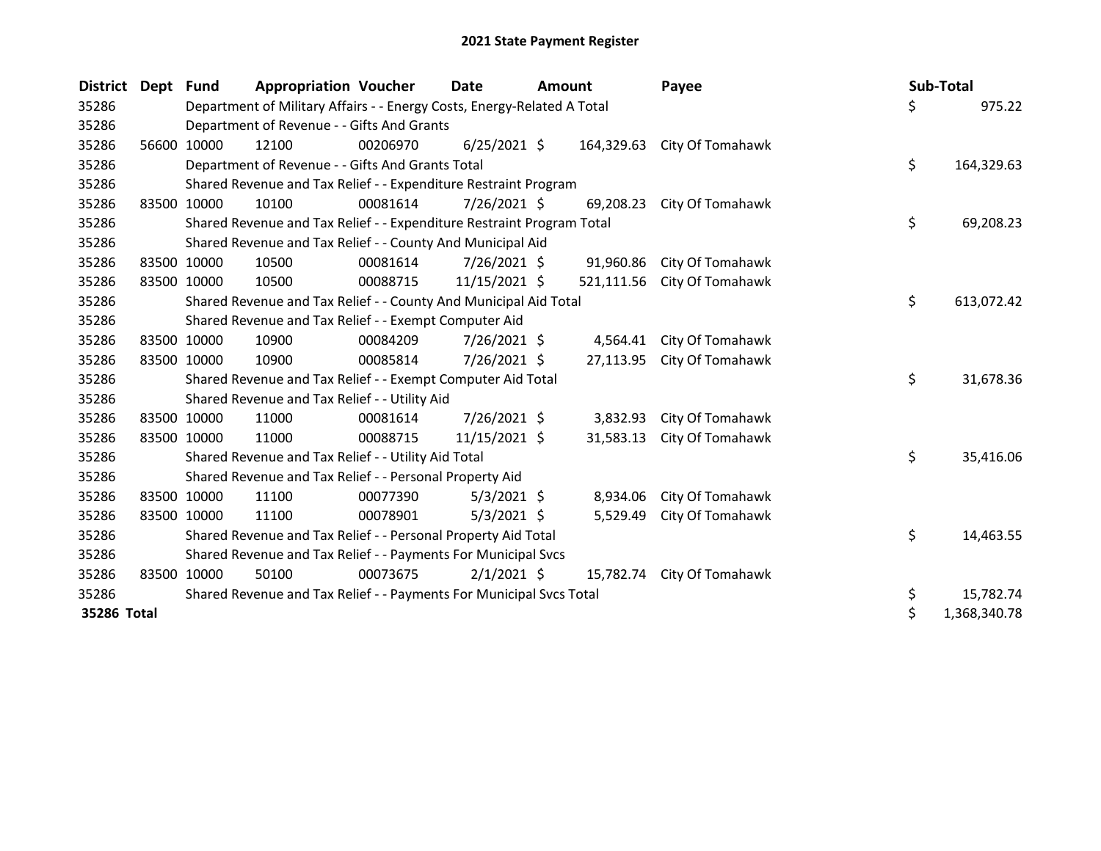| <b>District</b> | Dept        | <b>Fund</b>                                                             | <b>Appropriation Voucher</b>                                     |          | Date           | Amount |            | Payee                       |  | Sub-Total |              |
|-----------------|-------------|-------------------------------------------------------------------------|------------------------------------------------------------------|----------|----------------|--------|------------|-----------------------------|--|-----------|--------------|
| 35286           |             | Department of Military Affairs - - Energy Costs, Energy-Related A Total |                                                                  |          |                |        |            |                             |  | \$        | 975.22       |
| 35286           |             | Department of Revenue - - Gifts And Grants                              |                                                                  |          |                |        |            |                             |  |           |              |
| 35286           | 56600       | 10000                                                                   | 12100                                                            | 00206970 | $6/25/2021$ \$ |        |            | 164,329.63 City Of Tomahawk |  |           |              |
| 35286           |             |                                                                         | Department of Revenue - - Gifts And Grants Total                 |          |                |        |            |                             |  | \$        | 164,329.63   |
| 35286           |             | Shared Revenue and Tax Relief - - Expenditure Restraint Program         |                                                                  |          |                |        |            |                             |  |           |              |
| 35286           |             | 83500 10000                                                             | 10100                                                            | 00081614 | 7/26/2021 \$   |        | 69,208.23  | City Of Tomahawk            |  |           |              |
| 35286           |             | Shared Revenue and Tax Relief - - Expenditure Restraint Program Total   |                                                                  |          |                |        |            |                             |  | \$        | 69,208.23    |
| 35286           |             |                                                                         | Shared Revenue and Tax Relief - - County And Municipal Aid       |          |                |        |            |                             |  |           |              |
| 35286           |             | 83500 10000                                                             | 10500                                                            | 00081614 | $7/26/2021$ \$ |        | 91,960.86  | City Of Tomahawk            |  |           |              |
| 35286           |             | 83500 10000                                                             | 10500                                                            | 00088715 | 11/15/2021 \$  |        | 521,111.56 | City Of Tomahawk            |  |           |              |
| 35286           |             |                                                                         | Shared Revenue and Tax Relief - - County And Municipal Aid Total |          |                |        |            |                             |  | \$        | 613,072.42   |
| 35286           |             |                                                                         | Shared Revenue and Tax Relief - - Exempt Computer Aid            |          |                |        |            |                             |  |           |              |
| 35286           | 83500 10000 |                                                                         | 10900                                                            | 00084209 | $7/26/2021$ \$ |        | 4,564.41   | City Of Tomahawk            |  |           |              |
| 35286           |             | 83500 10000                                                             | 10900                                                            | 00085814 | 7/26/2021 \$   |        | 27,113.95  | City Of Tomahawk            |  |           |              |
| 35286           |             | Shared Revenue and Tax Relief - - Exempt Computer Aid Total             |                                                                  |          |                |        |            |                             |  | \$        | 31,678.36    |
| 35286           |             | Shared Revenue and Tax Relief - - Utility Aid                           |                                                                  |          |                |        |            |                             |  |           |              |
| 35286           |             | 83500 10000                                                             | 11000                                                            | 00081614 | 7/26/2021 \$   |        | 3,832.93   | City Of Tomahawk            |  |           |              |
| 35286           | 83500 10000 |                                                                         | 11000                                                            | 00088715 | 11/15/2021 \$  |        | 31,583.13  | City Of Tomahawk            |  |           |              |
| 35286           |             | Shared Revenue and Tax Relief - - Utility Aid Total                     |                                                                  |          |                |        |            |                             |  | \$        | 35,416.06    |
| 35286           |             | Shared Revenue and Tax Relief - - Personal Property Aid                 |                                                                  |          |                |        |            |                             |  |           |              |
| 35286           |             | 83500 10000                                                             | 11100                                                            | 00077390 | $5/3/2021$ \$  |        | 8,934.06   | City Of Tomahawk            |  |           |              |
| 35286           |             | 83500 10000                                                             | 11100                                                            | 00078901 | $5/3/2021$ \$  |        | 5,529.49   | City Of Tomahawk            |  |           |              |
| 35286           |             | Shared Revenue and Tax Relief - - Personal Property Aid Total           |                                                                  |          |                |        |            |                             |  | \$        | 14,463.55    |
| 35286           |             | Shared Revenue and Tax Relief - - Payments For Municipal Svcs           |                                                                  |          |                |        |            |                             |  |           |              |
| 35286           |             | 83500 10000                                                             | 50100                                                            | 00073675 | $2/1/2021$ \$  |        | 15,782.74  | City Of Tomahawk            |  |           |              |
| 35286           |             | Shared Revenue and Tax Relief - - Payments For Municipal Svcs Total     |                                                                  |          |                |        |            |                             |  | \$        | 15,782.74    |
| 35286 Total     |             |                                                                         |                                                                  |          |                |        |            |                             |  | \$        | 1,368,340.78 |